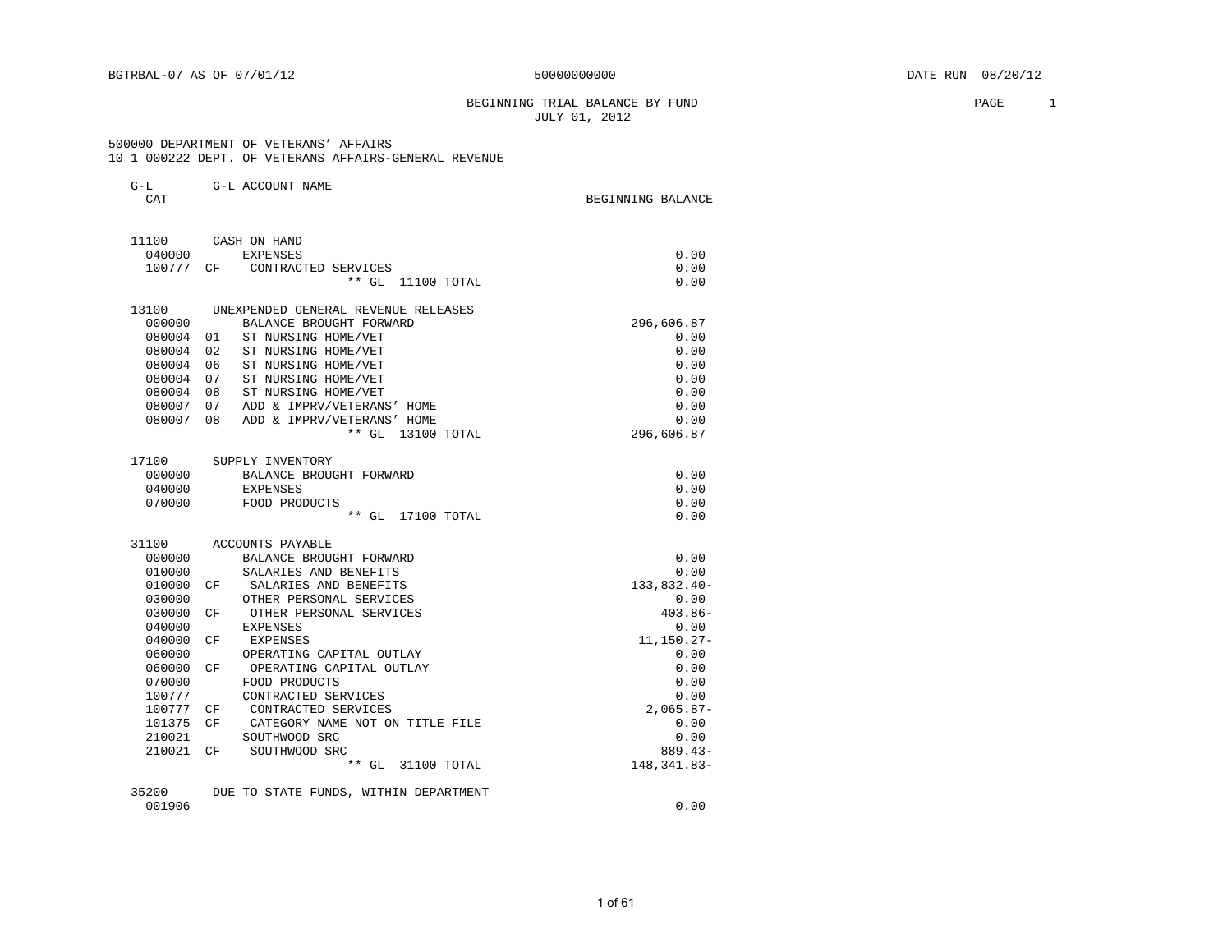### BEGINNING TRIAL BALANCE BY FUND **PAGE** 2 JULY 01, 2012

#### 500000 DEPARTMENT OF VETERANS' AFFAIRS 10 1 000222 DEPT. OF VETERANS AFFAIRS-GENERAL REVENUE

| $G-L$<br>CAT     | G-L ACCOUNT NAME                                     | BEGINNING BALANCE         |
|------------------|------------------------------------------------------|---------------------------|
|                  |                                                      |                           |
| 11100            | CASH ON HAND                                         |                           |
| 040000           | <b>EXPENSES</b>                                      | 0.00                      |
| 100777           | CONTRACTED SERVICES<br>CF.                           | 0.00                      |
|                  | ** GL 11100 TOTAL                                    | 0.00                      |
| 13100            | UNEXPENDED GENERAL REVENUE RELEASES                  |                           |
| 000000           | BALANCE BROUGHT FORWARD                              | 296,606.87                |
| 080004           | 01<br>ST NURSING HOME/VET                            | 0.00                      |
| 080004           | 02<br>ST NURSING HOME/VET                            | 0.00                      |
| 080004           | ST NURSING HOME/VET<br>06                            | 0.00                      |
| 080004           | 07<br>ST NURSING HOME/VET                            | 0.00                      |
| 080004           | ST NURSING HOME/VET<br>08                            | 0.00                      |
| 080007           | 07<br>ADD & IMPRV/VETERANS' HOME                     | 0.00                      |
| 080007           | 08<br>ADD & IMPRV/VETERANS' HOME                     | 0.00                      |
|                  | ** GL 13100 TOTAL                                    | 296,606.87                |
| 17100            | SUPPLY INVENTORY                                     |                           |
| 000000           | BALANCE BROUGHT FORWARD                              | 0.00                      |
| 040000           | EXPENSES                                             | 0.00                      |
| 070000           | FOOD PRODUCTS                                        | 0.00                      |
|                  | ** GL 17100 TOTAL                                    | 0.00                      |
| 31100            | ACCOUNTS PAYABLE                                     |                           |
| 000000           | BALANCE BROUGHT FORWARD                              | 0.00                      |
| 010000           | SALARIES AND BENEFITS                                | 0.00                      |
| 010000           | SALARIES AND BENEFITS<br>CF                          | 133,832.40-               |
| 030000           | OTHER PERSONAL SERVICES                              | 0.00                      |
| 030000           | OTHER PERSONAL SERVICES<br>CF                        | $403.86 -$                |
| 040000           | EXPENSES                                             | 0.00                      |
| 040000           | CF<br>EXPENSES                                       | $11, 150.27 -$            |
| 060000           | OPERATING CAPITAL OUTLAY                             | 0.00                      |
| 060000           | OPERATING CAPITAL OUTLAY<br>CF                       | 0.00                      |
| 070000<br>100777 | FOOD PRODUCTS<br>CONTRACTED SERVICES                 | 0.00                      |
|                  |                                                      | 0.00                      |
| 100777           | CONTRACTED SERVICES<br>CF<br>CF                      | $2,065.87-$               |
| 101375           | CATEGORY NAME NOT ON TITLE FILE<br>SOUTHWOOD SRC     | 0.00<br>0.00              |
| 210021           |                                                      |                           |
| 210021           | SOUTHWOOD SRC<br>CF <sup></sup><br>** GL 31100 TOTAL | $889.43-$<br>148, 341.83- |
|                  |                                                      |                           |
| 35200            | DUE TO STATE FUNDS, WITHIN DEPARTMENT                |                           |
| 001906           |                                                      | 0.00                      |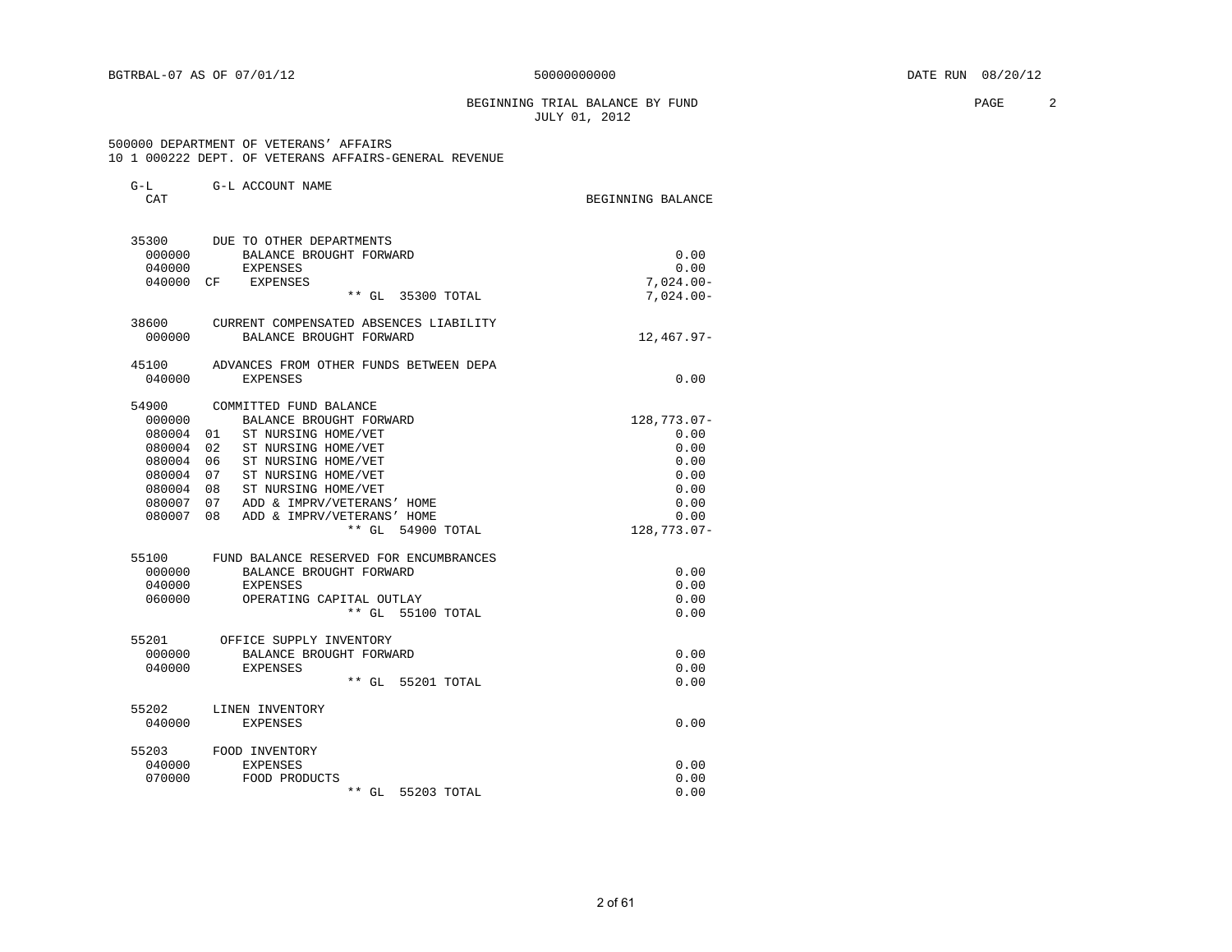#### BEGINNING TRIAL BALANCE BY FUND **PAGE** 2 JULY 01, 2012

 500000 DEPARTMENT OF VETERANS' AFFAIRS 10 1 000222 DEPT. OF VETERANS AFFAIRS-GENERAL REVENUE

| G-L<br>CAT                                                                                                                   | G-L ACCOUNT NAME                                                                                                                                                                                                                                                                                                                                                                                                         | BEGINNING BALANCE                                                                                          |
|------------------------------------------------------------------------------------------------------------------------------|--------------------------------------------------------------------------------------------------------------------------------------------------------------------------------------------------------------------------------------------------------------------------------------------------------------------------------------------------------------------------------------------------------------------------|------------------------------------------------------------------------------------------------------------|
| 35300<br>000000<br>040000<br>040000                                                                                          | DUE TO OTHER DEPARTMENTS<br>BALANCE BROUGHT FORWARD<br><b>EXPENSES</b><br>EXPENSES<br>CF.<br>** GL 35300 TOTAL                                                                                                                                                                                                                                                                                                           | 0.00<br>0.00<br>$7,024.00-$<br>$7,024.00 -$                                                                |
| 38600<br>000000                                                                                                              | CURRENT COMPENSATED ABSENCES LIABILITY<br>BALANCE BROUGHT FORWARD                                                                                                                                                                                                                                                                                                                                                        | $12,467.97-$                                                                                               |
| 45100<br>040000                                                                                                              | ADVANCES FROM OTHER FUNDS BETWEEN DEPA<br><b>EXPENSES</b>                                                                                                                                                                                                                                                                                                                                                                | 0.00                                                                                                       |
| 54900<br>000000<br>080004<br>080004<br>080004<br>080004<br>080004<br>080007<br>080007<br>55100<br>000000<br>040000<br>060000 | COMMITTED FUND BALANCE<br>BALANCE BROUGHT FORWARD<br>ST NURSING HOME/VET<br>01<br>ST NURSING HOME/VET<br>02<br>06<br>ST NURSING HOME/VET<br>07<br>ST NURSING HOME/VET<br>ST NURSING HOME/VET<br>08<br>ADD & IMPRV/VETERANS' HOME<br>07<br>08<br>ADD & IMPRV/VETERANS' HOME<br>$**$ GL<br>54900 TOTAL<br>FUND BALANCE RESERVED FOR ENCUMBRANCES<br>BALANCE BROUGHT FORWARD<br><b>EXPENSES</b><br>OPERATING CAPITAL OUTLAY | 128,773.07-<br>0.00<br>0.00<br>0.00<br>0.00<br>0.00<br>0.00<br>0.00<br>128,773.07-<br>0.00<br>0.00<br>0.00 |
| 55201<br>000000<br>040000                                                                                                    | ** GL 55100 TOTAL<br>OFFICE SUPPLY INVENTORY<br>BALANCE BROUGHT FORWARD<br>EXPENSES<br>$**$ GL<br>55201 TOTAL                                                                                                                                                                                                                                                                                                            | 0.00<br>0.00<br>0.00<br>0.00                                                                               |
| 55202<br>040000                                                                                                              | LINEN INVENTORY<br><b>EXPENSES</b>                                                                                                                                                                                                                                                                                                                                                                                       | 0.00                                                                                                       |
| 55203<br>040000<br>070000                                                                                                    | FOOD INVENTORY<br><b>EXPENSES</b><br>FOOD PRODUCTS<br>** GL 55203 TOTAL                                                                                                                                                                                                                                                                                                                                                  | 0.00<br>0.00<br>0.00                                                                                       |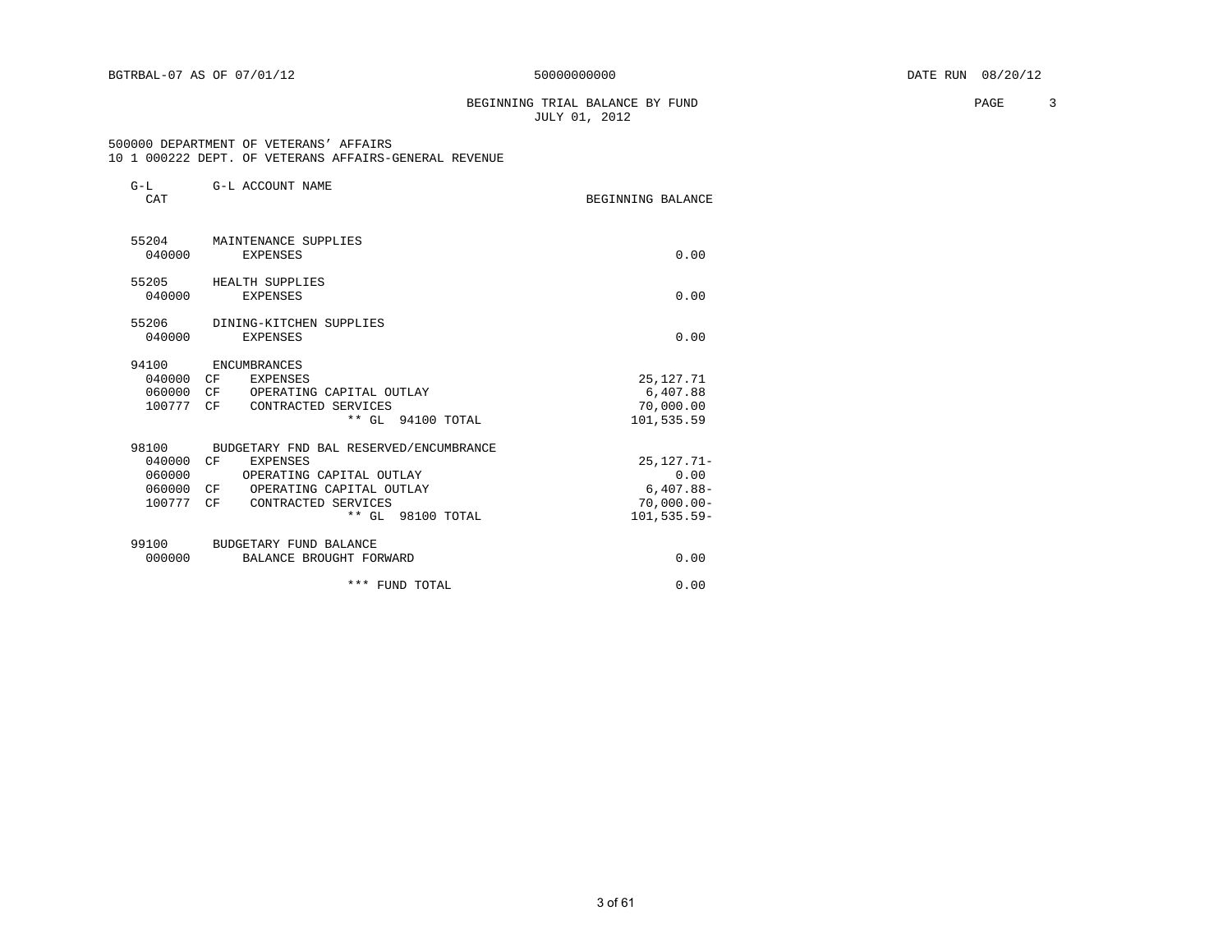### BEGINNING TRIAL BALANCE BY FUND **PAGE** 3 JULY 01, 2012

#### 500000 DEPARTMENT OF VETERANS' AFFAIRS 10 1 000222 DEPT. OF VETERANS AFFAIRS-GENERAL REVENUE

| $G-L$<br>CAT | G-L ACCOUNT NAME                       | BEGINNING BALANCE |
|--------------|----------------------------------------|-------------------|
|              | 55204 MAINTENANCE SUPPLIES             |                   |
| 040000       | <b>EXPENSES</b>                        | 0.00              |
| 55205        | HEALTH SUPPLIES                        |                   |
| 040000       | EXPENSES                               | 0.00              |
| 55206        | DINING-KITCHEN SUPPLIES                |                   |
| 040000       | EXPENSES                               | 0.00              |
| 94100        | ENCUMBRANCES                           |                   |
| 040000 CF    | EXPENSES                               | 25, 127. 71       |
| 060000       | CF<br>OPERATING CAPITAL OUTLAY         | 6,407.88          |
| 100777 CF    | CONTRACTED SERVICES                    | 70,000.00         |
|              | ** GL 94100 TOTAL                      | 101,535.59        |
| 98100        | BUDGETARY FND BAL RESERVED/ENCUMBRANCE |                   |
| 040000       | CF<br><b>EXPENSES</b>                  | $25, 127.71 -$    |
| 060000       | OPERATING CAPITAL OUTLAY               | 0.00              |
| 060000       | OPERATING CAPITAL OUTLAY<br>CF         | $6,407.88-$       |
| 100777       | CF<br>CONTRACTED SERVICES              | $70,000.00$ -     |
|              | ** GL 98100 TOTAL                      | $101, 535.59 -$   |
| 99100        | BUDGETARY FUND BALANCE                 |                   |
| 000000       | BALANCE BROUGHT FORWARD                | 0.00              |
|              | *** FUND TOTAL                         | 0.00              |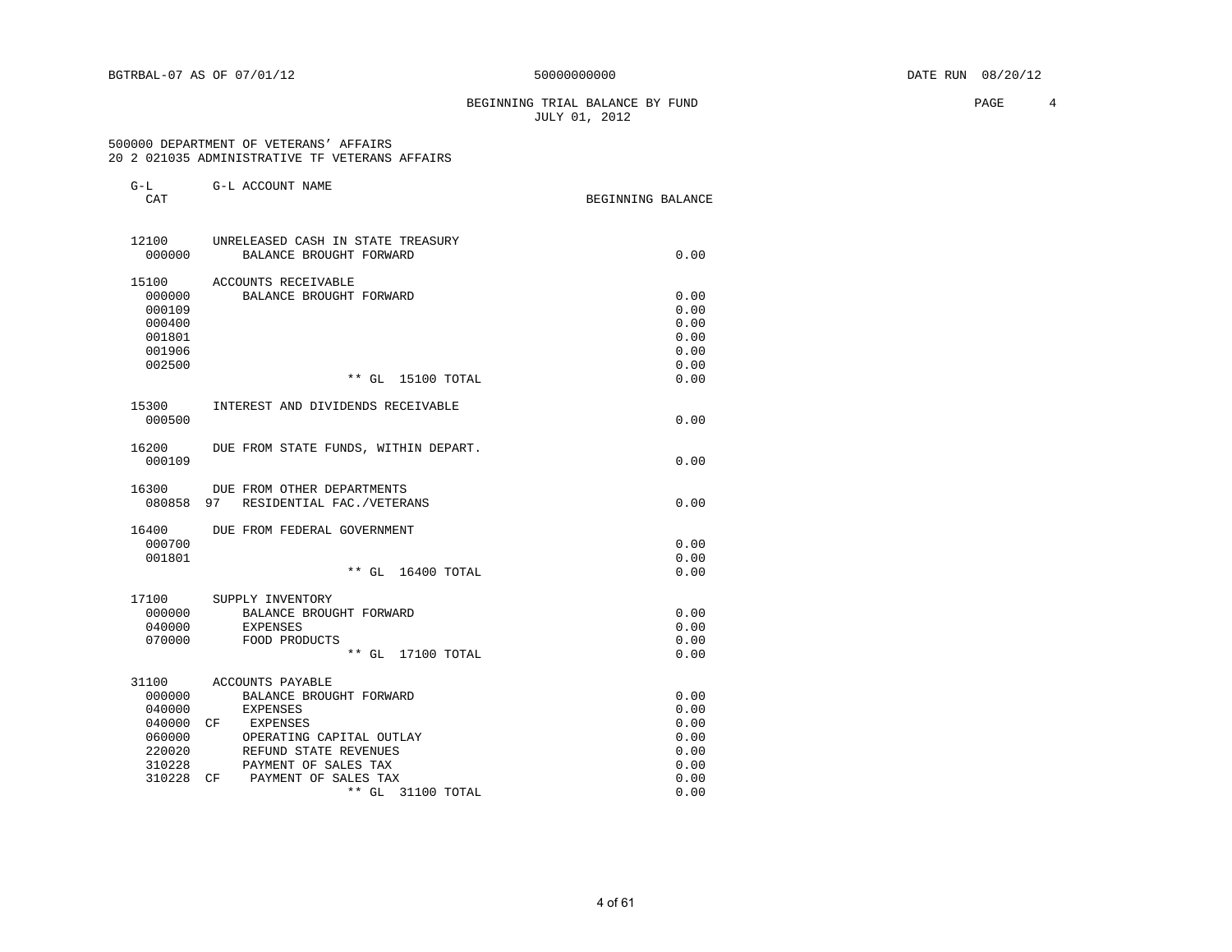### BEGINNING TRIAL BALANCE BY FUND **PAGE** 4 JULY 01, 2012

#### 500000 DEPARTMENT OF VETERANS' AFFAIRS 20 2 021035 ADMINISTRATIVE TF VETERANS AFFAIRS

| $G-L$<br>CAT    | G-L ACCOUNT NAME                     | BEGINNING BALANCE |
|-----------------|--------------------------------------|-------------------|
| 12100           | UNRELEASED CASH IN STATE TREASURY    |                   |
| 000000          | BALANCE BROUGHT FORWARD              | 0.00              |
| 15100           | ACCOUNTS RECEIVABLE                  |                   |
| 000000          | BALANCE BROUGHT FORWARD              | 0.00              |
| 000109          |                                      | 0.00              |
| 000400          |                                      | 0.00              |
| 001801          |                                      | 0.00              |
| 001906          |                                      | 0.00              |
| 002500          |                                      | 0.00              |
|                 | ** GL 15100 TOTAL                    | 0.00              |
| 15300           | INTEREST AND DIVIDENDS RECEIVABLE    |                   |
| 000500          |                                      | 0.00              |
|                 |                                      |                   |
| 16200<br>000109 | DUE FROM STATE FUNDS, WITHIN DEPART. | 0.00              |
|                 |                                      |                   |
| 16300           | DUE FROM OTHER DEPARTMENTS           |                   |
| 080858          | 97<br>RESIDENTIAL FAC. / VETERANS    | 0.00              |
| 16400           | DUE FROM FEDERAL GOVERNMENT          |                   |
| 000700          |                                      | 0.00              |
| 001801          |                                      | 0.00              |
|                 | ** GL 16400 TOTAL                    | 0.00              |
| 17100           | SUPPLY INVENTORY                     |                   |
| 000000          | BALANCE BROUGHT FORWARD              | 0.00              |
| 040000          | EXPENSES                             | 0.00              |
| 070000          | FOOD PRODUCTS                        | 0.00              |
|                 | ** GL 17100 TOTAL                    | 0.00              |
| 31100           | ACCOUNTS PAYABLE                     |                   |
| 000000          | BALANCE BROUGHT FORWARD              | 0.00              |
| 040000          | EXPENSES                             | 0.00              |
| 040000          | CF<br>EXPENSES                       | 0.00              |
| 060000          | OPERATING CAPITAL OUTLAY             | 0.00              |
| 220020          | REFUND STATE REVENUES                | 0.00              |
| 310228          | PAYMENT OF SALES TAX                 | 0.00              |
| 310228          | PAYMENT OF SALES TAX<br>CF           | 0.00              |
|                 | $***$ GL<br>31100 TOTAL              | 0.00              |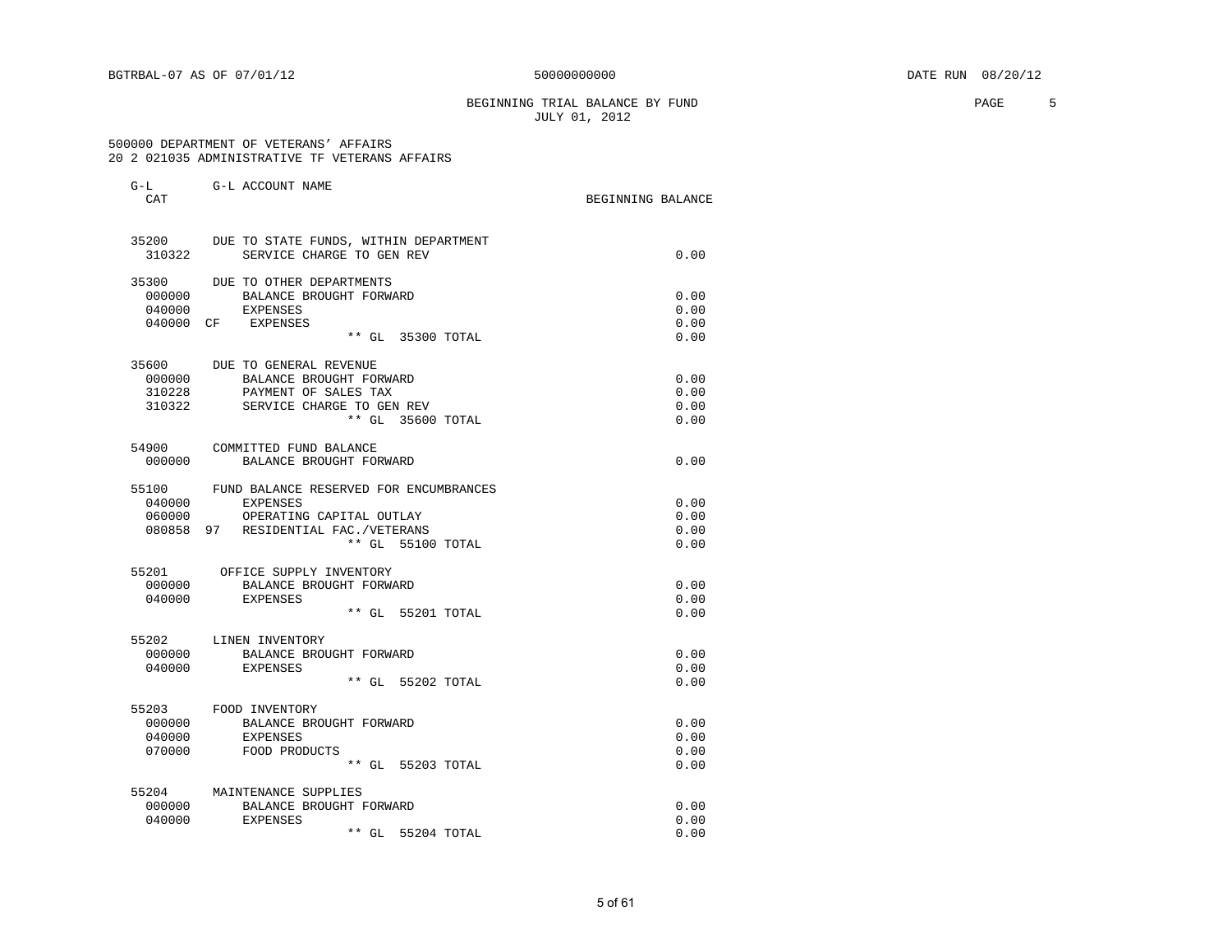### BEGINNING TRIAL BALANCE BY FUND **FAGE** 5 JULY 01, 2012

#### 500000 DEPARTMENT OF VETERANS' AFFAIRS 20 2 021035 ADMINISTRATIVE TF VETERANS AFFAIRS

| $G-L$<br>CAT     | G-L ACCOUNT NAME                                         | BEGINNING BALANCE |
|------------------|----------------------------------------------------------|-------------------|
|                  | 35200 DUE TO STATE FUNDS, WITHIN DEPARTMENT              |                   |
| 310322           | SERVICE CHARGE TO GEN REV                                | 0.00              |
| 35300            | DUE TO OTHER DEPARTMENTS                                 |                   |
| 000000           | BALANCE BROUGHT FORWARD                                  | 0.00              |
| 040000           | EXPENSES<br>040000 CF EXPENSES                           | 0.00<br>0.00      |
|                  | ** GL 35300 TOTAL                                        | 0.00              |
|                  | 35600 DUE TO GENERAL REVENUE                             |                   |
|                  | 000000 BALANCE BROUGHT FORWARD                           | 0.00              |
| 310228           | PAYMENT OF SALES TAX                                     | 0.00              |
| 310322           | SERVICE CHARGE TO GEN REV                                | 0.00              |
|                  | ** GL 35600 TOTAL                                        | 0.00              |
| 54900            | COMMITTED FUND BALANCE                                   |                   |
| 000000           | BALANCE BROUGHT FORWARD                                  | 0.00              |
| 55100            | FUND BALANCE RESERVED FOR ENCUMBRANCES                   |                   |
| 040000           | EXPENSES                                                 | 0.00              |
| 060000<br>080858 | OPERATING CAPITAL OUTLAY<br>97 RESIDENTIAL FAC./VETERANS | 0.00<br>0.00      |
|                  | ** GL 55100 TOTAL                                        | 0.00              |
|                  | 55201 OFFICE SUPPLY INVENTORY                            |                   |
| 000000           | BALANCE BROUGHT FORWARD                                  | 0.00              |
|                  | 040000 EXPENSES                                          | 0.00              |
|                  | ** GL 55201 TOTAL                                        | 0.00              |
|                  | 55202 LINEN INVENTORY                                    |                   |
| 000000           | BALANCE BROUGHT FORWARD                                  | 0.00              |
| 040000           | EXPENSES<br>** GL 55202 TOTAL                            | 0.00<br>0.00      |
|                  |                                                          |                   |
| 55203            | FOOD INVENTORY                                           |                   |
| 000000           | BALANCE BROUGHT FORWARD                                  | 0.00              |
| 040000           | EXPENSES                                                 | 0.00              |
| 070000           | FOOD PRODUCTS                                            | 0.00              |
|                  | ** GL 55203 TOTAL                                        | 0.00              |
| 55204            | MAINTENANCE SUPPLIES                                     |                   |
| 000000<br>040000 | BALANCE BROUGHT FORWARD<br><b>EXPENSES</b>               | 0.00<br>0.00      |
|                  | ** GL 55204 TOTAL                                        | 0.00              |
|                  |                                                          |                   |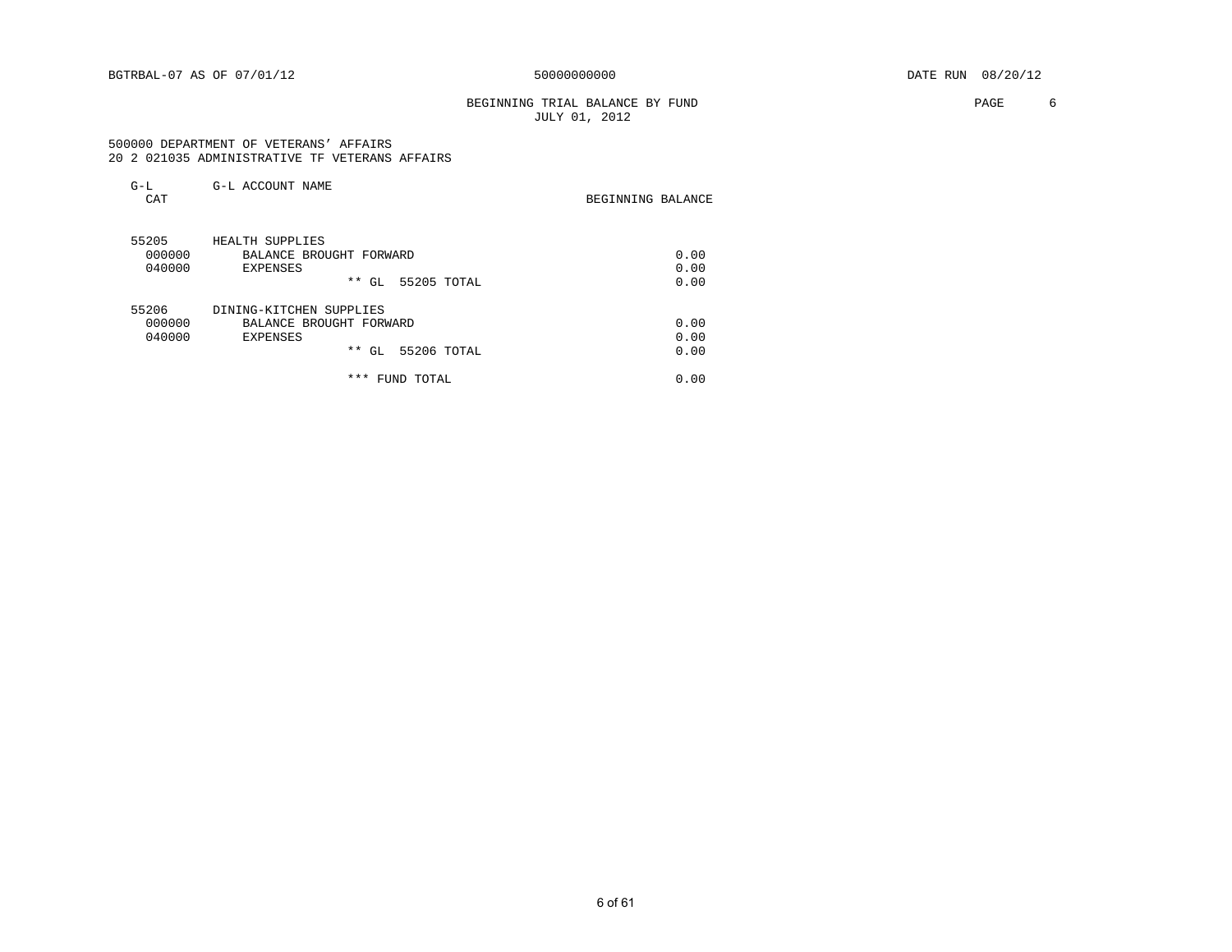### BEGINNING TRIAL BALANCE BY FUND **PAGE** 6 JULY 01, 2012

#### 500000 DEPARTMENT OF VETERANS' AFFAIRS 20 2 021035 ADMINISTRATIVE TF VETERANS AFFAIRS

| $G-L$<br>CAT | G-L ACCOUNT NAME          | BEGINNING BALANCE |
|--------------|---------------------------|-------------------|
| 55205        | HEALTH SUPPLIES           |                   |
| 000000       | BALANCE BROUGHT FORWARD   | 0.00              |
| 040000       | <b>EXPENSES</b>           | 0.00              |
|              | * *<br>55205 TOTAL<br>GL. | 0.00              |
| 55206        | DINING-KITCHEN SUPPLIES   |                   |
| 000000       | BALANCE BROUGHT FORWARD   | 0.00              |
| 040000       | EXPENSES                  | 0.00              |
|              | * *<br>55206 TOTAL<br>GL  | 0.00              |

\*\*\* FUND TOTAL 0.00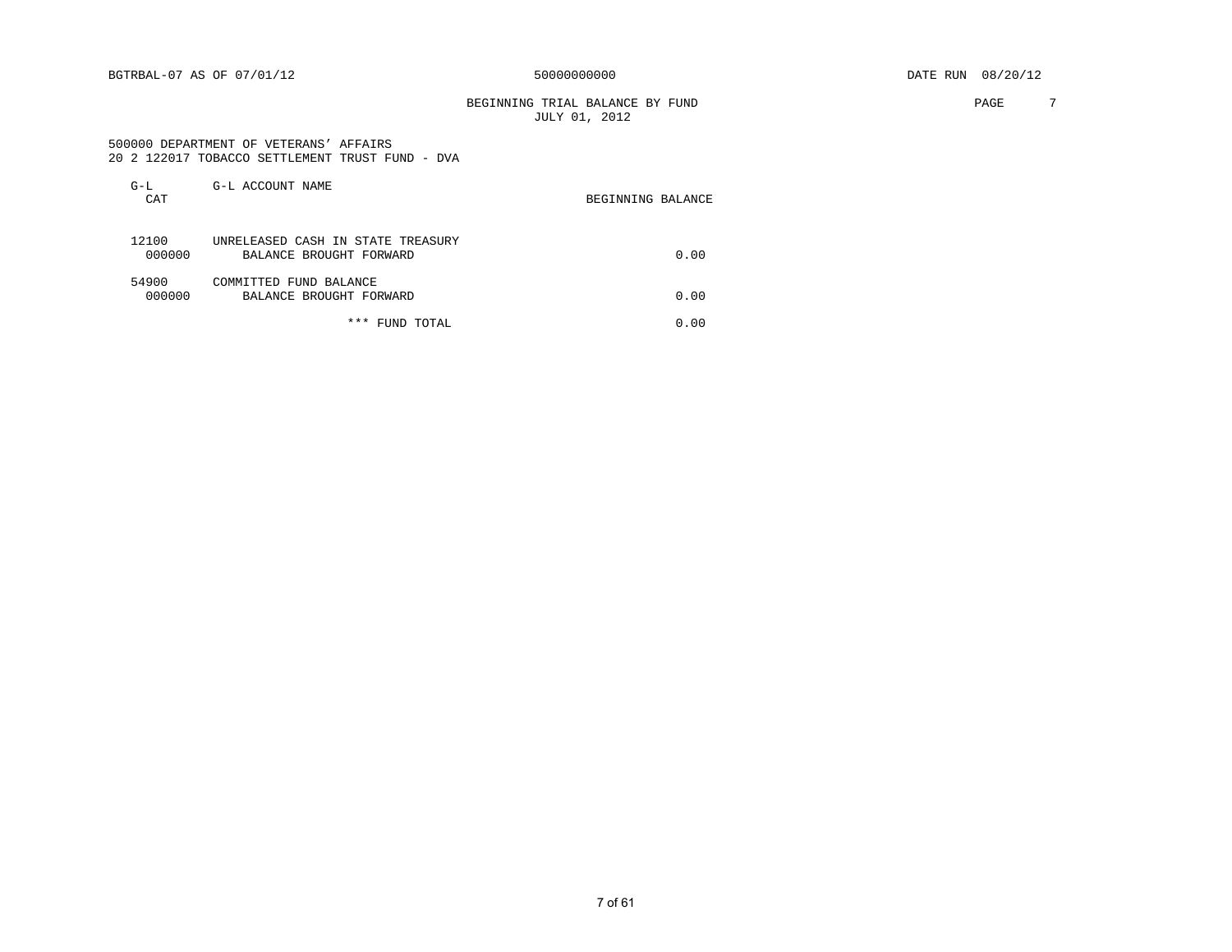BEGINNING TRIAL BALANCE BY FUND **PAGE** 7 JULY 01, 2012

#### 500000 DEPARTMENT OF VETERANS' AFFAIRS 20 2 122017 TOBACCO SETTLEMENT TRUST FUND - DVA

| $G-L$<br>CAT    | G-L ACCOUNT NAME                                             | BEGINNING BALANCE |
|-----------------|--------------------------------------------------------------|-------------------|
| 12100<br>000000 | UNRELEASED CASH IN STATE TREASURY<br>BALANCE BROUGHT FORWARD | 0.00              |
| 54900<br>000000 | COMMITTED FUND BALANCE<br>BALANCE BROUGHT FORWARD            | 0.00              |

### \*\*\* FUND TOTAL 0.00

7 of 61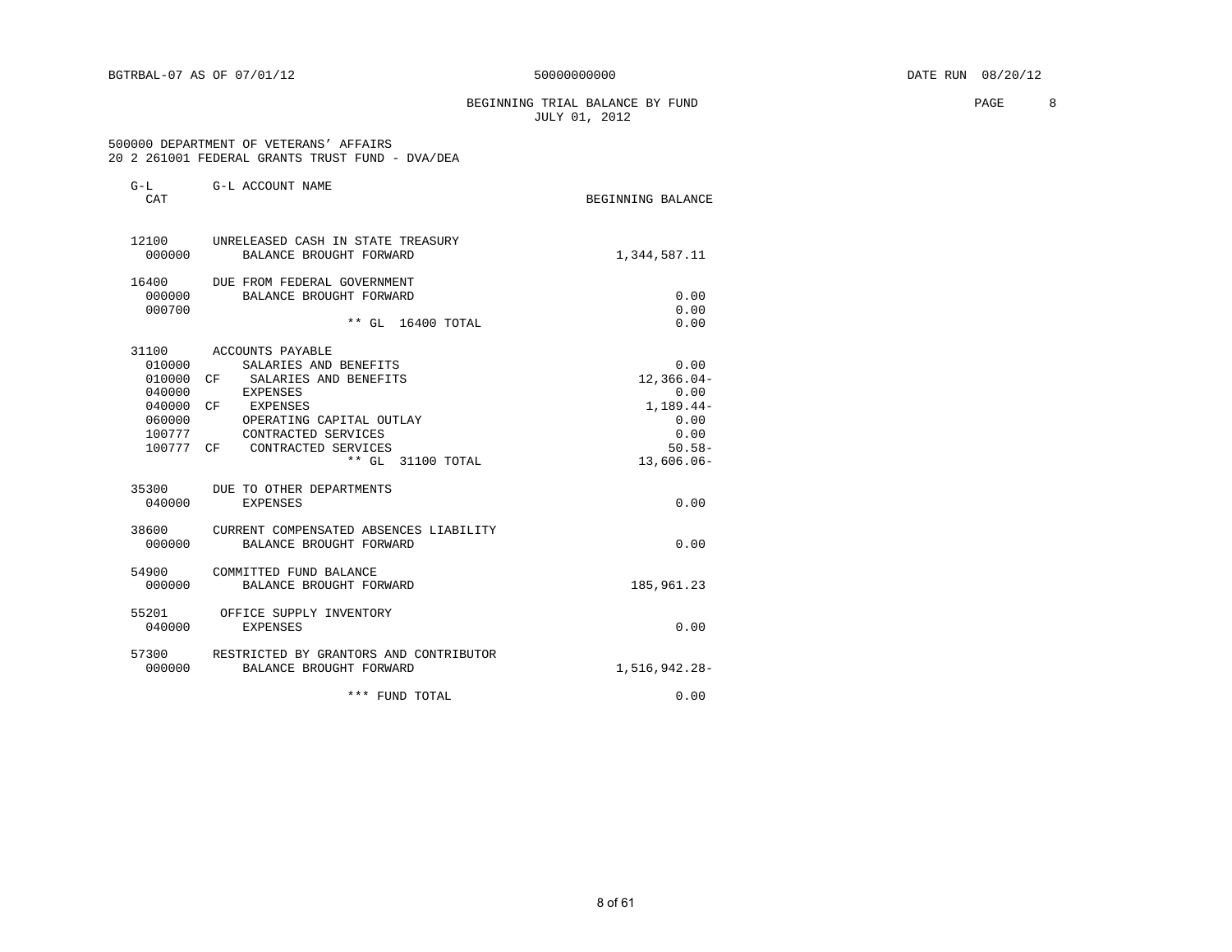### BEGINNING TRIAL BALANCE BY FUND **PAGE 8** JULY 01, 2012

 500000 DEPARTMENT OF VETERANS' AFFAIRS 20 2 261001 FEDERAL GRANTS TRUST FUND - DVA/DEA

| G-L<br>CAT                    | G-L ACCOUNT NAME                                                            | BEGINNING BALANCE           |
|-------------------------------|-----------------------------------------------------------------------------|-----------------------------|
| 000000                        | 12100 UNRELEASED CASH IN STATE TREASURY<br>BALANCE BROUGHT FORWARD          | 1,344,587.11                |
| 16400<br>000000<br>000700     | DUE FROM FEDERAL GOVERNMENT<br>BALANCE BROUGHT FORWARD<br>** GL 16400 TOTAL | 0.00<br>0.00<br>0.00        |
| 31100<br>010000               | ACCOUNTS PAYABLE<br>SALARIES AND BENEFITS                                   | 0.00                        |
| 010000<br>040000              | SALARIES AND BENEFITS<br>CF<br><b>EXPENSES</b>                              | $12,366.04-$<br>0.00        |
| 040000 CF<br>060000<br>100777 | EXPENSES<br>OPERATING CAPITAL OUTLAY<br>CONTRACTED SERVICES                 | $1.189.44-$<br>0.00<br>0.00 |
| 100777 CF                     | CONTRACTED SERVICES<br>** GL 31100 TOTAL                                    | $50.58 -$<br>$13,606.06-$   |
| 040000                        | 35300 DUE TO OTHER DEPARTMENTS<br><b>EXPENSES</b>                           | 0.00                        |
| 38600<br>000000               | CURRENT COMPENSATED ABSENCES LIABILITY<br>BALANCE BROUGHT FORWARD           | 0.00                        |
| 54900<br>000000               | COMMITTED FUND BALANCE<br>BALANCE BROUGHT FORWARD                           | 185,961.23                  |
| 55201<br>040000               | OFFICE SUPPLY INVENTORY<br><b>EXPENSES</b>                                  | 0.00                        |
| 000000                        | 57300 RESTRICTED BY GRANTORS AND CONTRIBUTOR<br>BALANCE BROUGHT FORWARD     | 1,516,942.28-               |
|                               | *** FUND TOTAL                                                              | 0.00                        |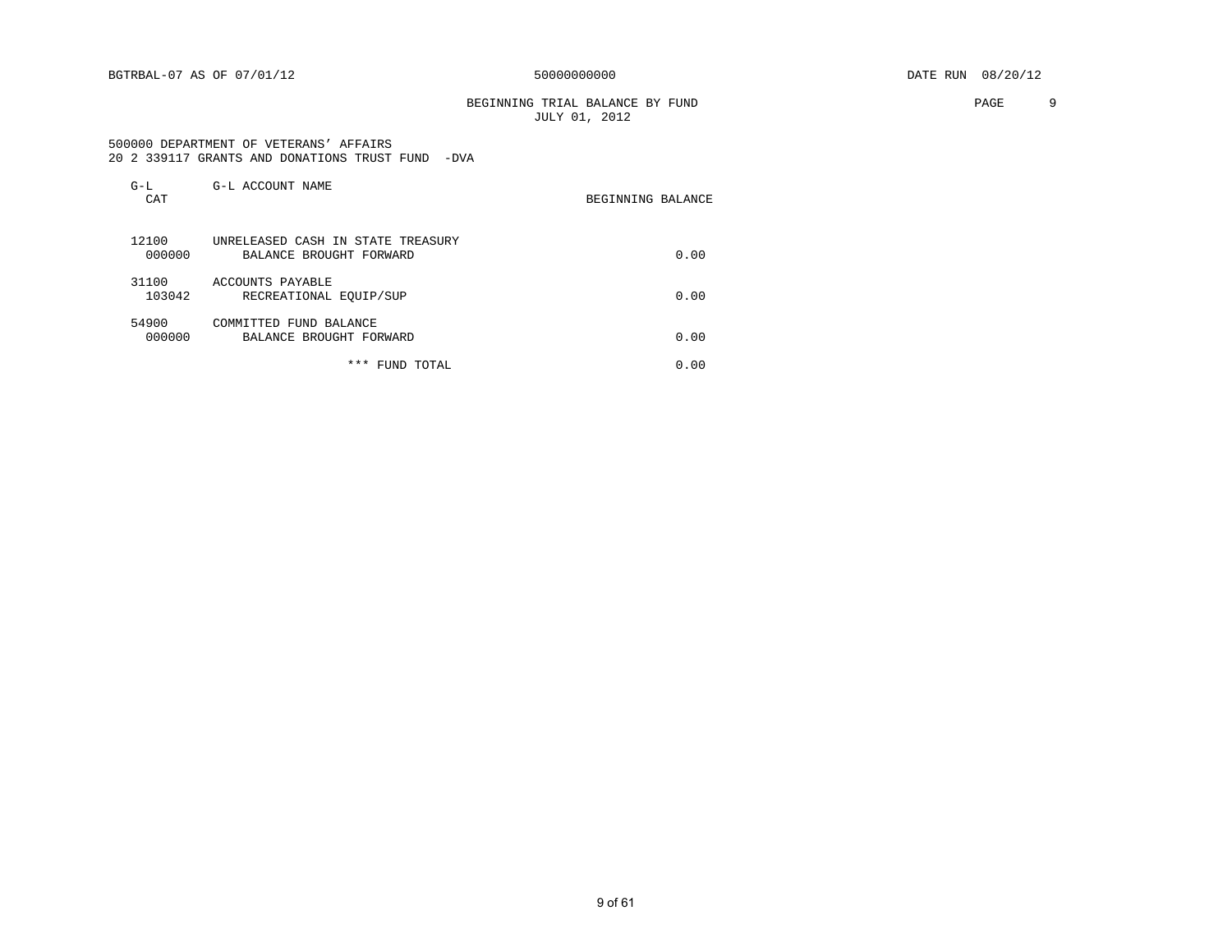BEGINNING TRIAL BALANCE BY FUND **PAGE** 9 JULY 01, 2012

#### 500000 DEPARTMENT OF VETERANS' AFFAIRS 20 2 339117 GRANTS AND DONATIONS TRUST FUND -DVA

| $G-L$<br>CAT    | G-L ACCOUNT NAME                                             | BEGINNING BALANCE |
|-----------------|--------------------------------------------------------------|-------------------|
| 12100<br>000000 | UNRELEASED CASH IN STATE TREASURY<br>BALANCE BROUGHT FORWARD | 0.00              |
| 31100<br>103042 | ACCOUNTS PAYABLE<br>RECREATIONAL EQUIP/SUP                   | 0.00              |
| 54900<br>000000 | COMMITTED FUND BALANCE<br>BALANCE BROUGHT FORWARD            | 0.00              |
|                 | $***$<br>TOTAL<br>FUND                                       | 0.00              |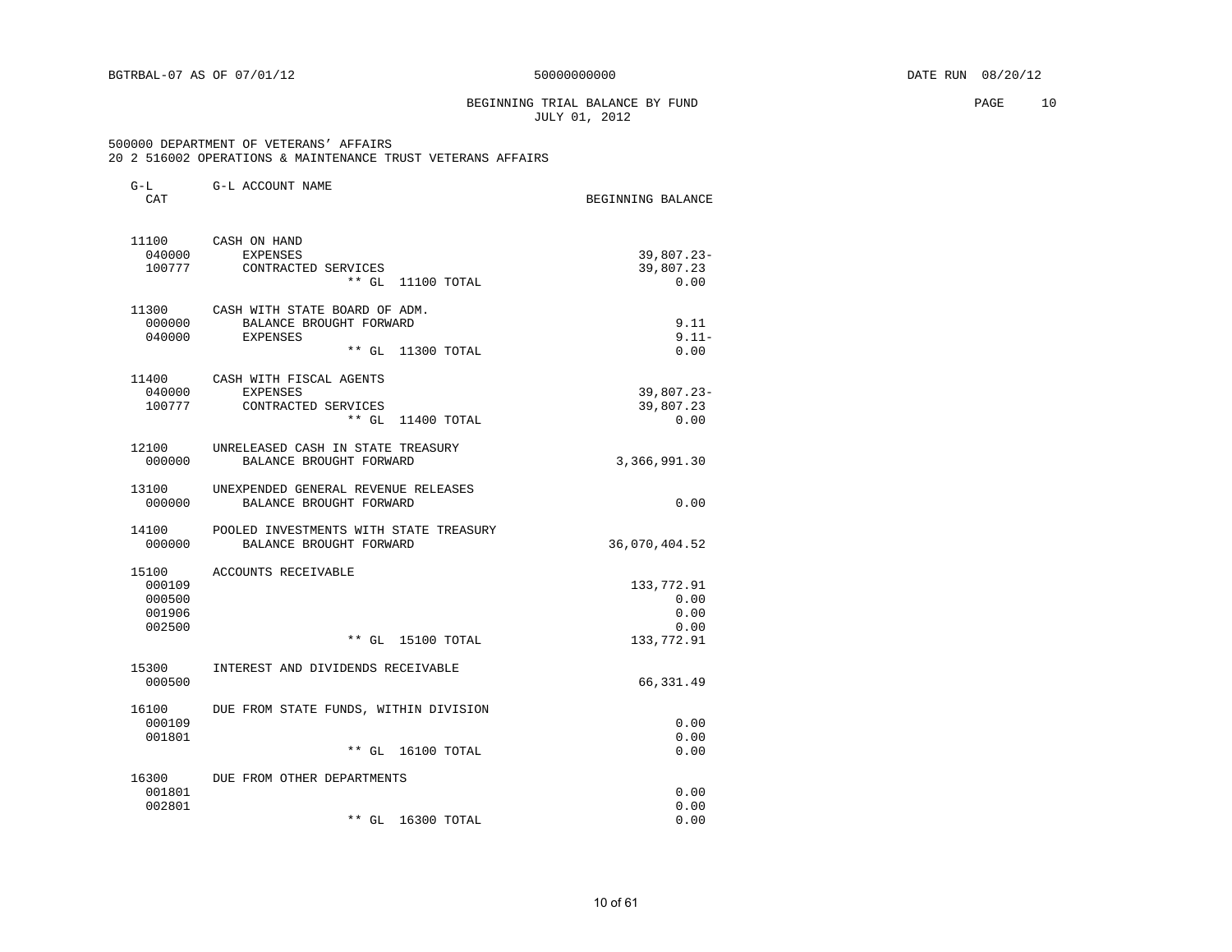#### BEGINNING TRIAL BALANCE BY FUND **PAGE** 10 JULY 01, 2012

| $G-L$            | G-L ACCOUNT NAME                               |                   |
|------------------|------------------------------------------------|-------------------|
| CAT              |                                                | BEGINNING BALANCE |
| 11100            | CASH ON HAND                                   |                   |
| 040000           | <b>EXPENSES</b>                                | $39,807.23 -$     |
| 100777           | CONTRACTED SERVICES<br>$***$ GL<br>11100 TOTAL | 39,807.23<br>0.00 |
|                  |                                                |                   |
| 11300            | CASH WITH STATE BOARD OF ADM.                  |                   |
| 000000           | BALANCE BROUGHT FORWARD                        | 9.11              |
| 040000           | <b>EXPENSES</b><br>$**$ GL<br>11300 TOTAL      | $9.11 -$<br>0.00  |
|                  |                                                |                   |
| 11400            | CASH WITH FISCAL AGENTS                        |                   |
| 040000           | <b>EXPENSES</b>                                | $39,807.23 -$     |
| 100777           | CONTRACTED SERVICES                            | 39,807.23         |
|                  | $***$ GL<br>11400 TOTAL                        | 0.00              |
| 12100            | UNRELEASED CASH IN STATE TREASURY              |                   |
| 000000           | BALANCE BROUGHT FORWARD                        | 3,366,991.30      |
| 13100            | UNEXPENDED GENERAL REVENUE RELEASES            |                   |
| 000000           | BALANCE BROUGHT FORWARD                        | 0.00              |
| 14100            | POOLED INVESTMENTS WITH STATE TREASURY         |                   |
| 000000           | BALANCE BROUGHT FORWARD                        | 36,070,404.52     |
|                  |                                                |                   |
| 15100            | ACCOUNTS RECEIVABLE                            |                   |
| 000109           |                                                | 133,772.91        |
| 000500<br>001906 |                                                | 0.00<br>0.00      |
| 002500           |                                                | 0.00              |
|                  | $***$ GL<br>15100 TOTAL                        | 133,772.91        |
|                  |                                                |                   |
| 15300<br>000500  | INTEREST AND DIVIDENDS RECEIVABLE              | 66,331.49         |
|                  |                                                |                   |
| 16100            | DUE FROM STATE FUNDS, WITHIN DIVISION          |                   |
| 000109           |                                                | 0.00              |
| 001801           | $**$ GL<br>16100 TOTAL                         | 0.00<br>0.00      |
|                  |                                                |                   |
| 16300            | DUE FROM OTHER DEPARTMENTS                     |                   |
| 001801           |                                                | 0.00              |
| 002801           | $**$ GL<br>16300 TOTAL                         | 0.00<br>0.00      |
|                  |                                                |                   |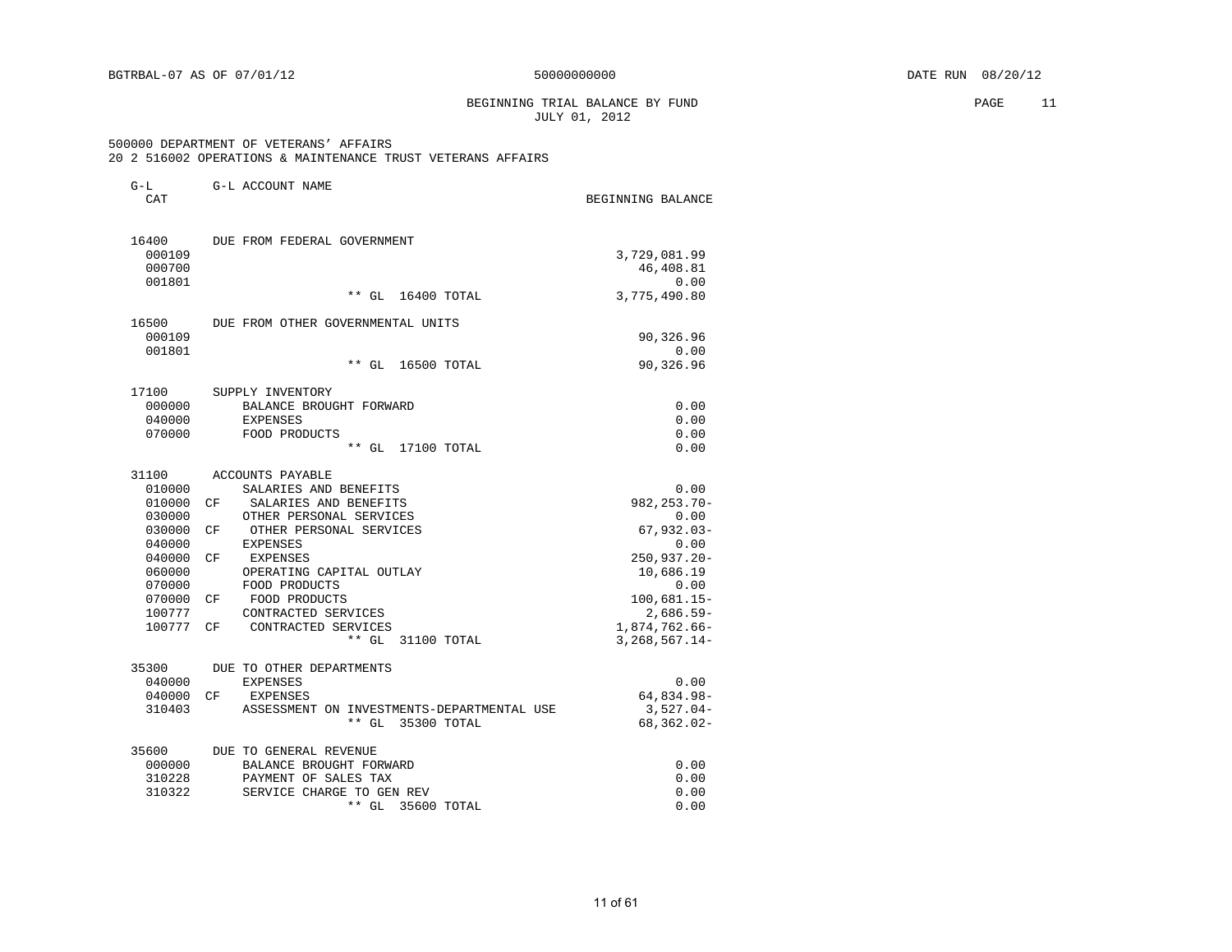#### BEGINNING TRIAL BALANCE BY FUND PAGE 11 JULY 01, 2012

| $G-L$<br>CAT                                                                                                                 | G-L ACCOUNT NAME                                                                                                                                                                                                                                                                                                                                   | BEGINNING BALANCE                                                                                                                                                |
|------------------------------------------------------------------------------------------------------------------------------|----------------------------------------------------------------------------------------------------------------------------------------------------------------------------------------------------------------------------------------------------------------------------------------------------------------------------------------------------|------------------------------------------------------------------------------------------------------------------------------------------------------------------|
| 16400<br>000109<br>000700<br>001801                                                                                          | DUE FROM FEDERAL GOVERNMENT                                                                                                                                                                                                                                                                                                                        | 3,729,081.99<br>46,408.81<br>0.00                                                                                                                                |
|                                                                                                                              | ** GL<br>16400 TOTAL                                                                                                                                                                                                                                                                                                                               | 3,775,490.80                                                                                                                                                     |
| 16500<br>000109<br>001801                                                                                                    | DUE FROM OTHER GOVERNMENTAL UNITS<br>$**$ GL                                                                                                                                                                                                                                                                                                       | 90,326.96<br>0.00<br>90,326.96                                                                                                                                   |
|                                                                                                                              | 16500 TOTAL                                                                                                                                                                                                                                                                                                                                        |                                                                                                                                                                  |
| 17100<br>000000<br>040000<br>070000                                                                                          | SUPPLY INVENTORY<br>BALANCE BROUGHT FORWARD<br><b>EXPENSES</b><br>FOOD PRODUCTS<br>$**$ GL<br>17100 TOTAL                                                                                                                                                                                                                                          | 0.00<br>0.00<br>0.00<br>0.00                                                                                                                                     |
| 31100<br>010000<br>010000<br>030000<br>030000<br>040000<br>040000<br>060000<br>070000<br>070000<br>100777<br>100777<br>35300 | ACCOUNTS PAYABLE<br>SALARIES AND BENEFITS<br>CF<br>SALARIES AND BENEFITS<br>OTHER PERSONAL SERVICES<br>OTHER PERSONAL SERVICES<br>СF<br>EXPENSES<br>CF<br>EXPENSES<br>OPERATING CAPITAL OUTLAY<br>FOOD PRODUCTS<br>FOOD PRODUCTS<br>СF<br>CONTRACTED SERVICES<br>CONTRACTED SERVICES<br>CF.<br>$***$ GL<br>31100 TOTAL<br>DUE TO OTHER DEPARTMENTS | 0.00<br>982, 253. 70-<br>0.00<br>$67,932.03-$<br>0.00<br>250,937.20-<br>10,686.19<br>0.00<br>$100,681.15-$<br>$2,686.59-$<br>1,874,762.66-<br>$3, 268, 567.14 -$ |
| 040000<br>040000<br>310403                                                                                                   | <b>EXPENSES</b><br>CF<br>EXPENSES<br>ASSESSMENT ON INVESTMENTS-DEPARTMENTAL USE<br>35300 TOTAL<br>$**$ GL                                                                                                                                                                                                                                          | 0.00<br>64,834.98-<br>$3,527.04-$<br>68, 362.02-                                                                                                                 |
| 35600<br>000000<br>310228<br>310322                                                                                          | DUE TO GENERAL REVENUE<br>BALANCE BROUGHT FORWARD<br>PAYMENT OF SALES TAX<br>SERVICE CHARGE TO GEN REV<br>** GL<br>35600 TOTAL                                                                                                                                                                                                                     | 0.00<br>0.00<br>0.00<br>0.00                                                                                                                                     |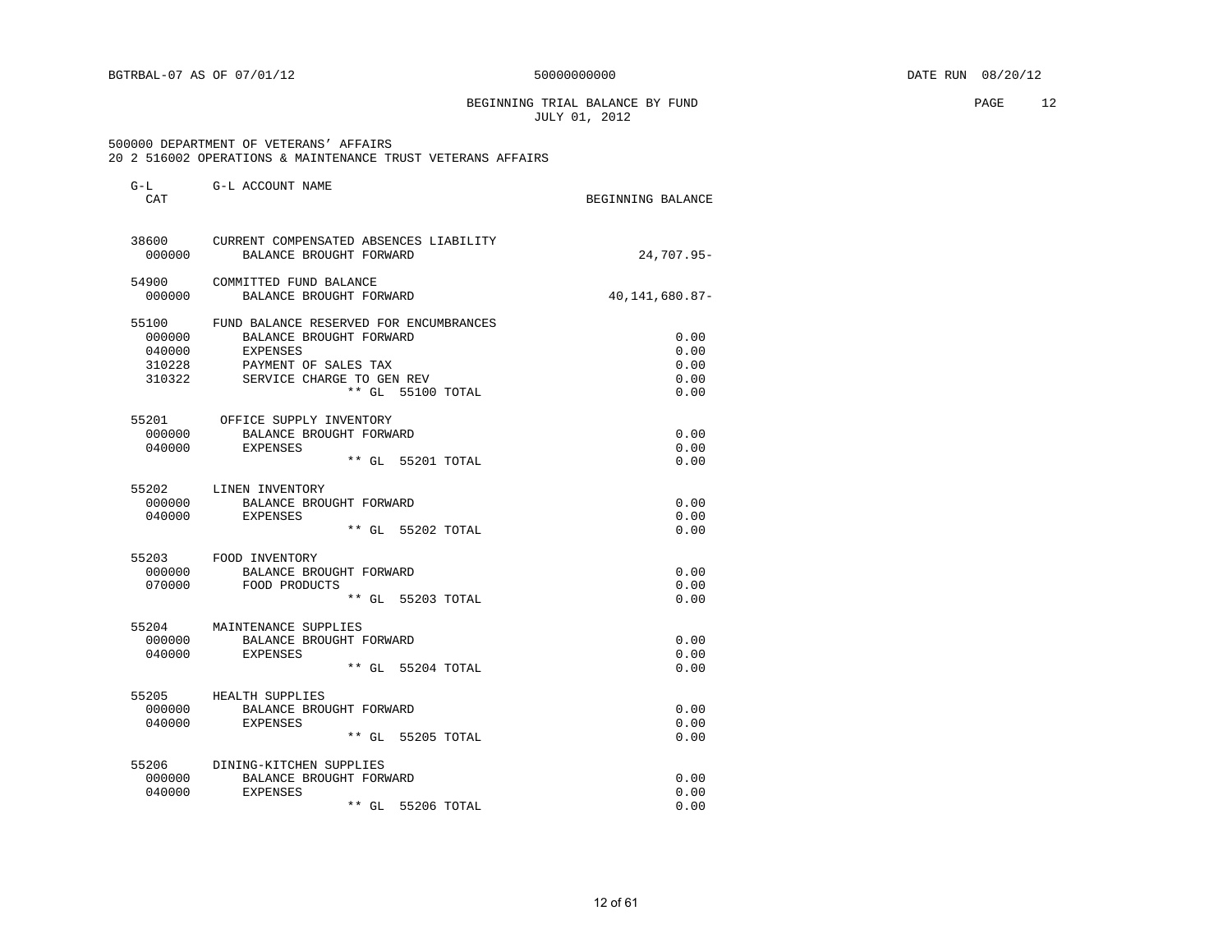BEGINNING TRIAL BALANCE BY FUND **EXAMPLE 12** PAGE 12 JULY 01, 2012

| $G-L$<br>CAT                                  | G-L ACCOUNT NAME                                                                                                                                        | BEGINNING BALANCE                    |
|-----------------------------------------------|---------------------------------------------------------------------------------------------------------------------------------------------------------|--------------------------------------|
| 38600<br>000000                               | CURRENT COMPENSATED ABSENCES LIABILITY<br>BALANCE BROUGHT FORWARD                                                                                       | 24,707.95-                           |
| 54900<br>000000                               | COMMITTED FUND BALANCE<br>BALANCE BROUGHT FORWARD                                                                                                       | 40,141,680.87-                       |
| 55100<br>000000<br>040000<br>310228<br>310322 | FUND BALANCE RESERVED FOR ENCUMBRANCES<br>BALANCE BROUGHT FORWARD<br>EXPENSES<br>PAYMENT OF SALES TAX<br>SERVICE CHARGE TO GEN REV<br>** GL 55100 TOTAL | 0.00<br>0.00<br>0.00<br>0.00<br>0.00 |
| 000000<br>040000                              | 55201 OFFICE SUPPLY INVENTORY<br>BALANCE BROUGHT FORWARD<br><b>EXPENSES</b><br>** GL 55201 TOTAL                                                        | 0.00<br>0.00<br>0.00                 |
| 55202<br>000000<br>040000                     | LINEN INVENTORY<br>BALANCE BROUGHT FORWARD<br>EXPENSES<br>** GL 55202 TOTAL                                                                             | 0.00<br>0.00<br>0.00                 |
| 000000<br>070000                              | 55203 FOOD INVENTORY<br>BALANCE BROUGHT FORWARD<br>FOOD PRODUCTS<br>** GL 55203 TOTAL                                                                   | 0.00<br>0.00<br>0.00                 |
| 55204<br>000000<br>040000                     | MAINTENANCE SUPPLIES<br>BALANCE BROUGHT FORWARD<br><b>EXPENSES</b><br>** GL 55204 TOTAL                                                                 | 0.00<br>0.00<br>0.00                 |
| 55205<br>000000<br>040000                     | HEALTH SUPPLIES<br>BALANCE BROUGHT FORWARD<br>EXPENSES<br>** GL 55205 TOTAL                                                                             | 0.00<br>0.00<br>0.00                 |
| 55206<br>000000<br>040000                     | DINING-KITCHEN SUPPLIES<br>BALANCE BROUGHT FORWARD<br><b>EXPENSES</b><br>55206 TOTAL<br>** GL                                                           | 0.00<br>0.00<br>0.00                 |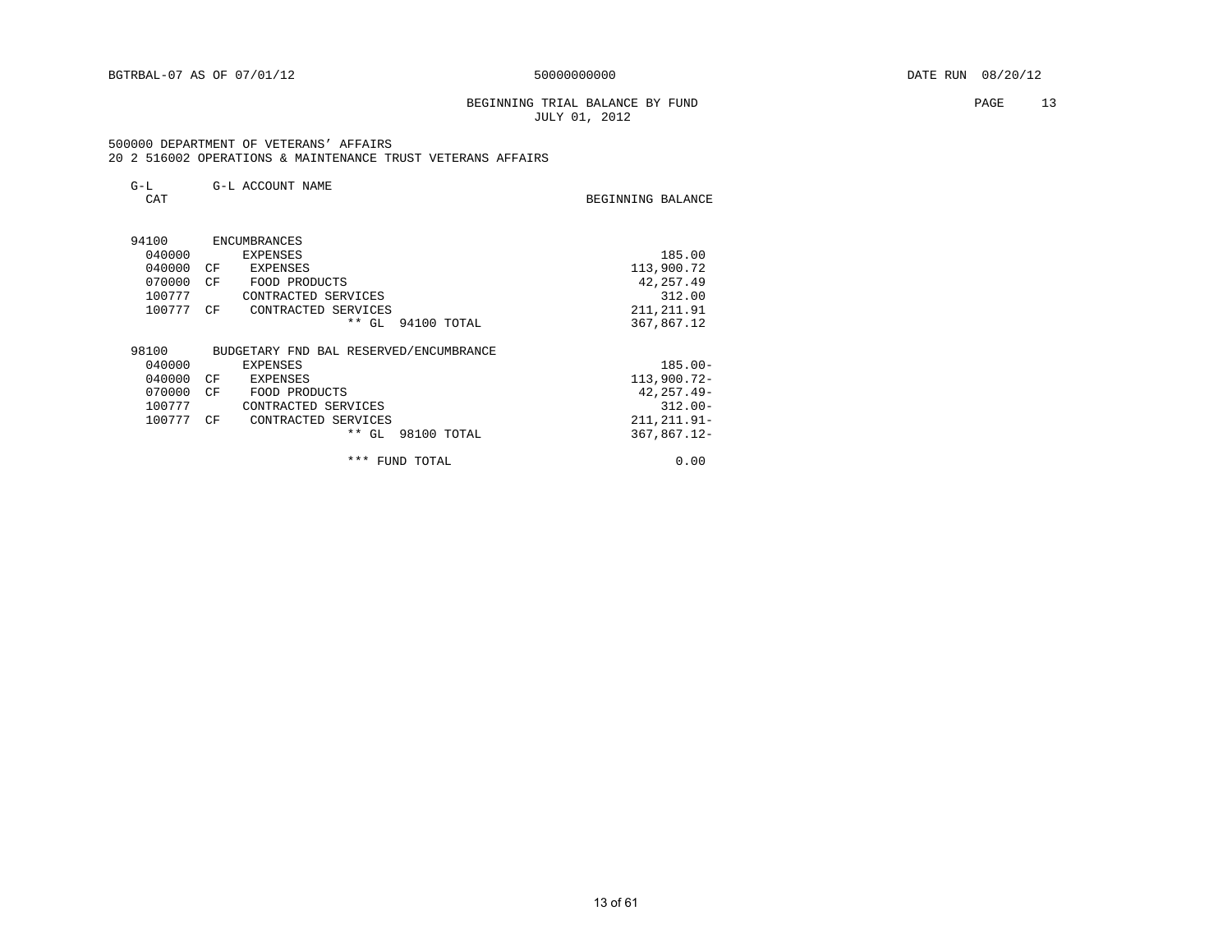#### BEGINNING TRIAL BALANCE BY FUND **PAGE** 13 JULY 01, 2012

BEGINNING BALANCE

| $G-L$<br>CAT |    | G-L ACCOUNT NAME | BEGINNING BALANC |            |
|--------------|----|------------------|------------------|------------|
| 94100        |    | ENCUMBRANCES     |                  |            |
| 040000       |    | EXPENSES         |                  | 185.00     |
| 040000       | CF | EXPENSES         |                  | 113,900.72 |

| 070000 | CF | FOOD PRODUCTS                          |             | 42, 257.49     |
|--------|----|----------------------------------------|-------------|----------------|
| 100777 |    | CONTRACTED SERVICES                    |             | 312.00         |
| 100777 | CF | CONTRACTED SERVICES                    |             | 211, 211.91    |
|        |    | $***$ GL                               | 94100 TOTAL | 367,867.12     |
| 98100  |    | BUDGETARY FND BAL RESERVED/ENCUMBRANCE |             |                |
| 040000 |    | EXPENSES                               |             | $185.00 -$     |
| 040000 | CF | EXPENSES                               |             | $113,900.72-$  |
| 070000 | CF | FOOD PRODUCTS                          |             | $42, 257.49 -$ |
| 100777 |    | CONTRACTED SERVICES                    |             | $312.00 -$     |
| 100777 | CF | CONTRACTED SERVICES                    |             | $211.211.91 -$ |
|        |    | $***$ GL                               | 98100 TOTAL | $367.867.12 -$ |
|        |    | * * *                                  | FUND TOTAL  | 0.00           |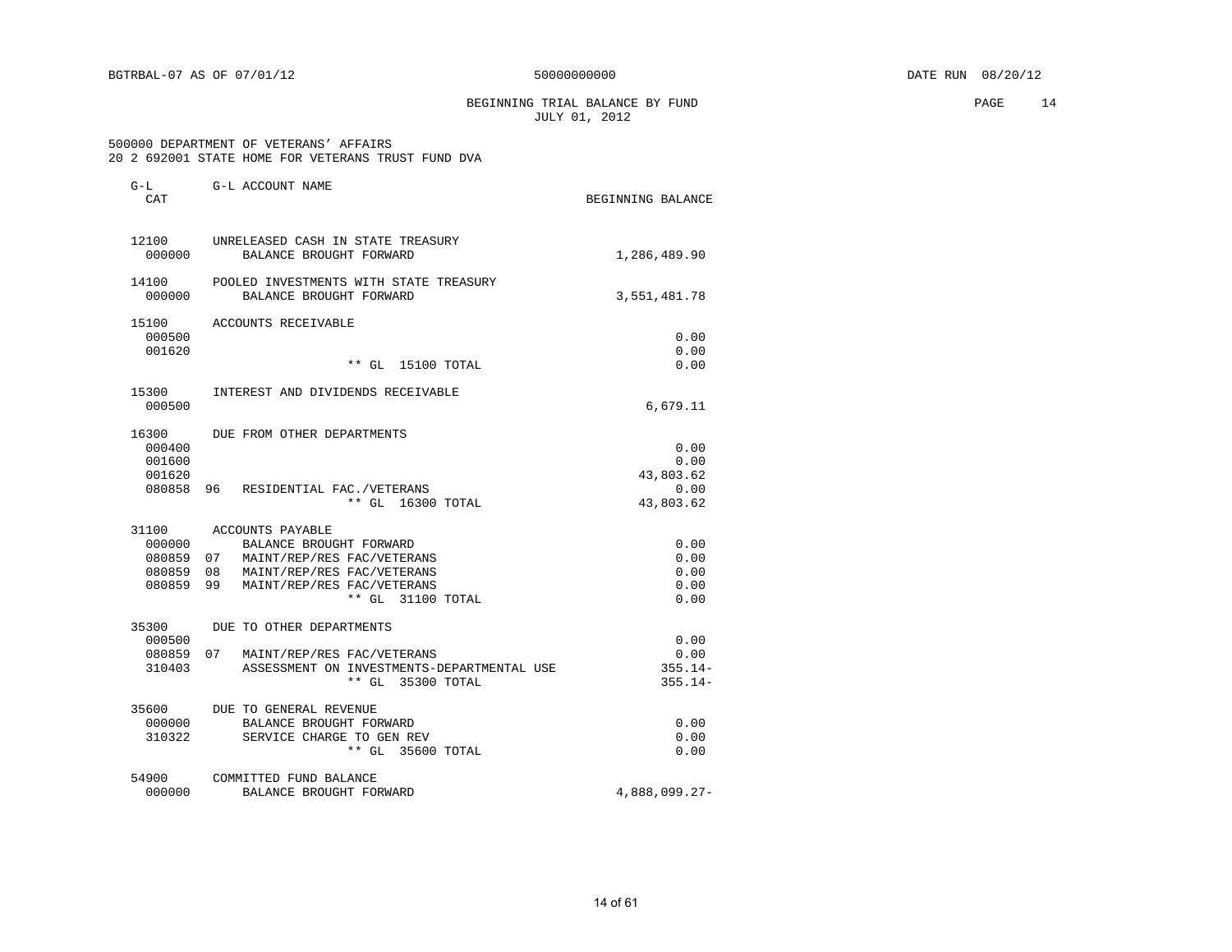BEGINNING TRIAL BALANCE BY FUND **PAGE** 14 JULY 01, 2012

#### 500000 DEPARTMENT OF VETERANS' AFFAIRS 20 2 692001 STATE HOME FOR VETERANS TRUST FUND DVA

| CAT              | G-L ACCOUNT NAME                                                  | BEGINNING BALANCE |
|------------------|-------------------------------------------------------------------|-------------------|
| 12100<br>000000  | UNRELEASED CASH IN STATE TREASURY<br>BALANCE BROUGHT FORWARD      | 1,286,489.90      |
| 14100<br>000000  | POOLED INVESTMENTS WITH STATE TREASURY<br>BALANCE BROUGHT FORWARD | 3,551,481.78      |
| 15100            | ACCOUNTS RECEIVABLE                                               |                   |
| 000500           |                                                                   | 0.00              |
| 001620           | $**$ GL<br>15100 TOTAL                                            | 0.00<br>0.00      |
| 15300            | INTEREST AND DIVIDENDS RECEIVABLE                                 |                   |
| 000500           |                                                                   | 6,679.11          |
| 16300            | DUE FROM OTHER DEPARTMENTS                                        |                   |
| 000400           |                                                                   | 0.00              |
| 001600           |                                                                   | 0.00              |
| 001620<br>080858 | 96 RESIDENTIAL FAC./VETERANS                                      | 43,803.62<br>0.00 |
|                  | ** GL 16300 TOTAL                                                 | 43,803.62         |
| 31100            | ACCOUNTS PAYABLE                                                  |                   |
| 000000           | BALANCE BROUGHT FORWARD                                           | 0.00              |
| 080859           | 07 MAINT/REP/RES FAC/VETERANS                                     | 0.00              |
| 080859           | 08 MAINT/REP/RES FAC/VETERANS                                     | 0.00              |
| 080859           | 99 MAINT/REP/RES FAC/VETERANS<br>** GL 31100 TOTAL                | 0.00<br>0.00      |
| 35300            | DUE TO OTHER DEPARTMENTS                                          |                   |
| 000500           |                                                                   | 0.00              |
|                  | 080859 07 MAINT/REP/RES FAC/VETERANS                              | 0.00              |
| 310403           | ASSESSMENT ON INVESTMENTS-DEPARTMENTAL USE                        | $355.14-$         |
|                  | ** GL 35300 TOTAL                                                 | $355.14-$         |
| 35600            | DUE TO GENERAL REVENUE                                            |                   |
| 000000           | BALANCE BROUGHT FORWARD                                           | 0.00              |
| 310322           | SERVICE CHARGE TO GEN REV<br>** GL 35600 TOTAL                    | 0.00<br>0.00      |
| 54900            | COMMITTED FUND BALANCE                                            |                   |
| 000000           | BALANCE BROUGHT FORWARD                                           | 4,888,099.27-     |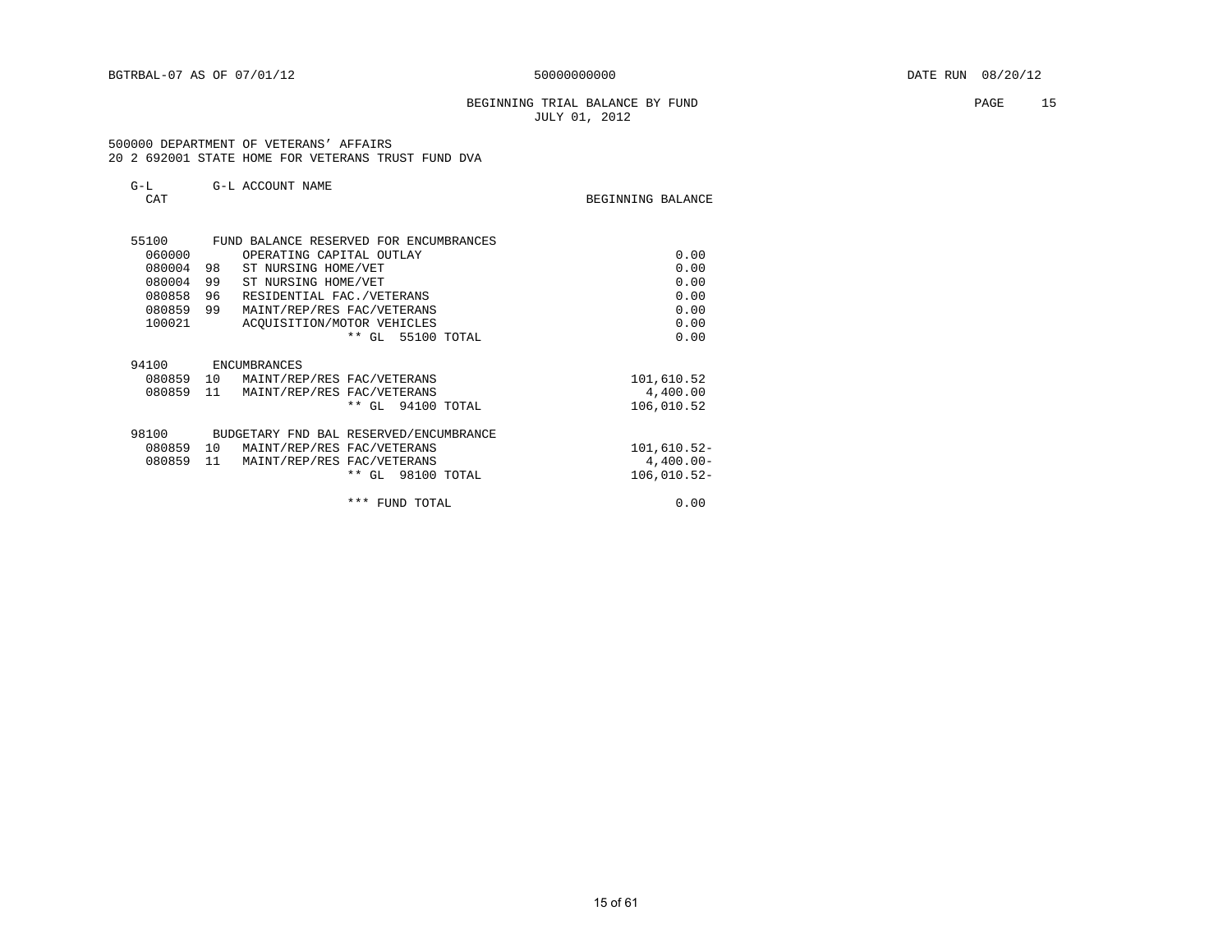### BEGINNING TRIAL BALANCE BY FUND **PAGE** 15 JULY 01, 2012

 500000 DEPARTMENT OF VETERANS' AFFAIRS 20 2 692001 STATE HOME FOR VETERANS TRUST FUND DVA

| $-$              | G-L ACCOUNT NAME |                   |  |
|------------------|------------------|-------------------|--|
| $\cap \pi$<br>◡╌ |                  | BEGINNING BALANCE |  |

| BEGINNING BALANCE |  |
|-------------------|--|
|-------------------|--|

| 55100  |              |                             |                                                                                                                                                                                                                                                                                                                                                                             |
|--------|--------------|-----------------------------|-----------------------------------------------------------------------------------------------------------------------------------------------------------------------------------------------------------------------------------------------------------------------------------------------------------------------------------------------------------------------------|
| 060000 |              |                             | 0.00                                                                                                                                                                                                                                                                                                                                                                        |
| 080004 | 98           |                             | 0.00                                                                                                                                                                                                                                                                                                                                                                        |
| 080004 | 99           |                             | 0.00                                                                                                                                                                                                                                                                                                                                                                        |
| 080858 | 96           |                             | 0.00                                                                                                                                                                                                                                                                                                                                                                        |
| 080859 | 99           |                             | 0.00                                                                                                                                                                                                                                                                                                                                                                        |
| 100021 |              |                             | 0.00                                                                                                                                                                                                                                                                                                                                                                        |
|        |              | $***$<br>GL<br>55100 TOTAL  | 0.00                                                                                                                                                                                                                                                                                                                                                                        |
|        |              |                             |                                                                                                                                                                                                                                                                                                                                                                             |
| 94100  | ENCUMBRANCES |                             |                                                                                                                                                                                                                                                                                                                                                                             |
| 080859 |              |                             | 101,610.52                                                                                                                                                                                                                                                                                                                                                                  |
| 080859 | 11           |                             | 4,400.00                                                                                                                                                                                                                                                                                                                                                                    |
|        |              | 94100 TOTAL<br>$***$<br>GL. | 106,010.52                                                                                                                                                                                                                                                                                                                                                                  |
|        |              |                             |                                                                                                                                                                                                                                                                                                                                                                             |
| 98100  |              |                             |                                                                                                                                                                                                                                                                                                                                                                             |
| 080859 | 10           |                             | $101,610.52-$                                                                                                                                                                                                                                                                                                                                                               |
| 080859 | 11           |                             | $4,400.00-$                                                                                                                                                                                                                                                                                                                                                                 |
|        |              | $***$<br>GL<br>98100 TOTAL  | $106,010.52-$                                                                                                                                                                                                                                                                                                                                                               |
|        |              |                             |                                                                                                                                                                                                                                                                                                                                                                             |
|        |              | ***<br>FUND TOTAL           | 0.00                                                                                                                                                                                                                                                                                                                                                                        |
|        |              | 10                          | FUND BALANCE RESERVED FOR ENCUMBRANCES<br>OPERATING CAPITAL OUTLAY<br>ST NURSING HOME/VET<br>ST NURSING HOME/VET<br>RESIDENTIAL FAC./VETERANS<br>MAINT/REP/RES FAC/VETERANS<br>ACOUISITION/MOTOR VEHICLES<br>MAINT/REP/RES FAC/VETERANS<br>MAINT/REP/RES FAC/VETERANS<br>BUDGETARY FND BAL RESERVED/ENCUMBRANCE<br>MAINT/REP/RES FAC/VETERANS<br>MAINT/REP/RES FAC/VETERANS |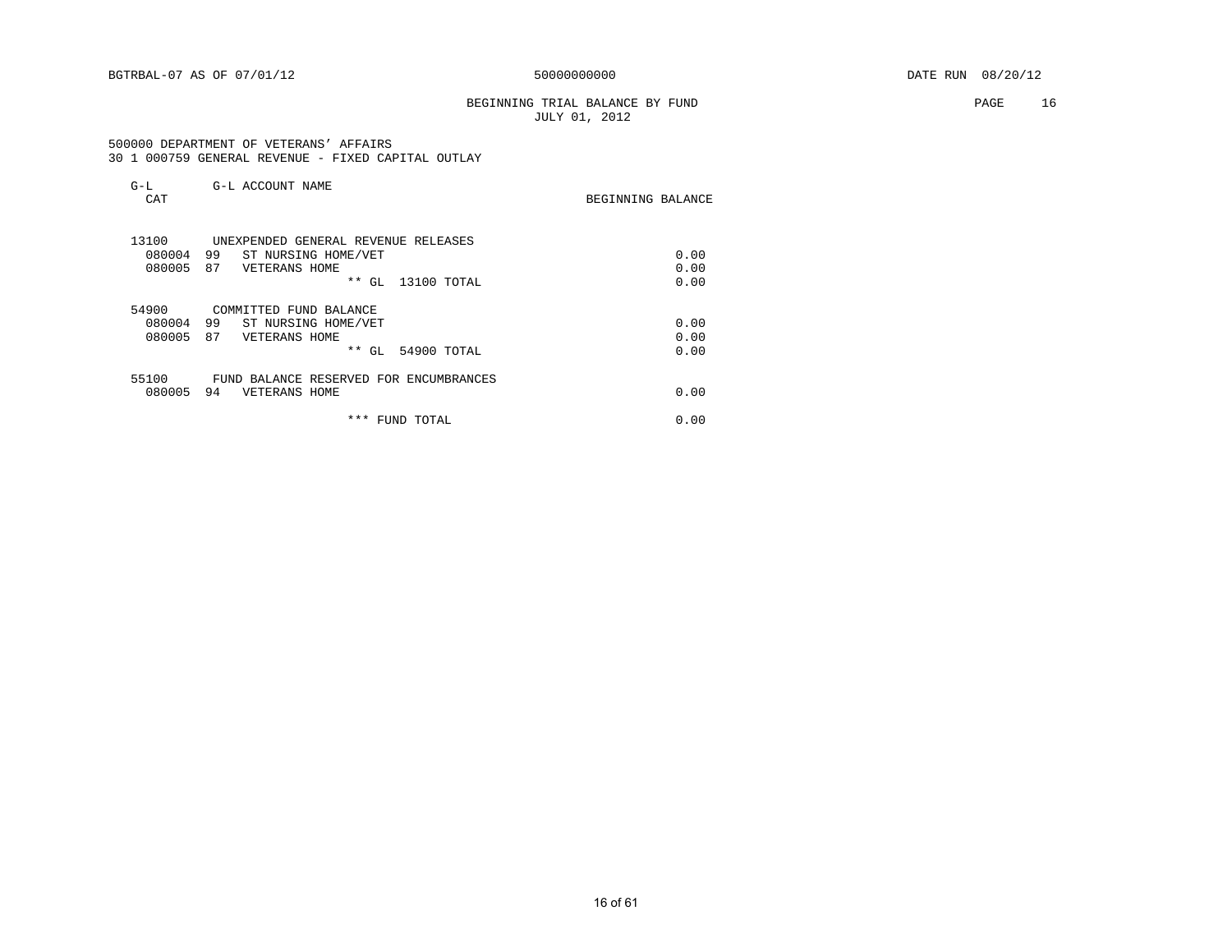### BEGINNING TRIAL BALANCE BY FUND **PAGE** 16 JULY 01, 2012

 500000 DEPARTMENT OF VETERANS' AFFAIRS 30 1 000759 GENERAL REVENUE - FIXED CAPITAL OUTLAY

| G-L<br>CAT | G-L ACCOUNT NAME                       | BEGINNING BALANCE |
|------------|----------------------------------------|-------------------|
| 13100      | UNEXPENDED GENERAL REVENUE RELEASES    |                   |
| 080004     | 99<br>ST NURSING HOME/VET              | 0.00              |
| 080005     | 87<br>VETERANS HOME                    | 0.00              |
|            | $***$<br>GL<br>13100 TOTAL             | 0.00              |
| 54900      | COMMITTED FUND BALANCE                 |                   |
| 080004     | 99<br>ST NURSING HOME/VET              | 0.00              |
| 080005     | 87<br>VETERANS HOME                    | 0.00              |
|            | $***$<br>54900 TOTAL<br>GL             | 0.00              |
| 55100      | FUND BALANCE RESERVED FOR ENCUMBRANCES |                   |
| 080005     | 94<br>VETERANS HOME                    | 0.00              |
|            | * * *<br>FUND TOTAL                    | 0.00              |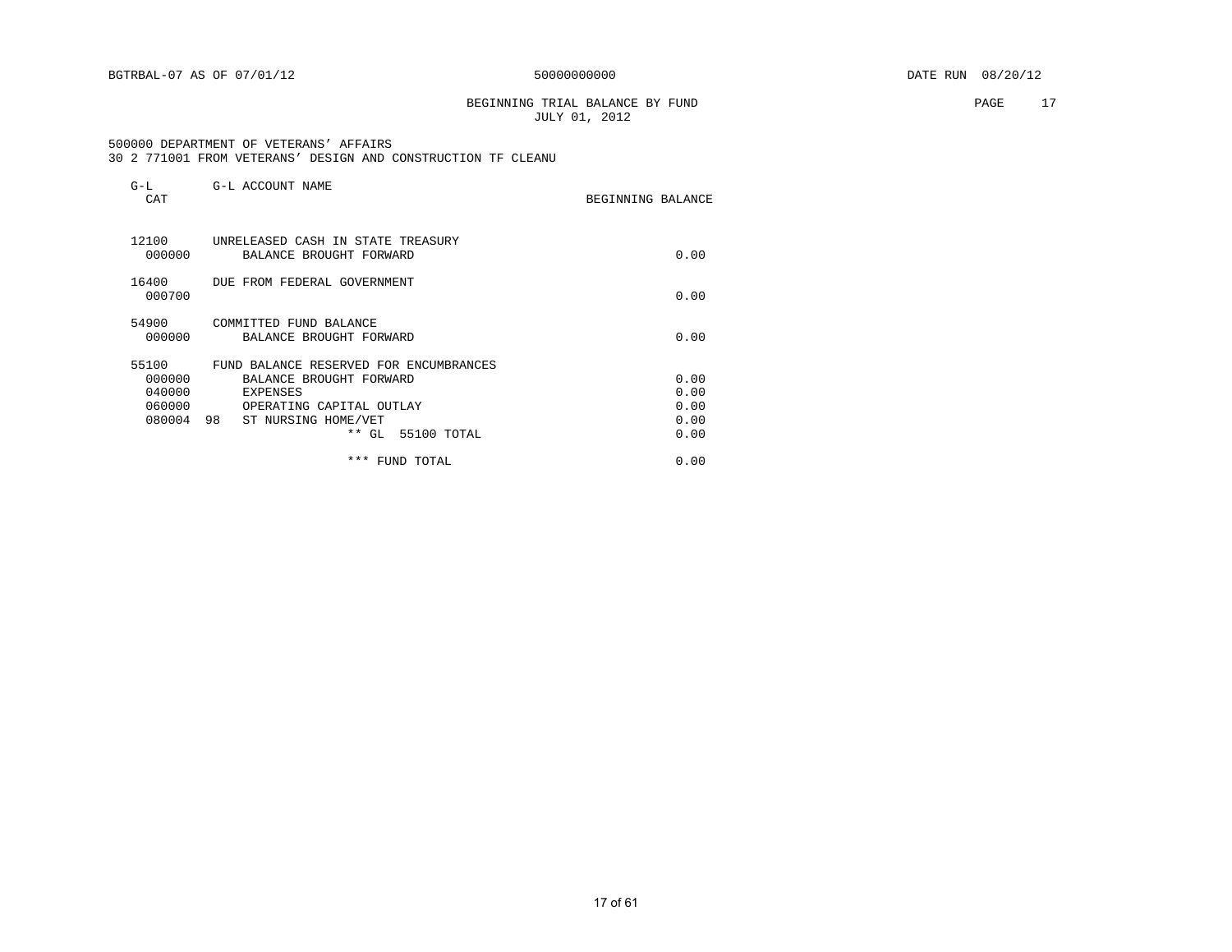BEGINNING TRIAL BALANCE BY FUND **PAGE** 17 JULY 01, 2012

#### 500000 DEPARTMENT OF VETERANS' AFFAIRS 30 2 771001 FROM VETERANS' DESIGN AND CONSTRUCTION TF CLEANU

| $G-L$<br>CAT                                  | G-L ACCOUNT NAME                                                                                                                                                         | BEGINNING BALANCE                    |
|-----------------------------------------------|--------------------------------------------------------------------------------------------------------------------------------------------------------------------------|--------------------------------------|
| 12100<br>000000                               | UNRELEASED CASH IN STATE TREASURY<br>BALANCE BROUGHT FORWARD                                                                                                             | 0.00                                 |
| 16400<br>000700                               | DUE FROM FEDERAL GOVERNMENT                                                                                                                                              | 0.00                                 |
| 54900<br>000000                               | COMMITTED FUND BALANCE<br>BALANCE BROUGHT FORWARD                                                                                                                        | 0.00                                 |
| 55100<br>000000<br>040000<br>060000<br>080004 | FUND BALANCE RESERVED FOR ENCUMBRANCES<br>BALANCE BROUGHT FORWARD<br><b>EXPENSES</b><br>OPERATING CAPITAL OUTLAY<br>98<br>ST NURSING HOME/VET<br>55100 TOTAL<br>$***$ GL | 0.00<br>0.00<br>0.00<br>0.00<br>0.00 |
|                                               | *** FUND TOTAL                                                                                                                                                           | 0.00                                 |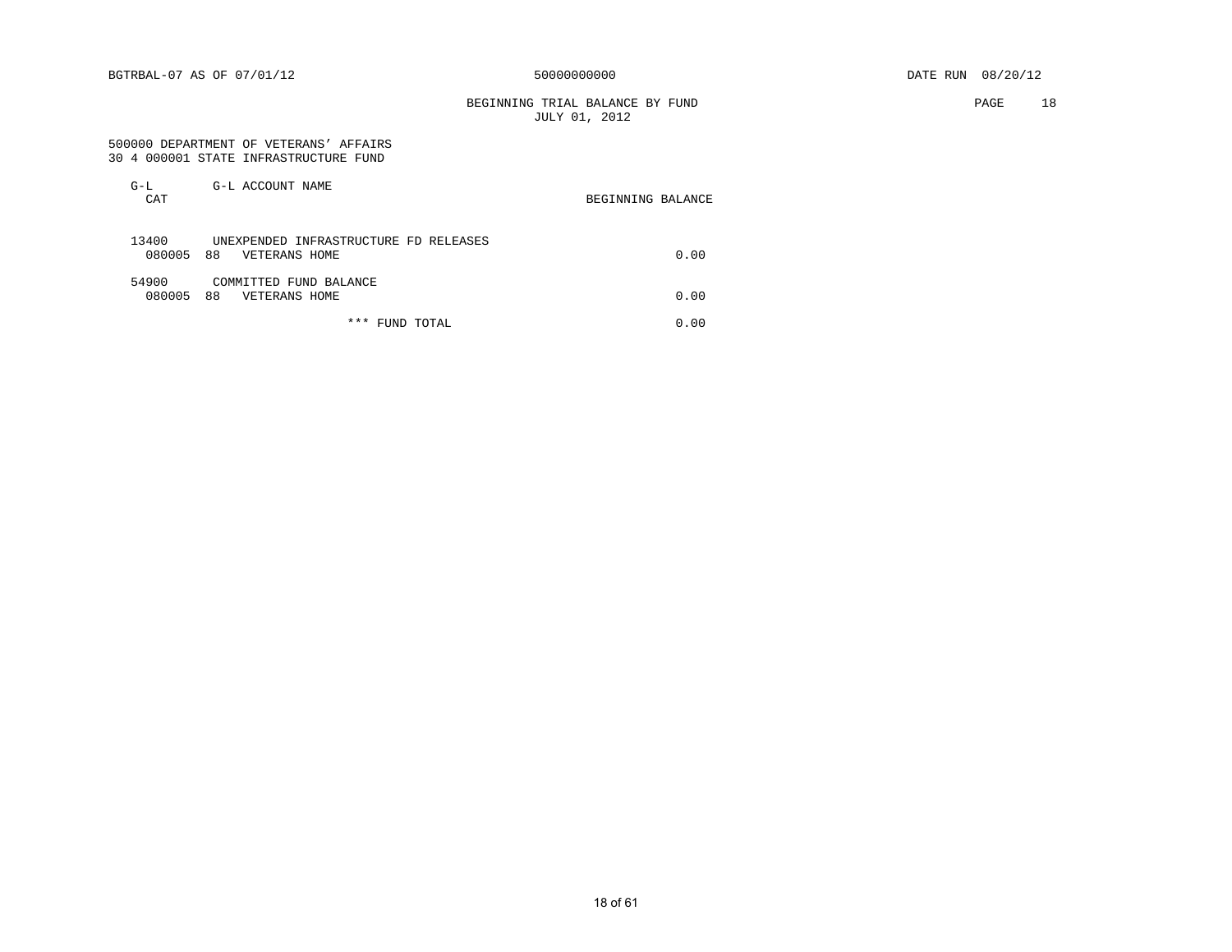BEGINNING TRIAL BALANCE BY FUND PAGE 18 JULY 01, 2012

#### 500000 DEPARTMENT OF VETERANS' AFFAIRS 30 4 000001 STATE INFRASTRUCTURE FUND

| G-L<br>CAT      | G-L ACCOUNT NAME                                             | BEGINNING BALANCE |
|-----------------|--------------------------------------------------------------|-------------------|
| 13400<br>080005 | UNEXPENDED INFRASTRUCTURE FD RELEASES<br>88<br>VETERANS HOME | 0.00              |
| 54900<br>080005 | COMMITTED FUND BALANCE<br>88<br>VETERANS HOME                | 0.00              |

\*\*\* FUND TOTAL 0.00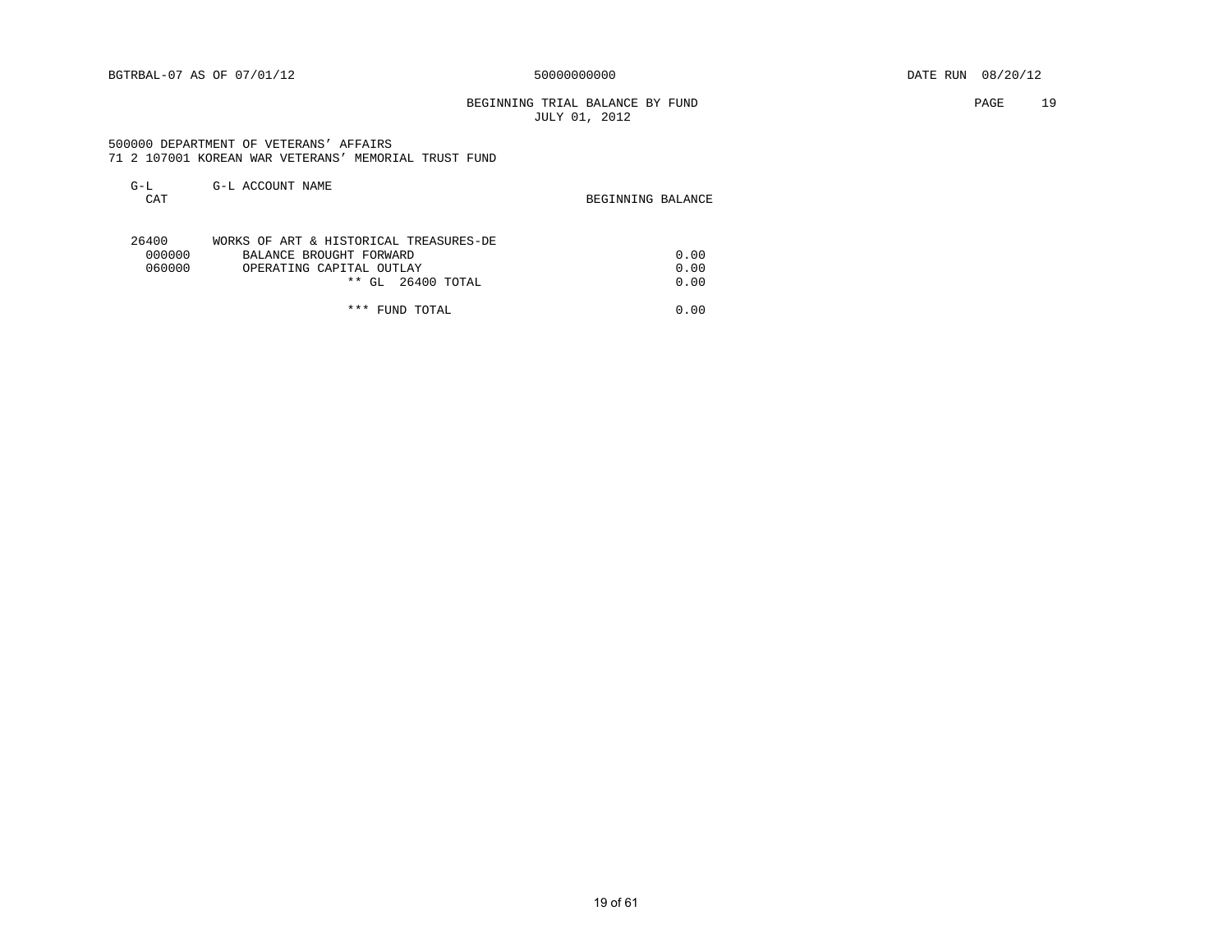### BEGINNING TRIAL BALANCE BY FUND **PAGE** 19 JULY 01, 2012

 500000 DEPARTMENT OF VETERANS' AFFAIRS 71 2 107001 KOREAN WAR VETERANS' MEMORIAL TRUST FUND

| G-L    | G-L ACCOUNT NAME                       |                   |
|--------|----------------------------------------|-------------------|
| CAT    |                                        | BEGINNING BALANCE |
|        |                                        |                   |
| 26400  | WORKS OF ART & HISTORICAL TREASURES-DE |                   |
| 000000 | BALANCE BROUGHT FORWARD                | 0.00              |
| 060000 | OPERATING CAPITAL OUTLAY               | 0.00              |
|        | 26400 TOTAL<br>$**$ GL                 | 0.00              |

\*\*\* FUND TOTAL 0.00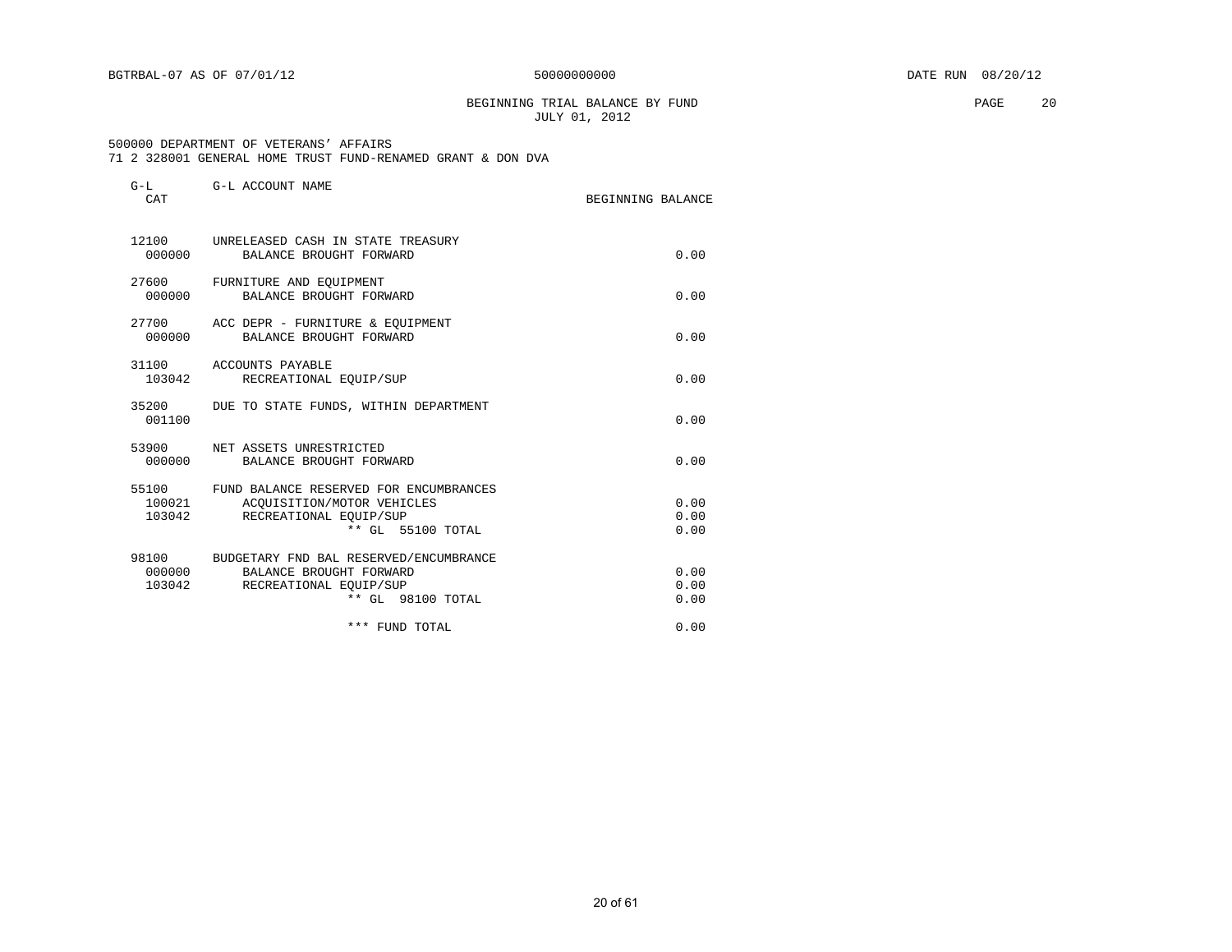BEGINNING TRIAL BALANCE BY FUND **PAGE** 20 JULY 01, 2012

#### 500000 DEPARTMENT OF VETERANS' AFFAIRS 71 2 328001 GENERAL HOME TRUST FUND-RENAMED GRANT & DON DVA

| $G-L$<br>CAT     | G-L ACCOUNT NAME                                                                                                              | BEGINNING BALANCE    |
|------------------|-------------------------------------------------------------------------------------------------------------------------------|----------------------|
|                  | 12100 UNRELEASED CASH IN STATE TREASURY<br>000000 BALANCE BROUGHT FORWARD                                                     | 0.00                 |
| 000000           | 27600 FURNITURE AND EQUIPMENT<br>BALANCE BROUGHT FORWARD                                                                      | 0.00                 |
|                  | 27700 ACC DEPR - FURNITURE & EQUIPMENT<br>000000 BALANCE BROUGHT FORWARD                                                      | 0.00                 |
| 103042           | 31100 ACCOUNTS PAYABLE<br>RECREATIONAL EQUIP/SUP                                                                              | 0.00                 |
| 001100           | 35200 DUE TO STATE FUNDS, WITHIN DEPARTMENT                                                                                   | 0.00                 |
|                  | 53900 NET ASSETS UNRESTRICTED<br>000000 BALANCE BROUGHT FORWARD                                                               | 0.00                 |
| 100021<br>103042 | 55100 FUND BALANCE RESERVED FOR ENCUMBRANCES<br>ACOUISITION/MOTOR VEHICLES<br>RECREATIONAL EOUIP/SUP<br>** GL 55100 TOTAL     | 0.00<br>0.00<br>0.00 |
| 103042           | 98100 BUDGETARY FND BAL RESERVED/ENCUMBRANCE<br>000000 BALANCE BROUGHT FORWARD<br>RECREATIONAL EQUIP/SUP<br>** GL 98100 TOTAL | 0.00<br>0.00<br>0.00 |
|                  | *** FUND TOTAL                                                                                                                | 0.00                 |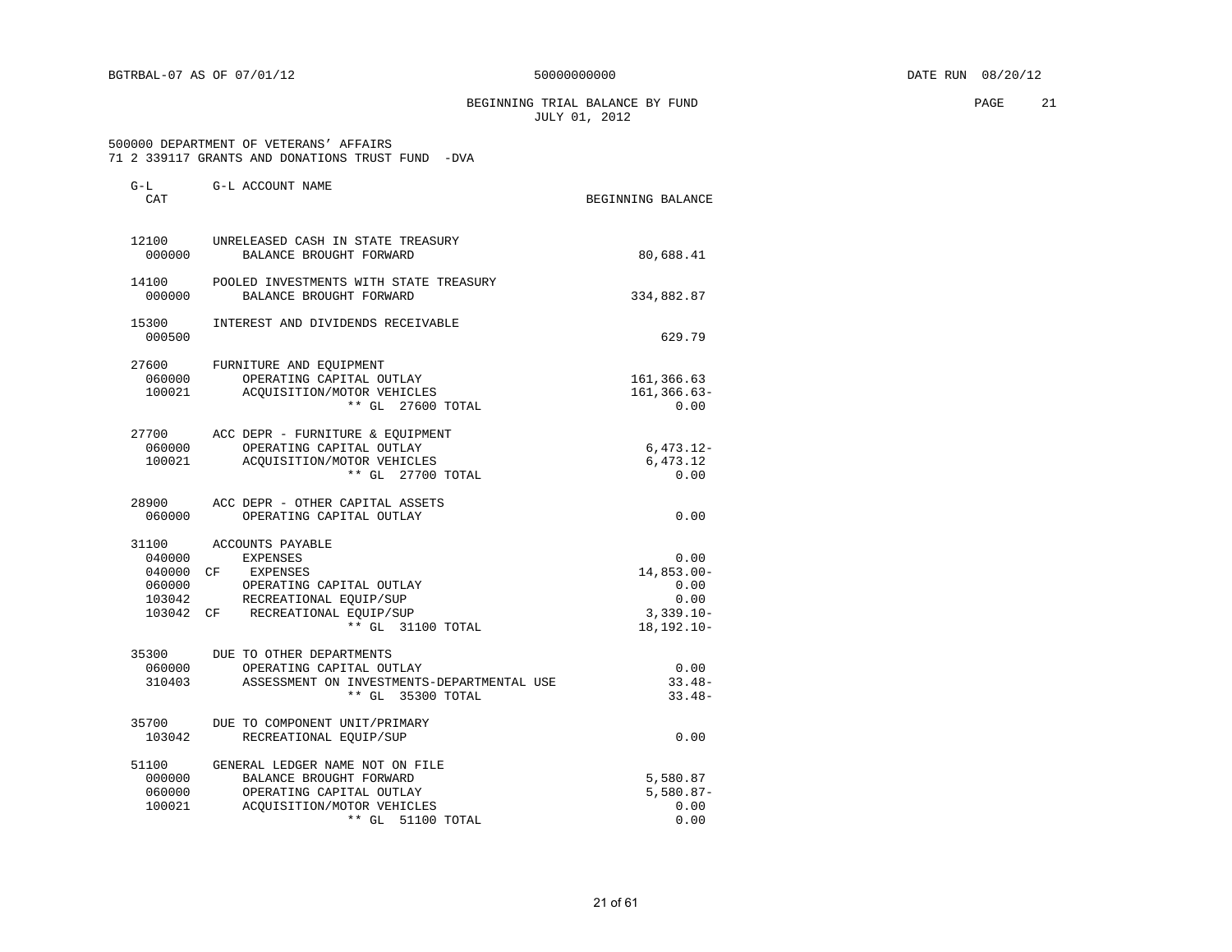BEGINNING TRIAL BALANCE BY FUND **PAGE** 21 JULY 01, 2012

#### 500000 DEPARTMENT OF VETERANS' AFFAIRS 71 2 339117 GRANTS AND DONATIONS TRUST FUND -DVA

| G-L<br>CAT | G-L ACCOUNT NAME                           | BEGINNING BALANCE |
|------------|--------------------------------------------|-------------------|
|            |                                            |                   |
| 12100      | UNRELEASED CASH IN STATE TREASURY          |                   |
| 000000     | BALANCE BROUGHT FORWARD                    | 80,688.41         |
| 14100      | POOLED INVESTMENTS WITH STATE TREASURY     |                   |
| 000000     | BALANCE BROUGHT FORWARD                    | 334,882.87        |
| 15300      | INTEREST AND DIVIDENDS RECEIVABLE          |                   |
| 000500     |                                            | 629.79            |
| 27600      | FURNITURE AND EQUIPMENT                    |                   |
| 060000     | OPERATING CAPITAL OUTLAY                   | 161,366.63        |
| 100021     | ACOUISITION/MOTOR VEHICLES                 | $161, 366.63 -$   |
|            | ** GL 27600 TOTAL                          | 0.00              |
|            | 27700 ACC DEPR - FURNITURE & EQUIPMENT     |                   |
| 060000     | OPERATING CAPITAL OUTLAY                   | $6,473.12-$       |
| 100021     | ACOUISITION/MOTOR VEHICLES                 | 6,473.12          |
|            | ** GL 27700 TOTAL                          | 0.00              |
| 28900      | ACC DEPR - OTHER CAPITAL ASSETS            |                   |
| 060000     | OPERATING CAPITAL OUTLAY                   | 0.00              |
| 31100      | ACCOUNTS PAYABLE                           |                   |
| 040000     | EXPENSES                                   | 0.00              |
|            | 040000 CF EXPENSES                         | $14,853.00-$      |
| 060000     | OPERATING CAPITAL OUTLAY                   | 0.00              |
| 103042     | RECREATIONAL EQUIP/SUP                     | 0.00              |
|            | 103042 CF RECREATIONAL EQUIP/SUP           | $3,339.10 -$      |
|            | ** GL 31100 TOTAL                          | $18, 192, 10 -$   |
| 35300      | DUE TO OTHER DEPARTMENTS                   |                   |
| 060000     | OPERATING CAPITAL OUTLAY                   | 0.00              |
| 310403     | ASSESSMENT ON INVESTMENTS-DEPARTMENTAL USE | $33.48-$          |
|            | ** GL 35300 TOTAL                          | $33.48-$          |
| 35700      | DUE TO COMPONENT UNIT/PRIMARY              |                   |
| 103042     | RECREATIONAL EQUIP/SUP                     | 0.00              |
| 51100      | GENERAL LEDGER NAME NOT ON FILE            |                   |
| 000000     | BALANCE BROUGHT FORWARD                    | 5,580.87          |
| 060000     | OPERATING CAPITAL OUTLAY                   | $5,580.87-$       |
| 100021     | ACOUISITION/MOTOR VEHICLES                 | 0.00              |
|            | $**$ GL<br>51100 TOTAL                     | 0.00              |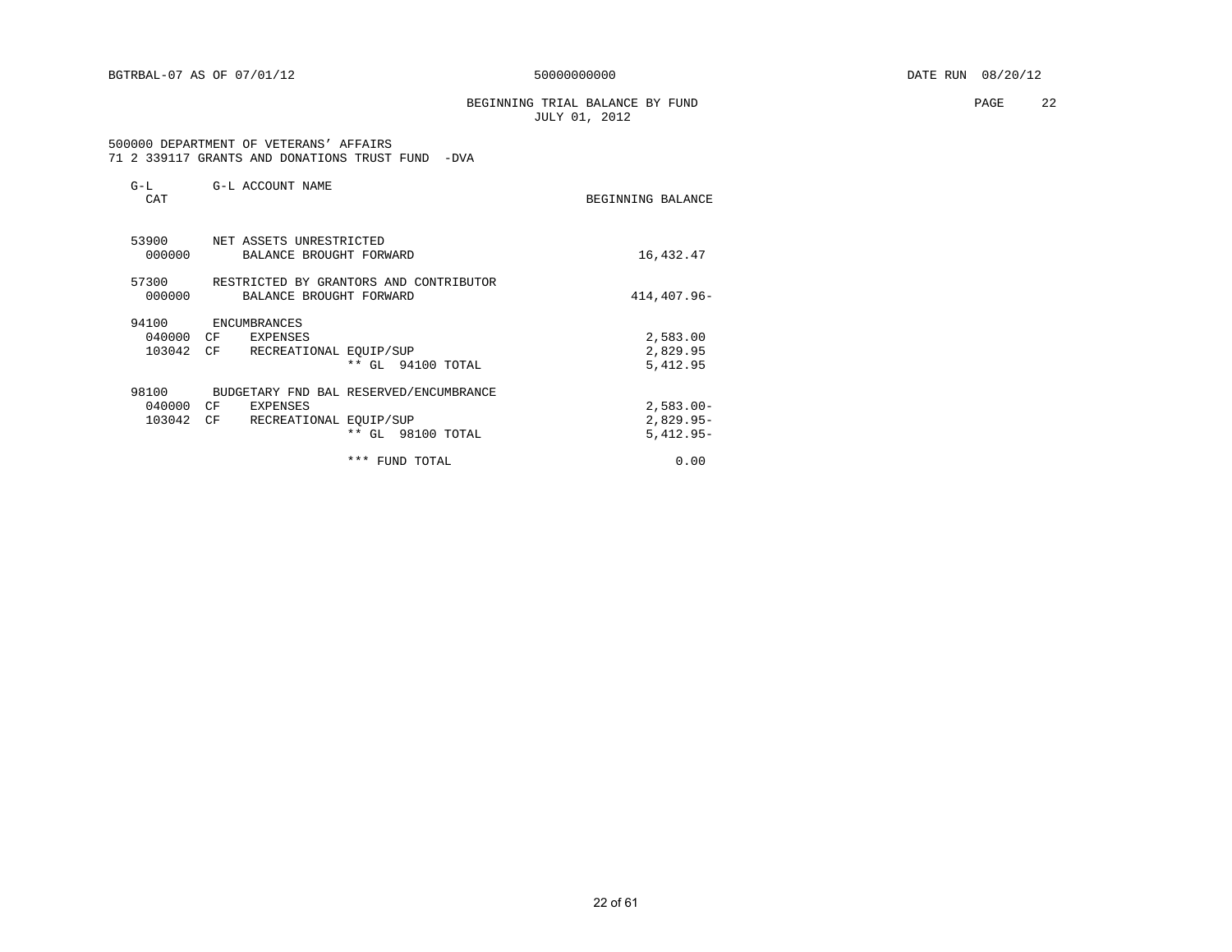BEGINNING TRIAL BALANCE BY FUND **PAGE** 22 JULY 01, 2012

#### 500000 DEPARTMENT OF VETERANS' AFFAIRS 71 2 339117 GRANTS AND DONATIONS TRUST FUND -DVA

| $G-L$<br>CAT                 | G-L ACCOUNT NAME                                                                                                     | BEGINNING BALANCE                          |
|------------------------------|----------------------------------------------------------------------------------------------------------------------|--------------------------------------------|
| 53900<br>000000              | NET ASSETS UNRESTRICTED<br>BALANCE BROUGHT FORWARD                                                                   | 16,432.47                                  |
| 57300<br>000000              | RESTRICTED BY GRANTORS AND CONTRIBUTOR<br>BALANCE BROUGHT FORWARD                                                    | 414,407.96-                                |
| 94100<br>040000<br>103042 CF | ENCUMBRANCES<br>CF <sup></sup><br>EXPENSES<br>RECREATIONAL EOUIP/SUP<br>** GL 94100 TOTAL                            | 2,583.00<br>2,829.95<br>5,412.95           |
| 98100<br>040000<br>103042    | BUDGETARY FND BAL RESERVED/ENCUMBRANCE<br>CF<br><b>EXPENSES</b><br>CF<br>RECREATIONAL EQUIP/SUP<br>** GL 98100 TOTAL | $2,583.00 -$<br>$2,829.95-$<br>$5,412.95-$ |
|                              | *** FUND TOTAL                                                                                                       | 0.00                                       |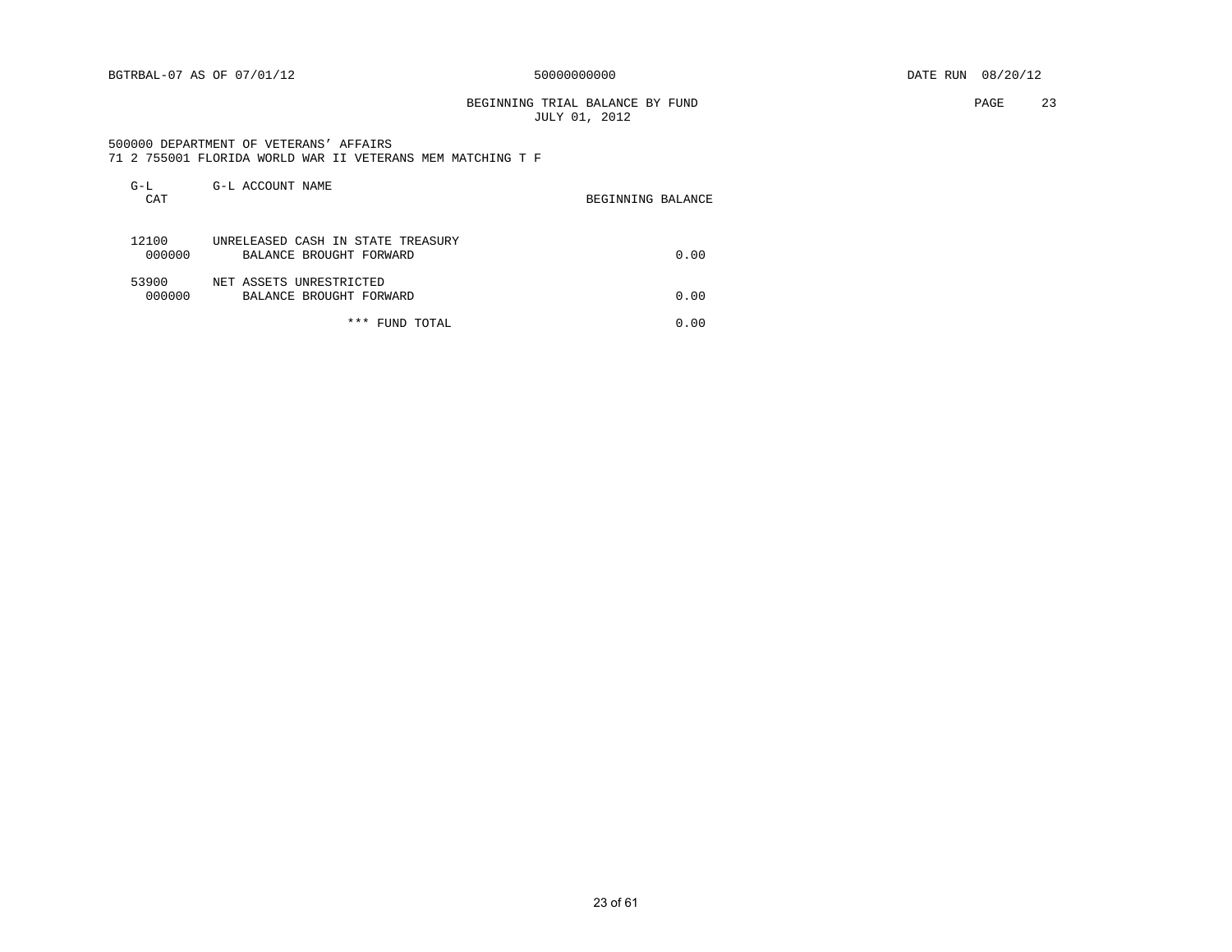### BEGINNING TRIAL BALANCE BY FUND **PAGE** 23 JULY 01, 2012

 500000 DEPARTMENT OF VETERANS' AFFAIRS 71 2 755001 FLORIDA WORLD WAR II VETERANS MEM MATCHING T F

| $G-L$<br>CAT    | G-L ACCOUNT NAME                                             | BEGINNING BALANCE |
|-----------------|--------------------------------------------------------------|-------------------|
| 12100<br>000000 | UNRELEASED CASH IN STATE TREASURY<br>BALANCE BROUGHT FORWARD | 0.00              |
| 53900<br>000000 | NET ASSETS UNRESTRICTED<br>BALANCE BROUGHT FORWARD           | 0.00              |
|                 | * * *<br>FUND TOTAL                                          | 0.00              |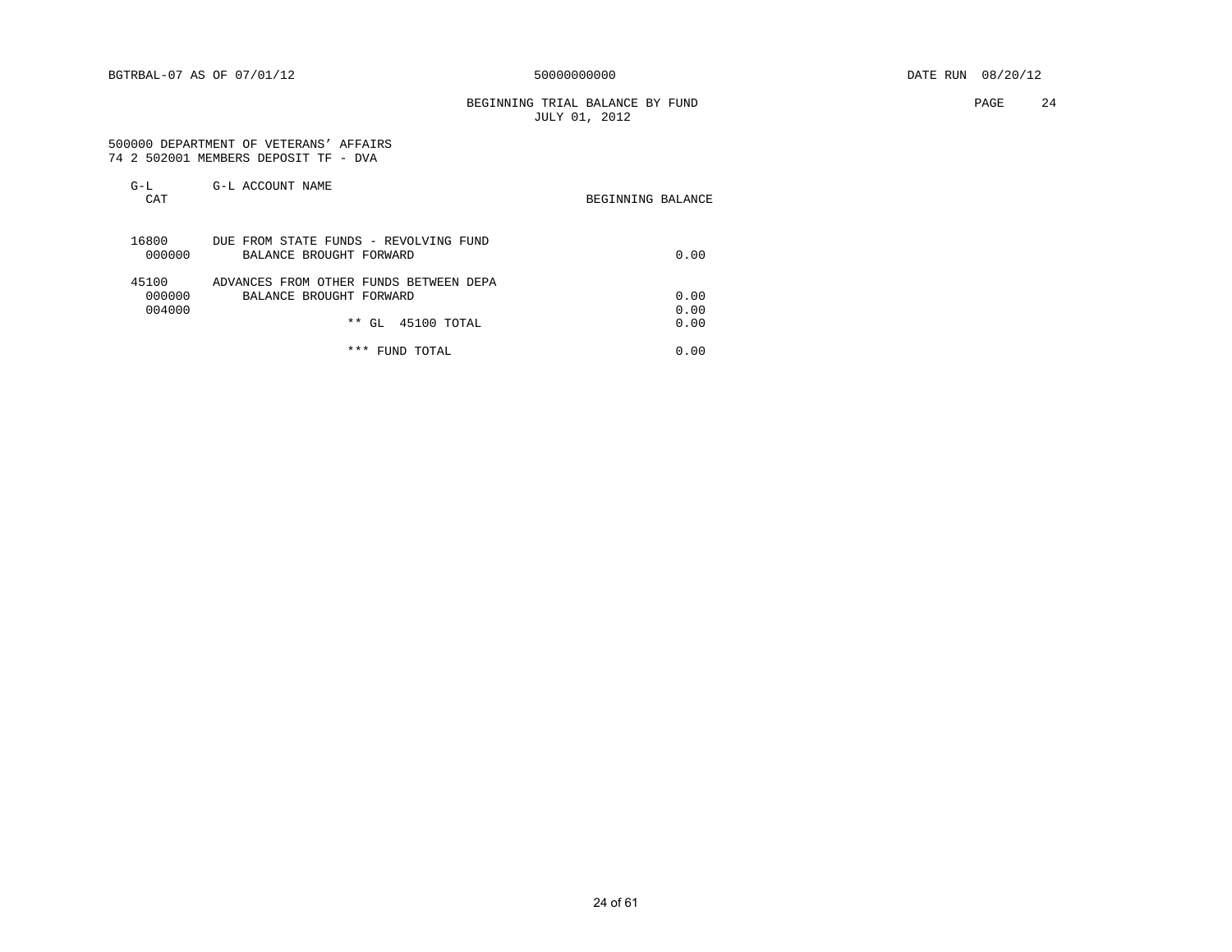BEGINNING TRIAL BALANCE BY FUND **PAGE** 24 JULY 01, 2012

#### 500000 DEPARTMENT OF VETERANS' AFFAIRS 74 2 502001 MEMBERS DEPOSIT TF - DVA

| $G-L$<br>CAT              | G-L ACCOUNT NAME                                                  | BEGINNING BALANCE |
|---------------------------|-------------------------------------------------------------------|-------------------|
| 16800<br>000000           | DUE FROM STATE FUNDS - REVOLVING FUND<br>BALANCE BROUGHT FORWARD  | 0.00              |
| 45100<br>000000<br>004000 | ADVANCES FROM OTHER FUNDS BETWEEN DEPA<br>BALANCE BROUGHT FORWARD | 0.00<br>0.00      |
|                           | 45100 TOTAL<br>$**$ GL                                            | 0.00              |
|                           | * * *<br>FUND TOTAL                                               | 0.00              |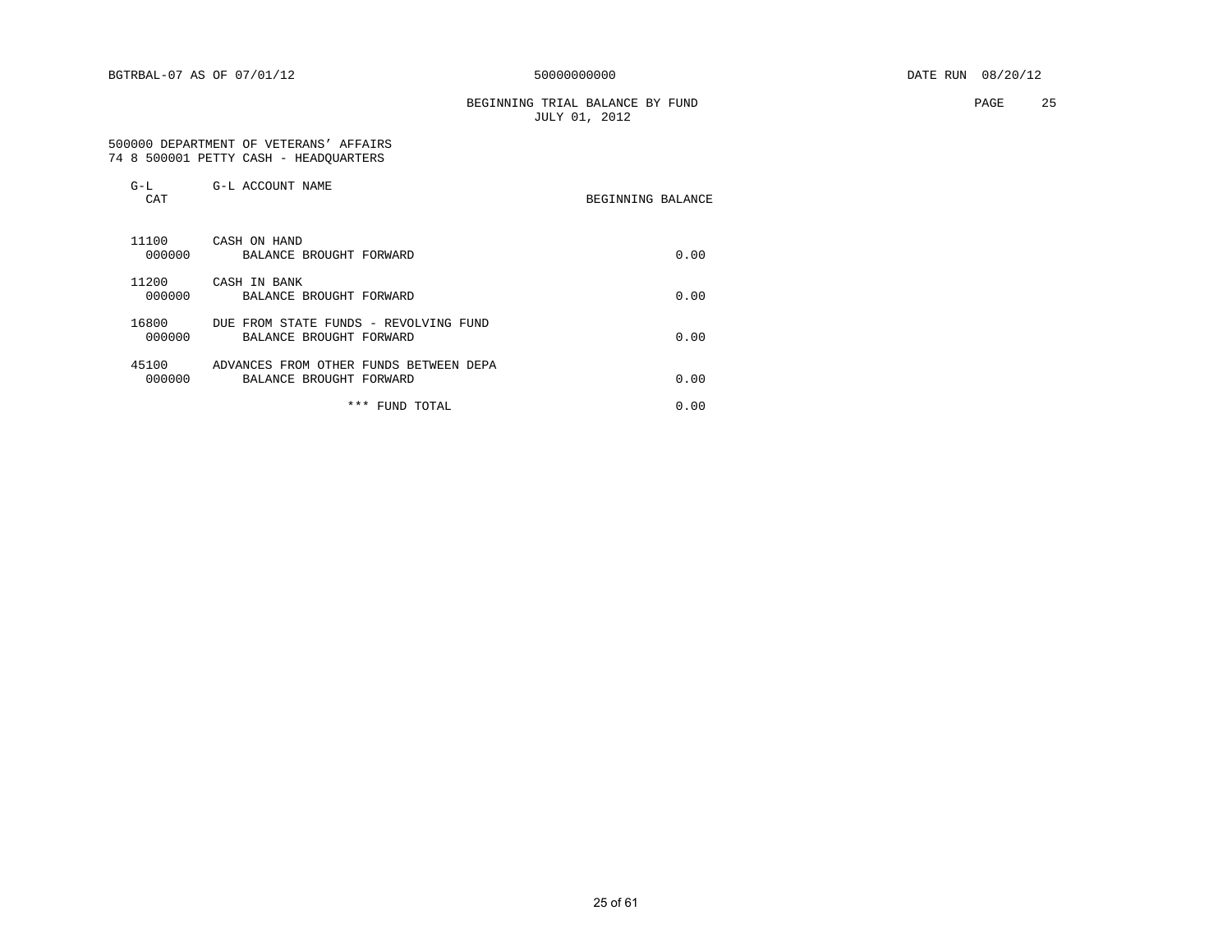BEGINNING TRIAL BALANCE BY FUND **EXAMPLE 25** PAGE 25 JULY 01, 2012

 500000 DEPARTMENT OF VETERANS' AFFAIRS 74 8 500001 PETTY CASH - HEADQUARTERS

| $G-L$<br>CAT    | G-L ACCOUNT NAME                                                  | BEGINNING BALANCE |      |
|-----------------|-------------------------------------------------------------------|-------------------|------|
| 11100<br>000000 | CASH ON HAND<br>BALANCE BROUGHT FORWARD                           |                   | 0.00 |
| 11200<br>000000 | CASH IN BANK<br>BALANCE BROUGHT FORWARD                           |                   | 0.00 |
| 16800<br>000000 | DUE FROM STATE FUNDS - REVOLVING FUND<br>BALANCE BROUGHT FORWARD  |                   | 0.00 |
| 45100<br>000000 | ADVANCES FROM OTHER FUNDS BETWEEN DEPA<br>BALANCE BROUGHT FORWARD |                   | 0.00 |
|                 | *** FUND TOTAL                                                    |                   | 0.00 |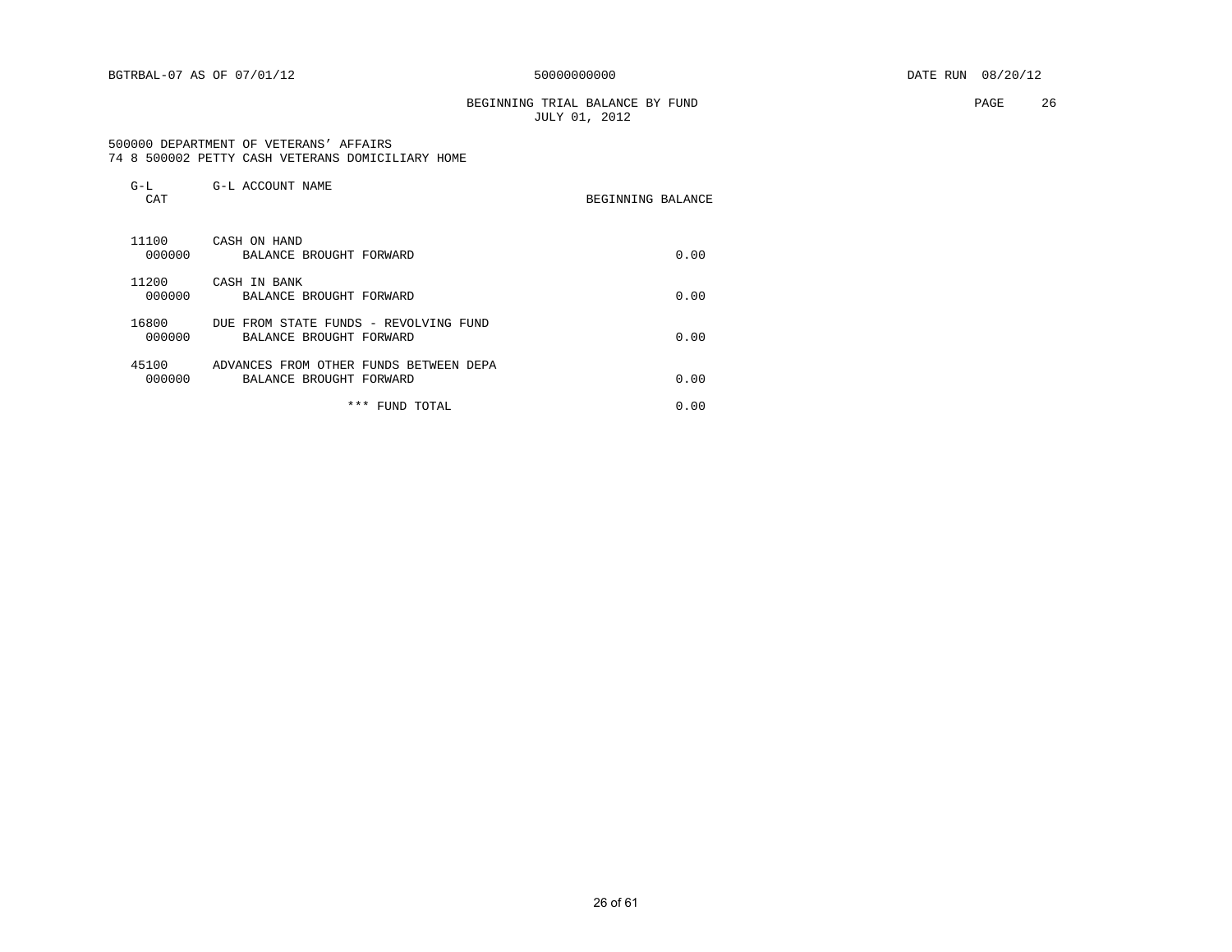### BEGINNING TRIAL BALANCE BY FUND **PAGE** 26 JULY 01, 2012

 500000 DEPARTMENT OF VETERANS' AFFAIRS 74 8 500002 PETTY CASH VETERANS DOMICILIARY HOME

| $G-L$<br>CAT    | G-L ACCOUNT NAME                                                  | BEGINNING BALANCE |
|-----------------|-------------------------------------------------------------------|-------------------|
| 11100<br>000000 | CASH ON HAND<br>BALANCE BROUGHT FORWARD                           | 0.00              |
| 11200<br>000000 | CASH IN BANK<br>BALANCE BROUGHT FORWARD                           | 0.00              |
| 16800<br>000000 | DUE FROM STATE FUNDS - REVOLVING FUND<br>BALANCE BROUGHT FORWARD  | 0.00              |
| 45100<br>000000 | ADVANCES FROM OTHER FUNDS BETWEEN DEPA<br>BALANCE BROUGHT FORWARD | 0.00              |
|                 | * * *<br>FUND TOTAL                                               | 0.00              |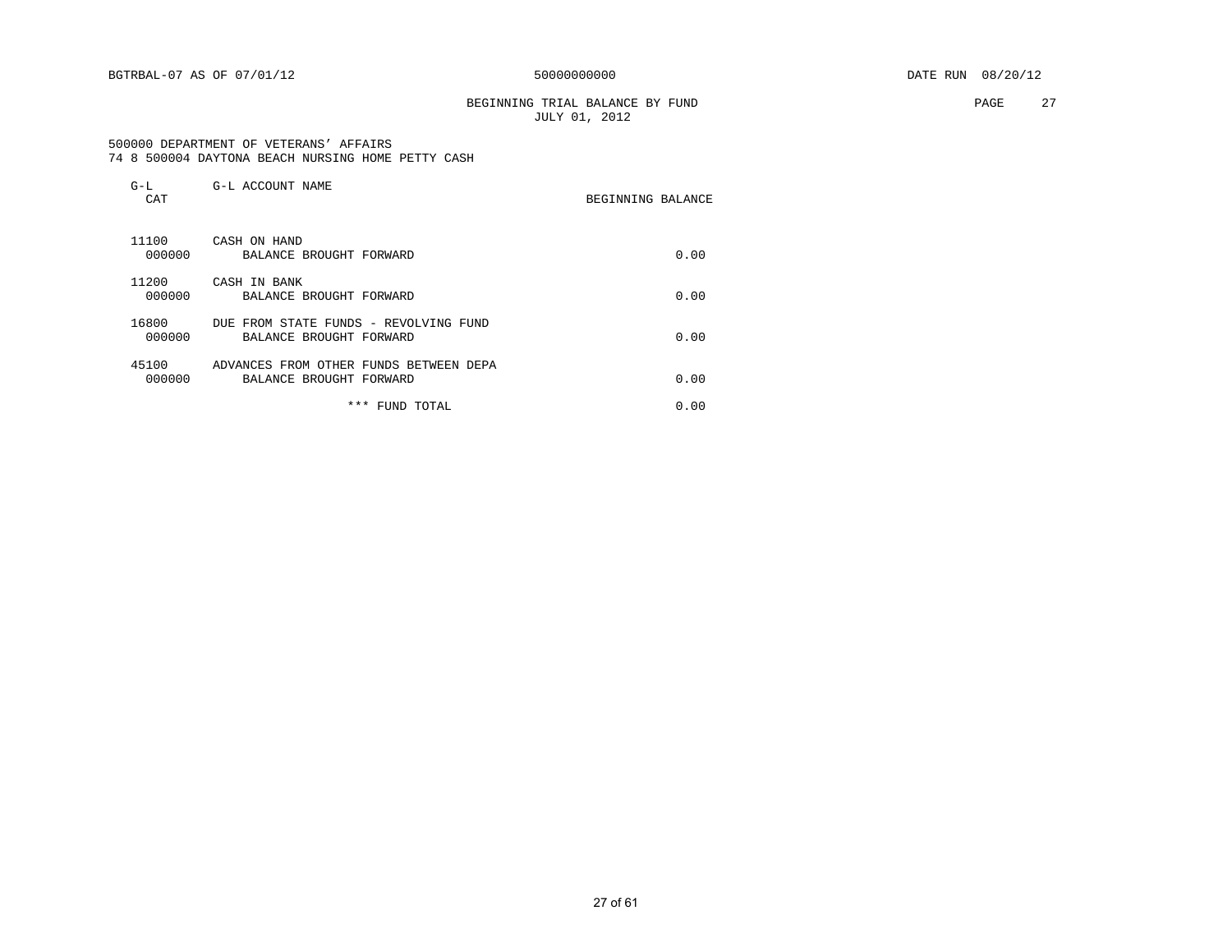BEGINNING TRIAL BALANCE BY FUND **PAGE** 27 JULY 01, 2012

#### 500000 DEPARTMENT OF VETERANS' AFFAIRS 74 8 500004 DAYTONA BEACH NURSING HOME PETTY CASH

| $G-L$<br>CAT    | G-L ACCOUNT NAME                                                  | BEGINNING BALANCE |      |
|-----------------|-------------------------------------------------------------------|-------------------|------|
| 11100<br>000000 | CASH ON HAND<br>BALANCE BROUGHT FORWARD                           |                   | 0.00 |
| 11200<br>000000 | CASH IN BANK<br>BALANCE BROUGHT FORWARD                           |                   | 0.00 |
| 16800<br>000000 | DUE FROM STATE FUNDS - REVOLVING FUND<br>BALANCE BROUGHT FORWARD  |                   | 0.00 |
| 45100<br>000000 | ADVANCES FROM OTHER FUNDS BETWEEN DEPA<br>BALANCE BROUGHT FORWARD |                   | 0.00 |
|                 | * * *<br>FUND TOTAL                                               |                   | 0.00 |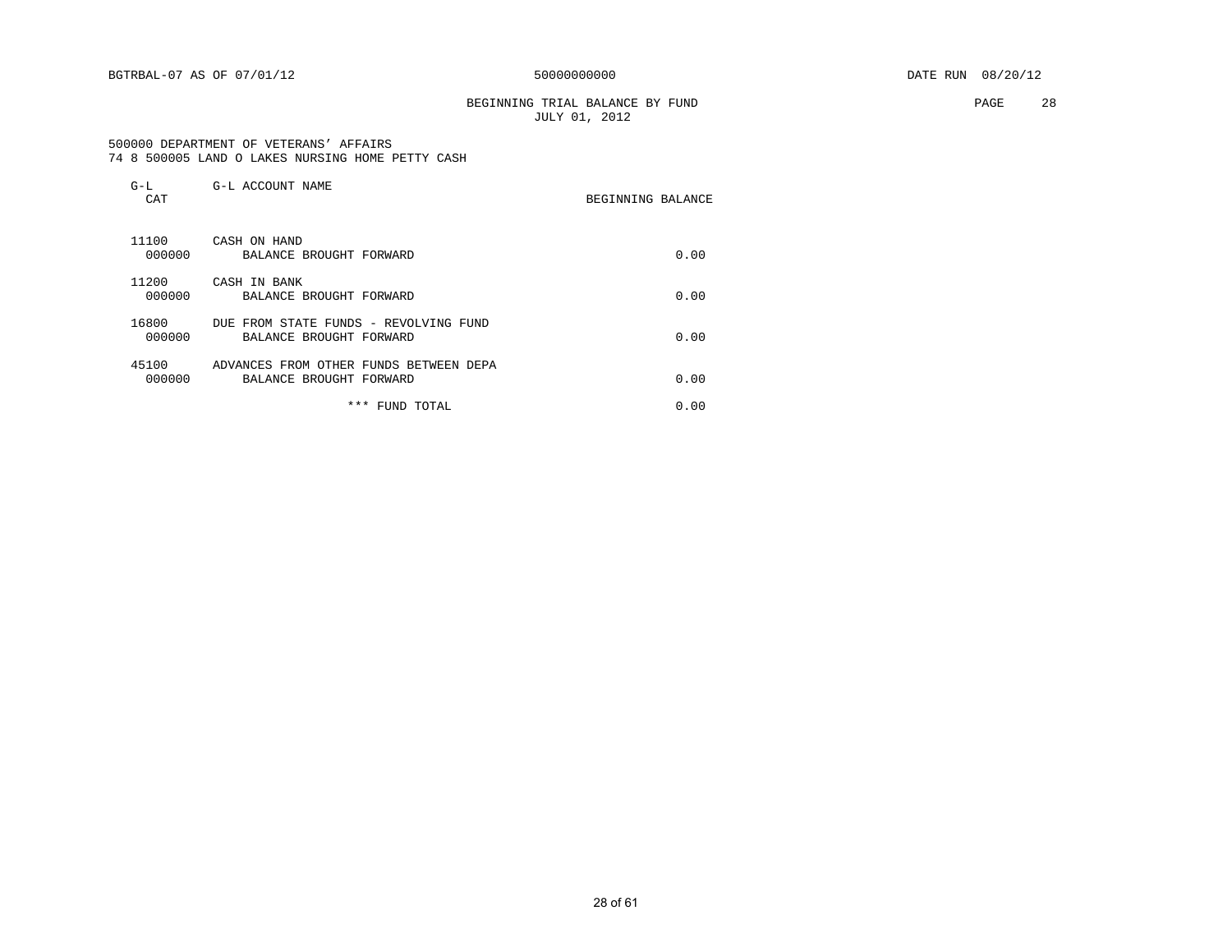BEGINNING TRIAL BALANCE BY FUND **PAGE** 28 JULY 01, 2012

#### 500000 DEPARTMENT OF VETERANS' AFFAIRS 74 8 500005 LAND O LAKES NURSING HOME PETTY CASH

| $G-L$<br>CAT    | G-L ACCOUNT NAME                                                  | BEGINNING BALANCE |
|-----------------|-------------------------------------------------------------------|-------------------|
| 11100<br>000000 | CASH ON HAND<br>BALANCE BROUGHT FORWARD                           | 0.00              |
| 11200<br>000000 | CASH IN BANK<br>BALANCE BROUGHT FORWARD                           | 0.00              |
| 16800<br>000000 | DUE FROM STATE FUNDS - REVOLVING FUND<br>BALANCE BROUGHT FORWARD  | 0.00              |
| 45100<br>000000 | ADVANCES FROM OTHER FUNDS BETWEEN DEPA<br>BALANCE BROUGHT FORWARD | 0.00              |
|                 | * * *<br>FUND TOTAL                                               | 0.00              |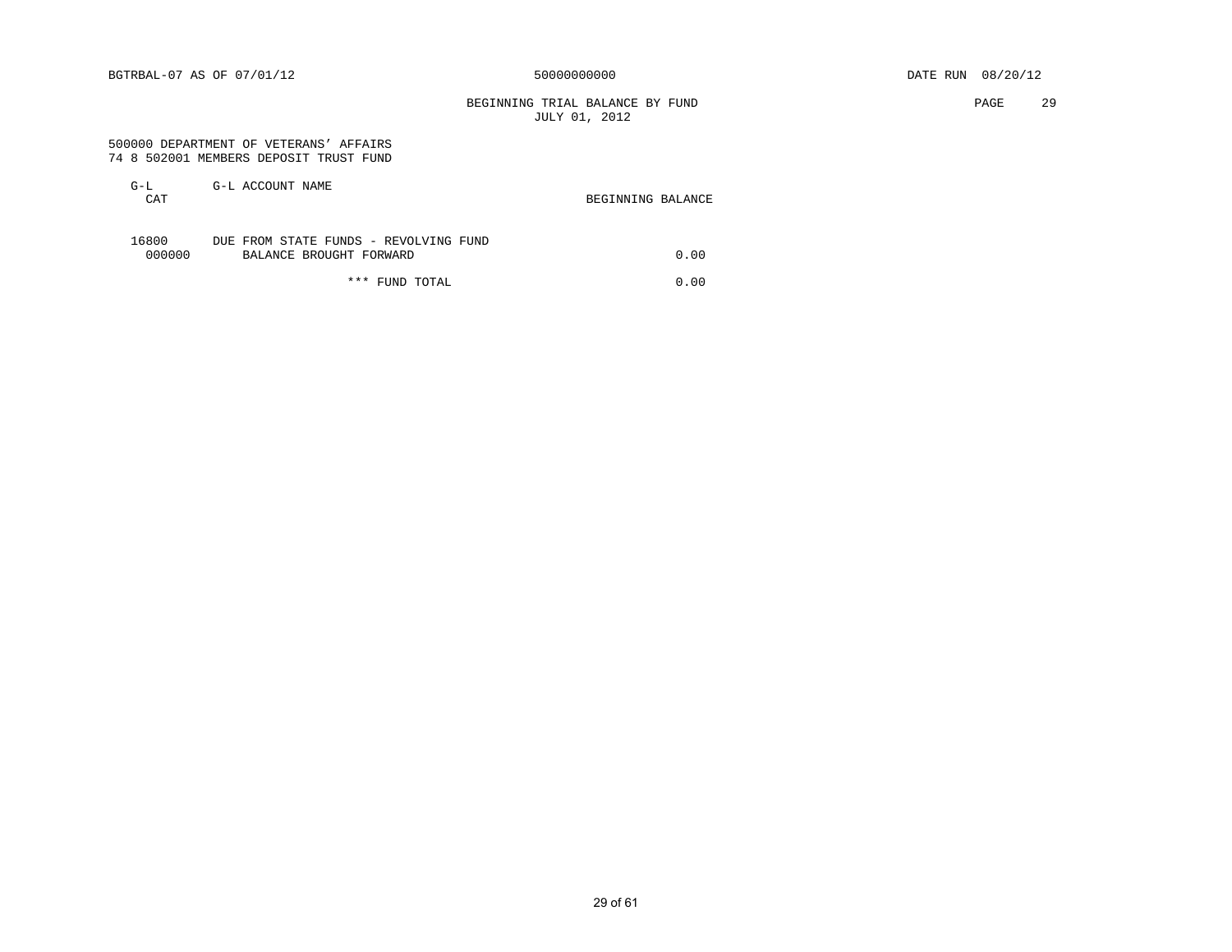BEGINNING TRIAL BALANCE BY FUND PAGE 29 JULY 01, 2012

#### 500000 DEPARTMENT OF VETERANS' AFFAIRS 74 8 502001 MEMBERS DEPOSIT TRUST FUND

| $G-L$  | G-L ACCOUNT NAME                      |                   |
|--------|---------------------------------------|-------------------|
| CAT    |                                       | BEGINNING BALANCE |
|        |                                       |                   |
|        |                                       |                   |
| 16800  | DUE FROM STATE FUNDS - REVOLVING FUND |                   |
| 000000 | BALANCE BROUGHT FORWARD               | 0.00              |

\*\*\* FUND TOTAL 0.00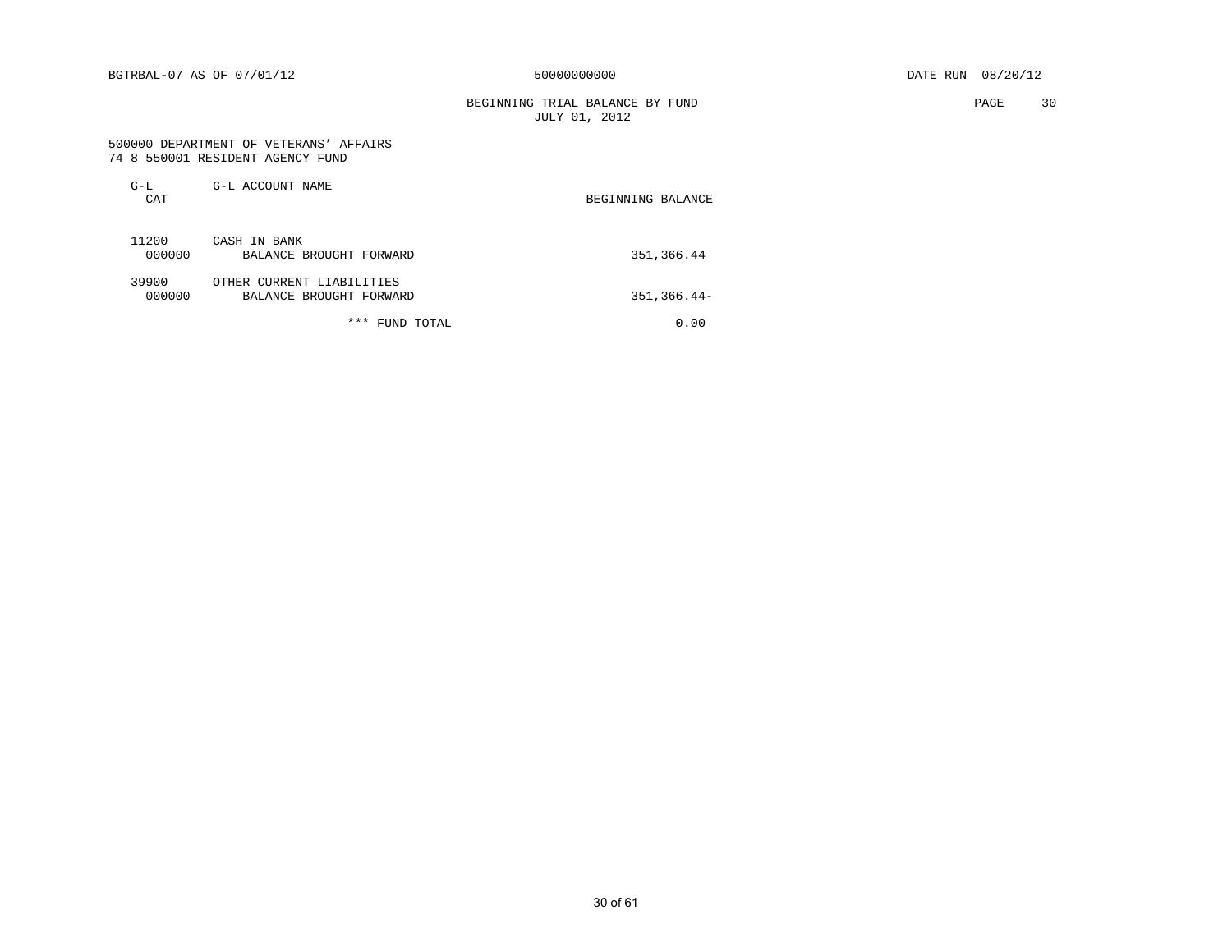BEGINNING TRIAL BALANCE BY FUND **PAGE** 30 JULY 01, 2012

#### 500000 DEPARTMENT OF VETERANS' AFFAIRS 74 8 550001 RESIDENT AGENCY FUND

| $G-L$<br>CAT    | G-L ACCOUNT NAME                                     | BEGINNING BALANCE |
|-----------------|------------------------------------------------------|-------------------|
| 11200<br>000000 | CASH IN BANK<br>BALANCE BROUGHT FORWARD              | 351,366.44        |
| 39900<br>000000 | OTHER CURRENT LIABILITIES<br>BALANCE BROUGHT FORWARD | $351, 366.44 -$   |
|                 | ***<br>TOTAL<br>FUND                                 | 0.00              |

30 of 61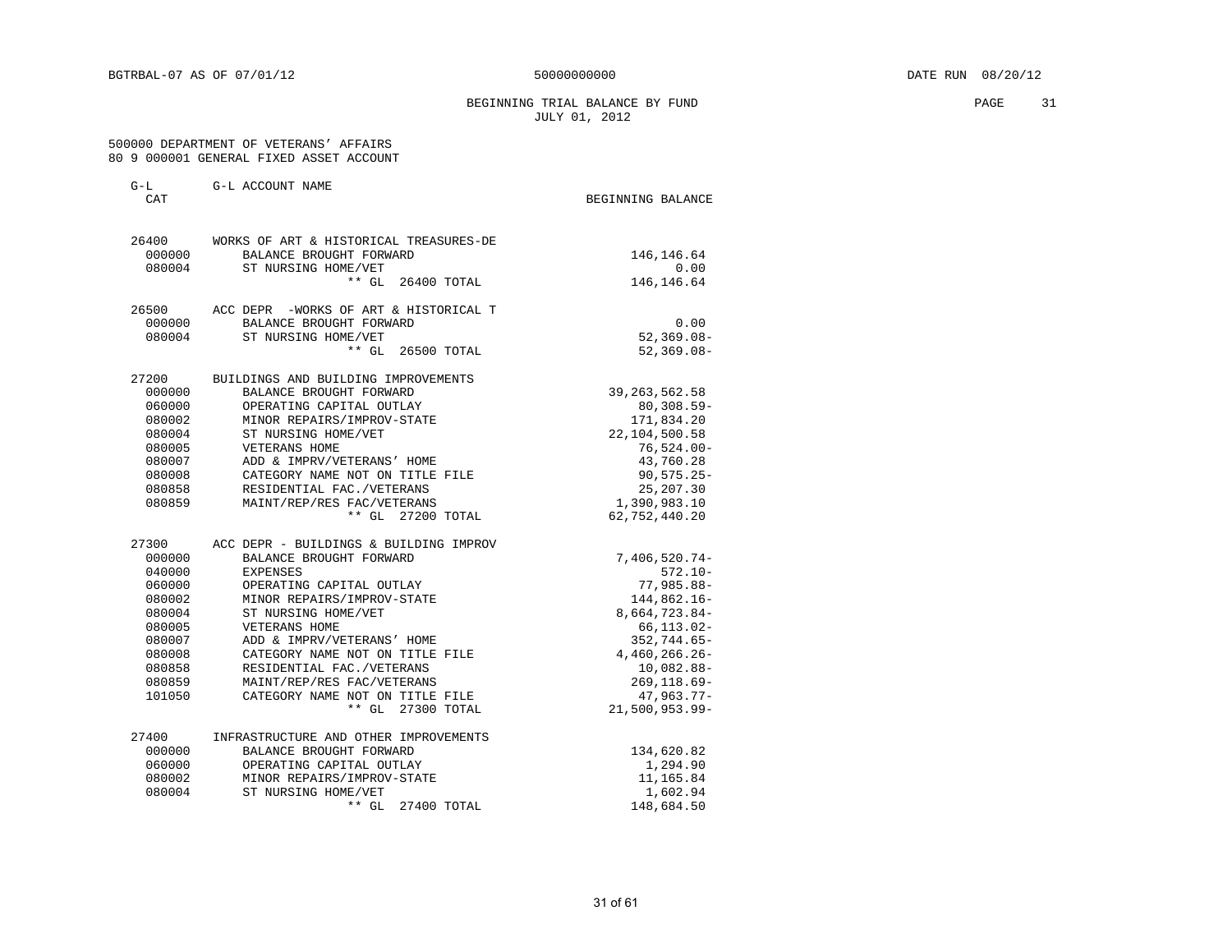### BEGINNING TRIAL BALANCE BY FUND **PAGE** 31 JULY 01, 2012

#### 500000 DEPARTMENT OF VETERANS' AFFAIRS 80 9 000001 GENERAL FIXED ASSET ACCOUNT

| $G-L$<br>CAT     | G-L ACCOUNT NAME                                    |                               |
|------------------|-----------------------------------------------------|-------------------------------|
|                  |                                                     | BEGINNING BALANCE             |
| 26400            | WORKS OF ART & HISTORICAL TREASURES-DE              |                               |
| 000000           | BALANCE BROUGHT FORWARD                             | 146, 146.64                   |
| 080004           | ST NURSING HOME/VET                                 | 0.00                          |
|                  | $***$ GL<br>26400 TOTAL                             | 146, 146.64                   |
| 26500            | ACC DEPR -WORKS OF ART & HISTORICAL T               |                               |
| 000000           | BALANCE BROUGHT FORWARD                             | 0.00                          |
| 080004           | ST NURSING HOME/VET                                 | $52, 369.08 -$                |
|                  | $***$ GL<br>26500 TOTAL                             | $52, 369.08 -$                |
| 27200            | BUILDINGS AND BUILDING IMPROVEMENTS                 |                               |
| 000000           | BALANCE BROUGHT FORWARD                             | 39, 263, 562.58               |
| 060000           | OPERATING CAPITAL OUTLAY                            | $80, 308.59 -$                |
| 080002           | MINOR REPAIRS/IMPROV-STATE                          | 171,834.20                    |
| 080004           | ST NURSING HOME/VET                                 | 22,104,500.58                 |
| 080005           | VETERANS HOME                                       | $76,524.00 -$                 |
| 080007           | ADD & IMPRV/VETERANS' HOME                          | 43,760.28                     |
| 080008           | CATEGORY NAME NOT ON TITLE FILE                     | $90, 575.25 -$                |
| 080858           | RESIDENTIAL FAC./VETERANS                           | 25, 207.30                    |
| 080859           | MAINT/REP/RES FAC/VETERANS<br>** GL 27200 TOTAL     | 1,390,983.10<br>62,752,440.20 |
|                  |                                                     |                               |
| 27300            | ACC DEPR - BUILDINGS & BUILDING IMPROV              |                               |
| 000000           | BALANCE BROUGHT FORWARD                             | $7,406,520.74-$               |
| 040000           | <b>EXPENSES</b>                                     | $572.10 -$                    |
| 060000           | OPERATING CAPITAL OUTLAY                            | $77.985.88 -$                 |
| 080002<br>080004 | MINOR REPAIRS/IMPROV-STATE<br>ST NURSING HOME/VET   | 144,862.16-<br>8,664,723.84-  |
| 080005           | VETERANS HOME                                       | $66, 113.02 -$                |
| 080007           | ADD & IMPRV/VETERANS' HOME                          | $352, 744.65 -$               |
| 080008           | CATEGORY NAME NOT ON TITLE FILE                     | $4,460,266.26-$               |
| 080858           | RESIDENTIAL FAC./VETERANS                           | $10,082.88 -$                 |
| 080859           | MAINT/REP/RES FAC/VETERANS                          | $269, 118.69 -$               |
| 101050           | CATEGORY NAME NOT ON TITLE FILE                     | $47,963.77-$                  |
|                  | ** GL 27300 TOTAL                                   | $21,500,953.99 -$             |
|                  |                                                     |                               |
| 27400            | INFRASTRUCTURE AND OTHER IMPROVEMENTS               |                               |
| 000000<br>060000 | BALANCE BROUGHT FORWARD<br>OPERATING CAPITAL OUTLAY | 134,620.82<br>1,294.90        |
| 080002           | MINOR REPAIRS/IMPROV-STATE                          | 11,165.84                     |
| 080004           | ST NURSING HOME/VET                                 | 1,602.94                      |
|                  | ** GL<br>27400 TOTAL                                | 148,684.50                    |
|                  |                                                     |                               |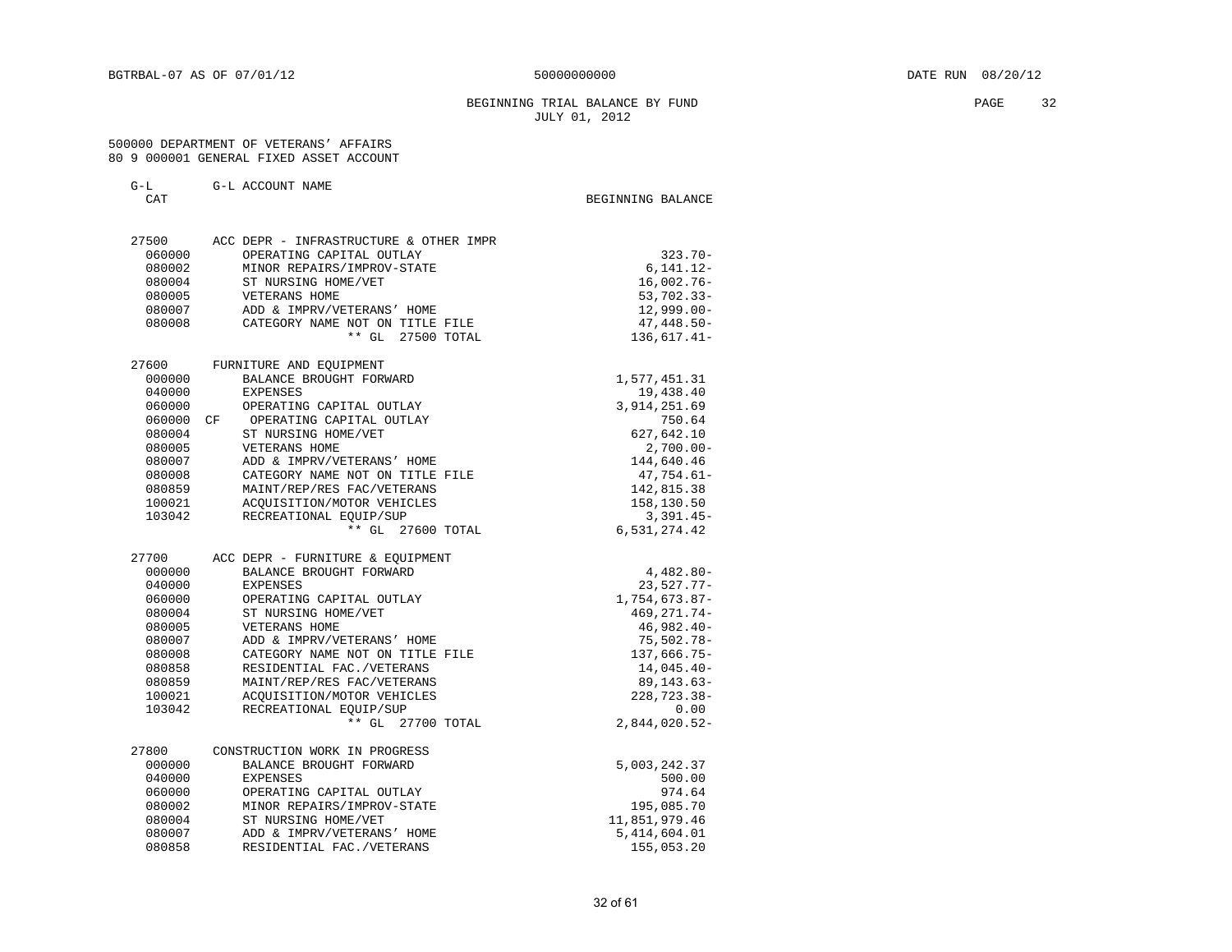### BEGINNING TRIAL BALANCE BY FUND **PAGE** 32 JULY 01, 2012

#### 500000 DEPARTMENT OF VETERANS' AFFAIRS 80 9 000001 GENERAL FIXED ASSET ACCOUNT

| G-L<br>CAT |    | G-L ACCOUNT NAME                                  | BEGINNING BALANCE |                         |
|------------|----|---------------------------------------------------|-------------------|-------------------------|
| 27500      |    | ACC DEPR - INFRASTRUCTURE & OTHER IMPR            |                   |                         |
| 060000     |    | OPERATING CAPITAL OUTLAY                          |                   | $323.70 -$              |
| 080002     |    | MINOR REPAIRS/IMPROV-STATE                        |                   | 6,141.12-               |
| 080004     |    | ST NURSING HOME/VET                               |                   | $16,002.76 -$           |
| 080005     |    | VETERANS HOME                                     |                   | $53,702.33 -$           |
| 080007     |    | ADD & IMPRV/VETERANS' HOME                        |                   | $12,999.00 -$           |
| 080008     |    | CATEGORY NAME NOT ON TITLE FILE                   |                   | $47,448.50-$            |
|            |    | $***$ GL<br>27500 TOTAL                           |                   | 136,617.41-             |
| 27600      |    | FURNITURE AND EQUIPMENT                           |                   |                         |
| 000000     |    | BALANCE BROUGHT FORWARD                           |                   | 1,577,451.31            |
| 040000     |    | <b>EXPENSES</b>                                   |                   | 19,438.40               |
| 060000     |    | OPERATING CAPITAL OUTLAY                          |                   | 3,914,251.69            |
| 060000     | CF | OPERATING CAPITAL OUTLAY                          |                   | 750.64                  |
| 080004     |    | ST NURSING HOME/VET                               |                   | 627,642.10              |
| 080005     |    | VETERANS HOME                                     |                   | $2,700.00 -$            |
| 080007     |    | ADD & IMPRV/VETERANS' HOME                        |                   | 144,640.46              |
| 080008     |    | CATEGORY NAME NOT ON TITLE FILE                   |                   | $47,754.61-$            |
| 080859     |    | MAINT/REP/RES FAC/VETERANS                        |                   | 142,815.38              |
| 100021     |    | ACOUISITION/MOTOR VEHICLES                        |                   | 158,130.50              |
| 103042     |    | RECREATIONAL EQUIP/SUP                            |                   | $3,391.45-$             |
|            |    | ** GL 27600 TOTAL                                 |                   | 6,531,274.42            |
| 27700      |    | ACC DEPR - FURNITURE & EOUIPMENT                  |                   |                         |
| 000000     |    | BALANCE BROUGHT FORWARD                           |                   | $4,482.80-$             |
| 040000     |    | <b>EXPENSES</b>                                   |                   | $23,527.77-$            |
| 060000     |    | OPERATING CAPITAL OUTLAY                          |                   | 1,754,673.87-           |
| 080004     |    | ST NURSING HOME/VET                               |                   | 469, 271.74-            |
| 080005     |    | VETERANS HOME                                     |                   | $46,982.40-$            |
| 080007     |    | ADD & IMPRV/VETERANS' HOME                        |                   | $75,502.78 -$           |
| 080008     |    | CATEGORY NAME NOT ON TITLE FILE                   |                   | 137,666.75-             |
| 080858     |    | RESIDENTIAL FAC./VETERANS                         |                   | $14,045.40-$            |
| 080859     |    | MAINT/REP/RES FAC/VETERANS                        |                   | 89,143.63-              |
| 100021     |    | ACQUISITION/MOTOR VEHICLES                        |                   | 228,723.38-             |
| 103042     |    | RECREATIONAL EQUIP/SUP<br>$***$ GL<br>27700 TOTAL |                   | 0.00<br>$2,844,020.52-$ |
|            |    |                                                   |                   |                         |
| 27800      |    | CONSTRUCTION WORK IN PROGRESS                     |                   |                         |
| 000000     |    | BALANCE BROUGHT FORWARD                           |                   | 5,003,242.37            |
| 040000     |    | <b>EXPENSES</b>                                   |                   | 500.00                  |
| 060000     |    | OPERATING CAPITAL OUTLAY                          |                   | 974.64                  |
| 080002     |    | MINOR REPAIRS/IMPROV-STATE                        |                   | 195,085.70              |
| 080004     |    | ST NURSING HOME/VET                               |                   | 11,851,979.46           |
| 080007     |    | ADD & IMPRV/VETERANS' HOME                        |                   | 5,414,604.01            |
| 080858     |    | RESIDENTIAL FAC./VETERANS                         |                   | 155,053.20              |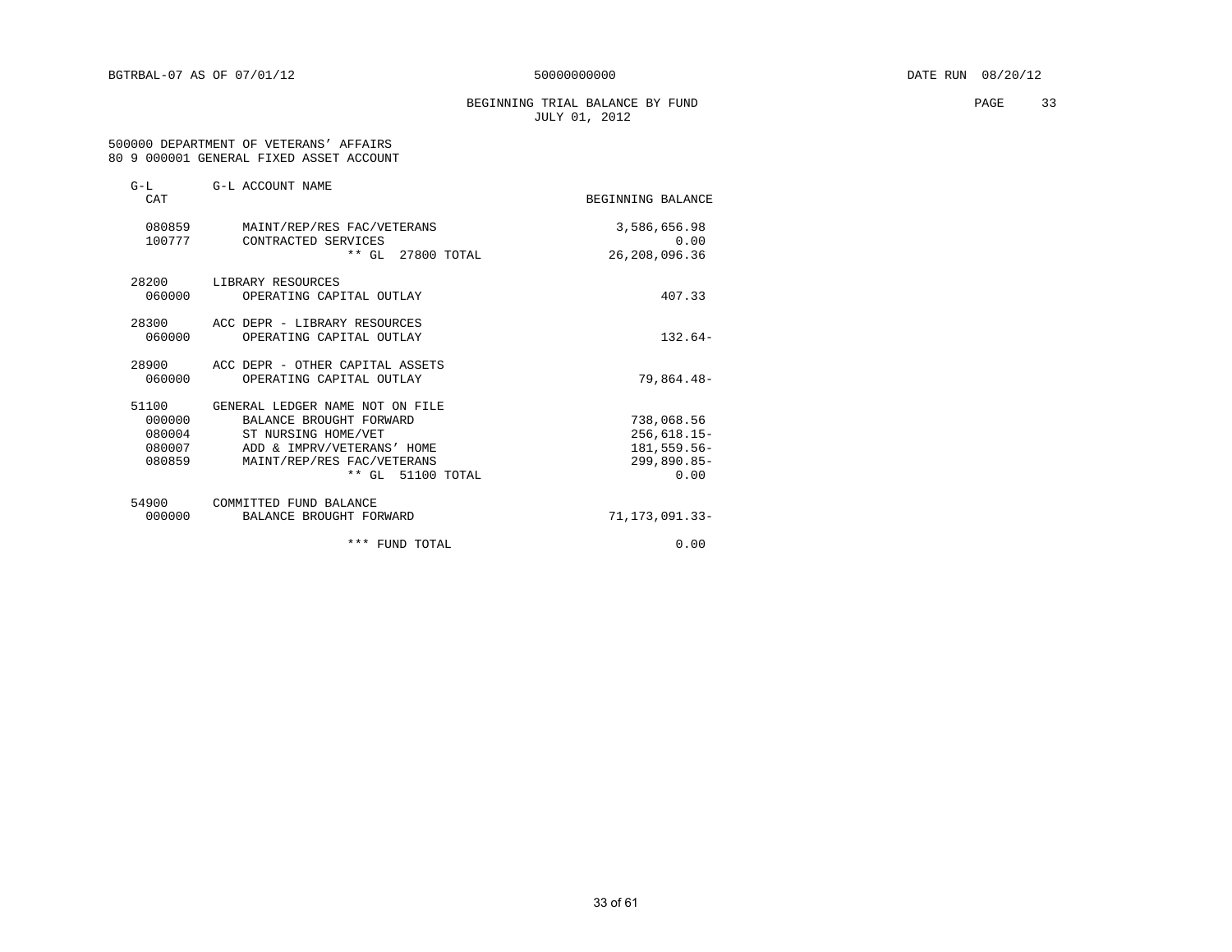### BEGINNING TRIAL BALANCE BY FUND **PAGE** 33 JULY 01, 2012

#### 500000 DEPARTMENT OF VETERANS' AFFAIRS 80 9 000001 GENERAL FIXED ASSET ACCOUNT

| $G-L$<br>CAT     | G-L ACCOUNT NAME                                  | BEGINNING BALANCE    |
|------------------|---------------------------------------------------|----------------------|
| 080859<br>100777 | MAINT/REP/RES FAC/VETERANS<br>CONTRACTED SERVICES | 3,586,656.98<br>0.00 |
|                  | ** GL 27800 TOTAL                                 | 26,208,096.36        |
| 28200            | LIBRARY RESOURCES                                 |                      |
| 060000           | OPERATING CAPITAL OUTLAY                          | 407.33               |
| 28300            | ACC DEPR - LIBRARY RESOURCES                      |                      |
| 060000           | OPERATING CAPITAL OUTLAY                          | $132.64-$            |
| 28900            | ACC DEPR - OTHER CAPITAL ASSETS                   |                      |
| 060000           | OPERATING CAPITAL OUTLAY                          | 79,864.48-           |
| 51100            | GENERAL LEDGER NAME NOT ON FILE                   |                      |
| 000000           | BALANCE BROUGHT FORWARD                           | 738,068.56           |
| 080004           | ST NURSING HOME/VET                               | $256,618.15-$        |
| 080007           | ADD & IMPRV/VETERANS' HOME                        | 181,559.56-          |
| 080859           | MAINT/REP/RES FAC/VETERANS                        | 299,890.85-          |
|                  | ** GL 51100 TOTAL                                 | 0.00                 |
| 54900            | COMMITTED FUND BALANCE                            |                      |
| 000000           | BALANCE BROUGHT FORWARD                           | 71, 173, 091, 33-    |
|                  | *** FUND TOTAL                                    | 0.00                 |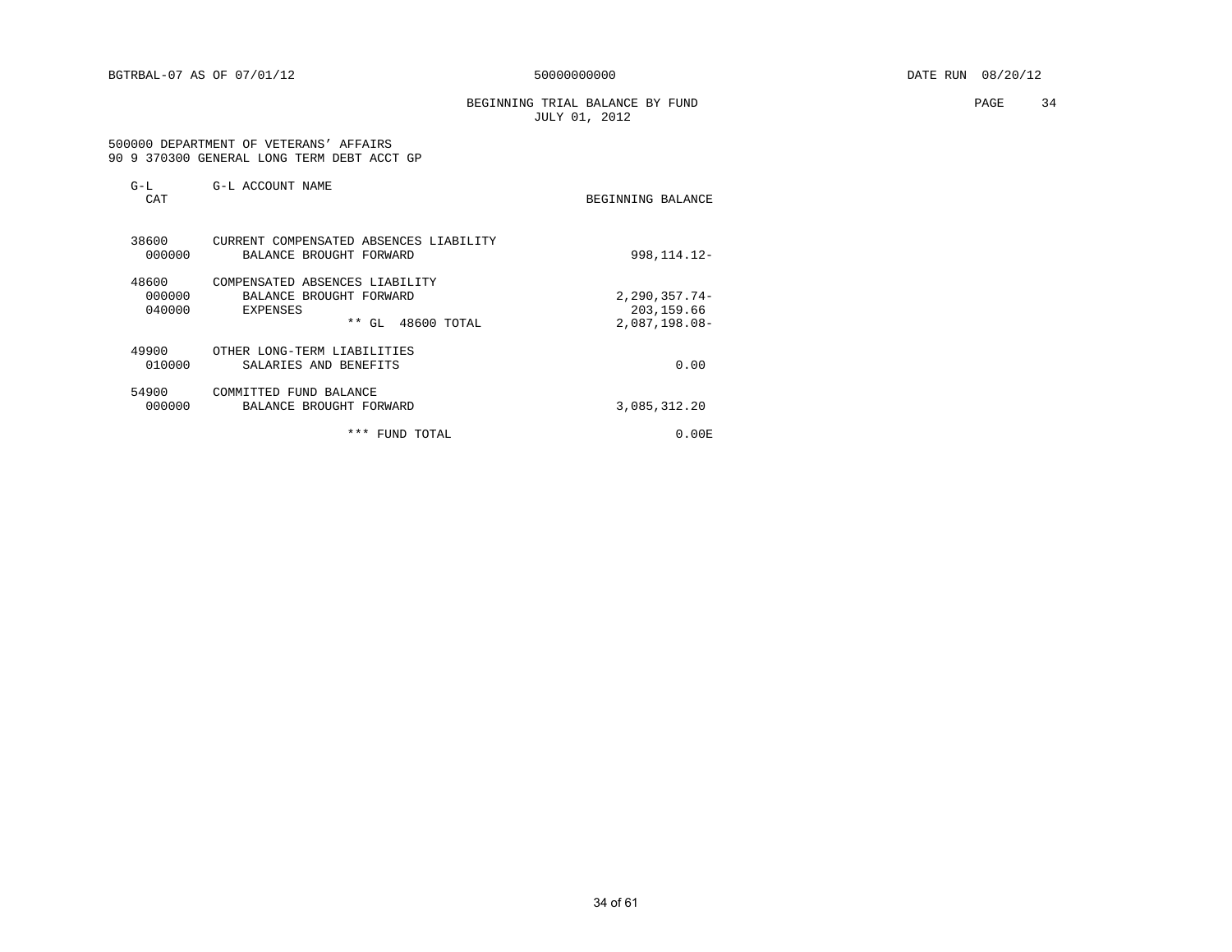BEGINNING TRIAL BALANCE BY FUND **PAGE** 34 JULY 01, 2012

#### 500000 DEPARTMENT OF VETERANS' AFFAIRS 90 9 370300 GENERAL LONG TERM DEBT ACCT GP

| $G-L$<br>CAT              | G-L ACCOUNT NAME                                                                                   | BEGINNING BALANCE                                   |
|---------------------------|----------------------------------------------------------------------------------------------------|-----------------------------------------------------|
| 38600<br>000000           | CURRENT COMPENSATED ABSENCES LIABILITY<br>BALANCE BROUGHT FORWARD                                  | 998, 114. 12-                                       |
| 48600<br>000000<br>040000 | COMPENSATED ABSENCES LIABILITY<br>BALANCE BROUGHT FORWARD<br>EXPENSES<br>* *<br>48600 TOTAL<br>GL. | $2, 290, 357.74 -$<br>203,159.66<br>$2,087,198.08-$ |
| 49900<br>010000           | OTHER LONG-TERM LIABILITIES<br>SALARIES AND BENEFITS                                               | 0.00                                                |
| 54900<br>000000           | COMMITTED FUND BALANCE<br>BALANCE BROUGHT FORWARD                                                  | 3,085,312.20                                        |
|                           | ***<br>FUND TOTAL                                                                                  | 0.00 E                                              |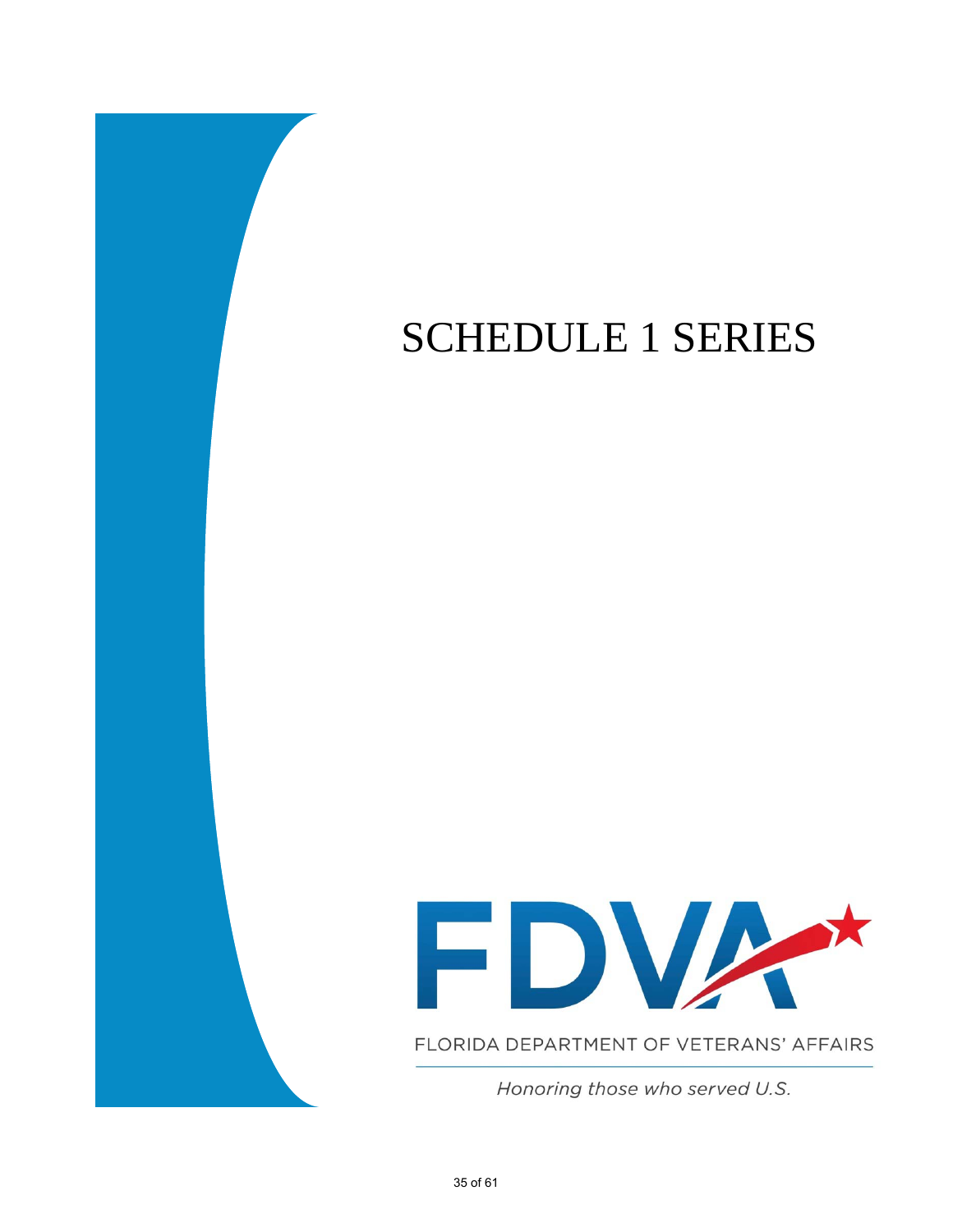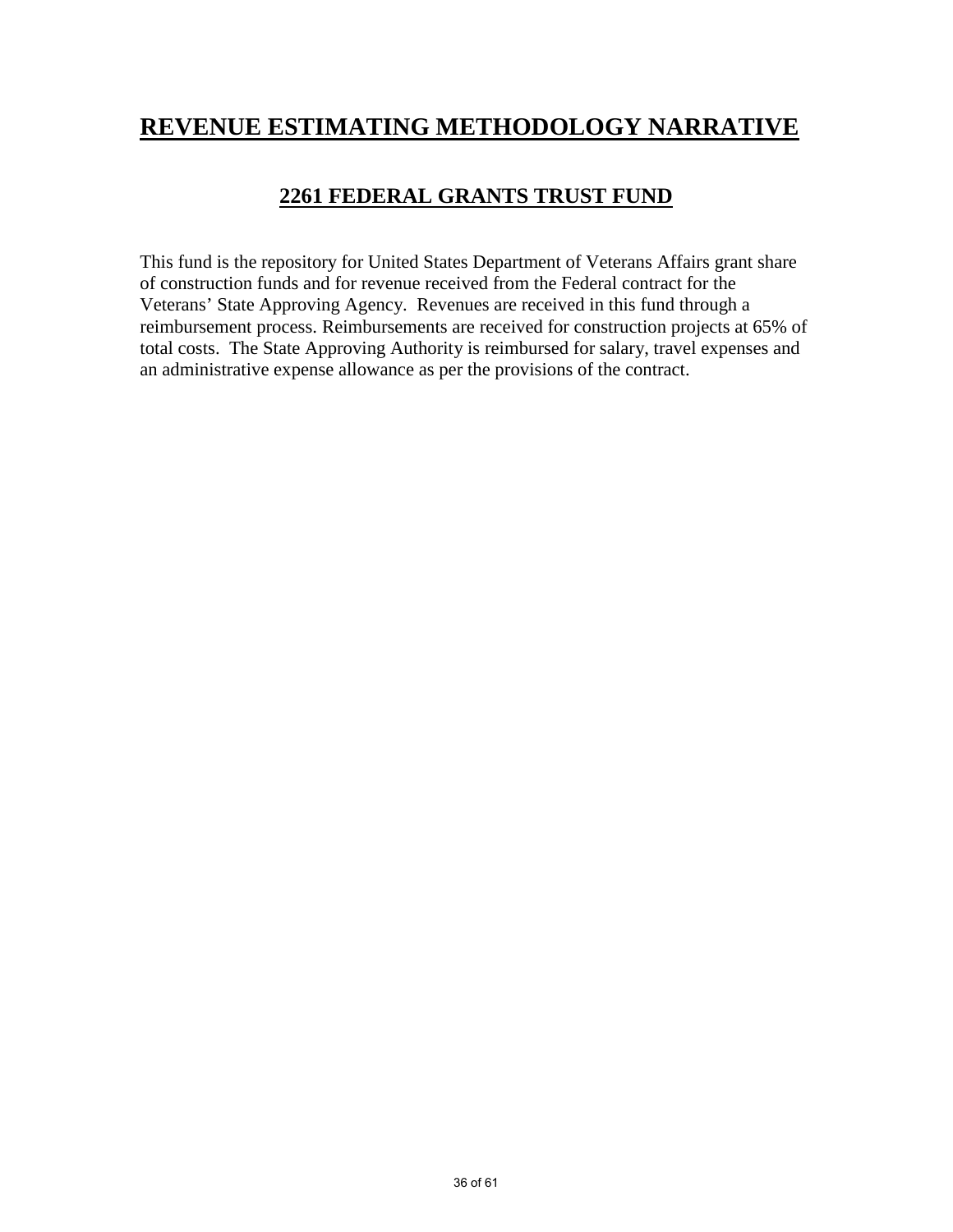# **REVENUE ESTIMATING METHODOLOGY NARRATIVE**

## **2261 FEDERAL GRANTS TRUST FUND**

This fund is the repository for United States Department of Veterans Affairs grant share of construction funds and for revenue received from the Federal contract for the Veterans' State Approving Agency. Revenues are received in this fund through a reimbursement process. Reimbursements are received for construction projects at 65% of total costs. The State Approving Authority is reimbursed for salary, travel expenses and an administrative expense allowance as per the provisions of the contract.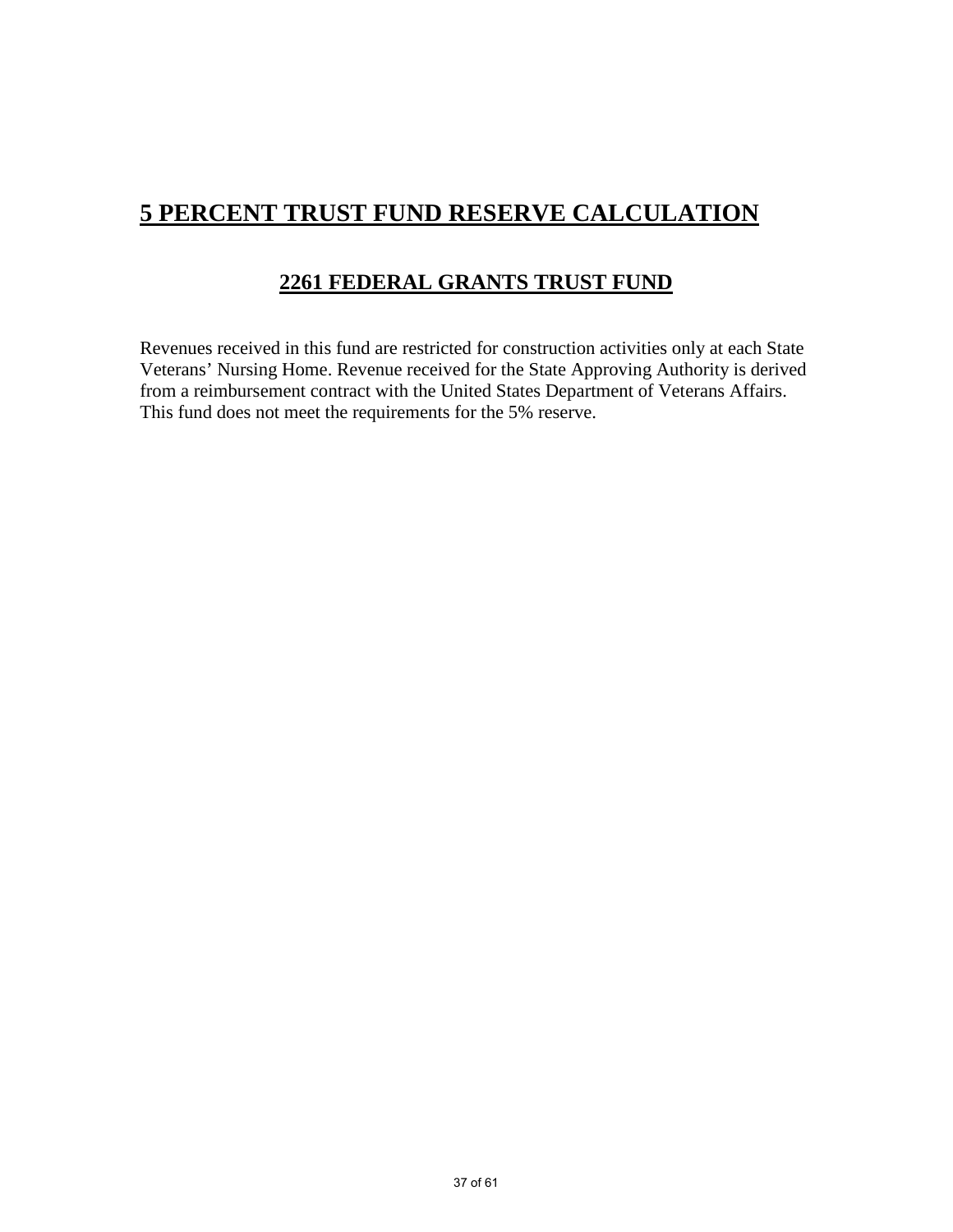# **5 PERCENT TRUST FUND RESERVE CALCULATION**

## **2261 FEDERAL GRANTS TRUST FUND**

Revenues received in this fund are restricted for construction activities only at each State Veterans' Nursing Home. Revenue received for the State Approving Authority is derived from a reimbursement contract with the United States Department of Veterans Affairs. This fund does not meet the requirements for the 5% reserve.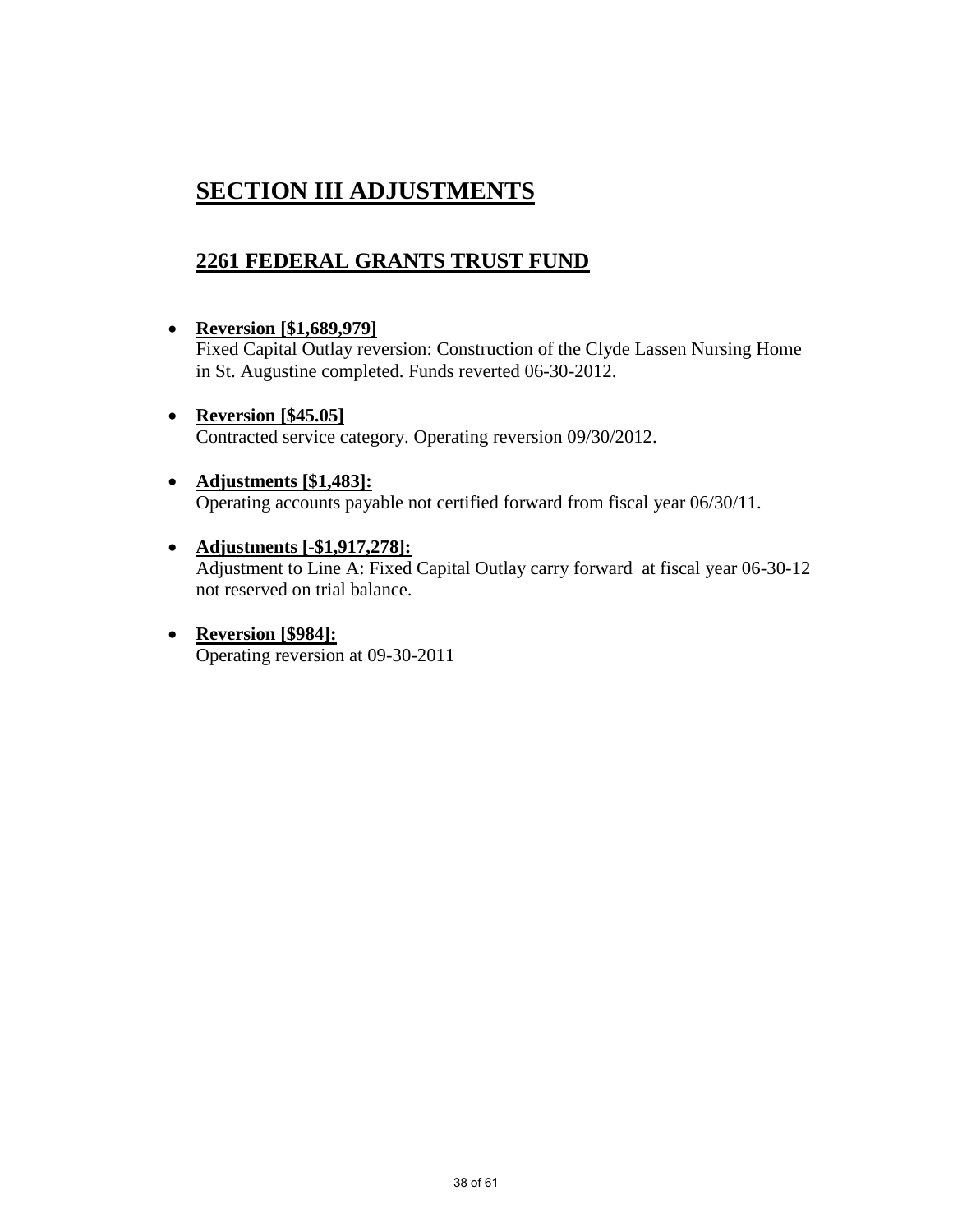# **SECTION III ADJUSTMENTS**

## **2261 FEDERAL GRANTS TRUST FUND**

### • **Reversion [\$1,689,979]**

Fixed Capital Outlay reversion: Construction of the Clyde Lassen Nursing Home in St. Augustine completed. Funds reverted 06-30-2012.

• **Reversion [\$45.05]** Contracted service category. Operating reversion 09/30/2012.

### • **Adjustments [\$1,483]:** Operating accounts payable not certified forward from fiscal year 06/30/11.

- **Adjustments [-\$1,917,278]:** Adjustment to Line A: Fixed Capital Outlay carry forward at fiscal year 06-30-12 not reserved on trial balance.
- **Reversion [\$984]:** Operating reversion at 09-30-2011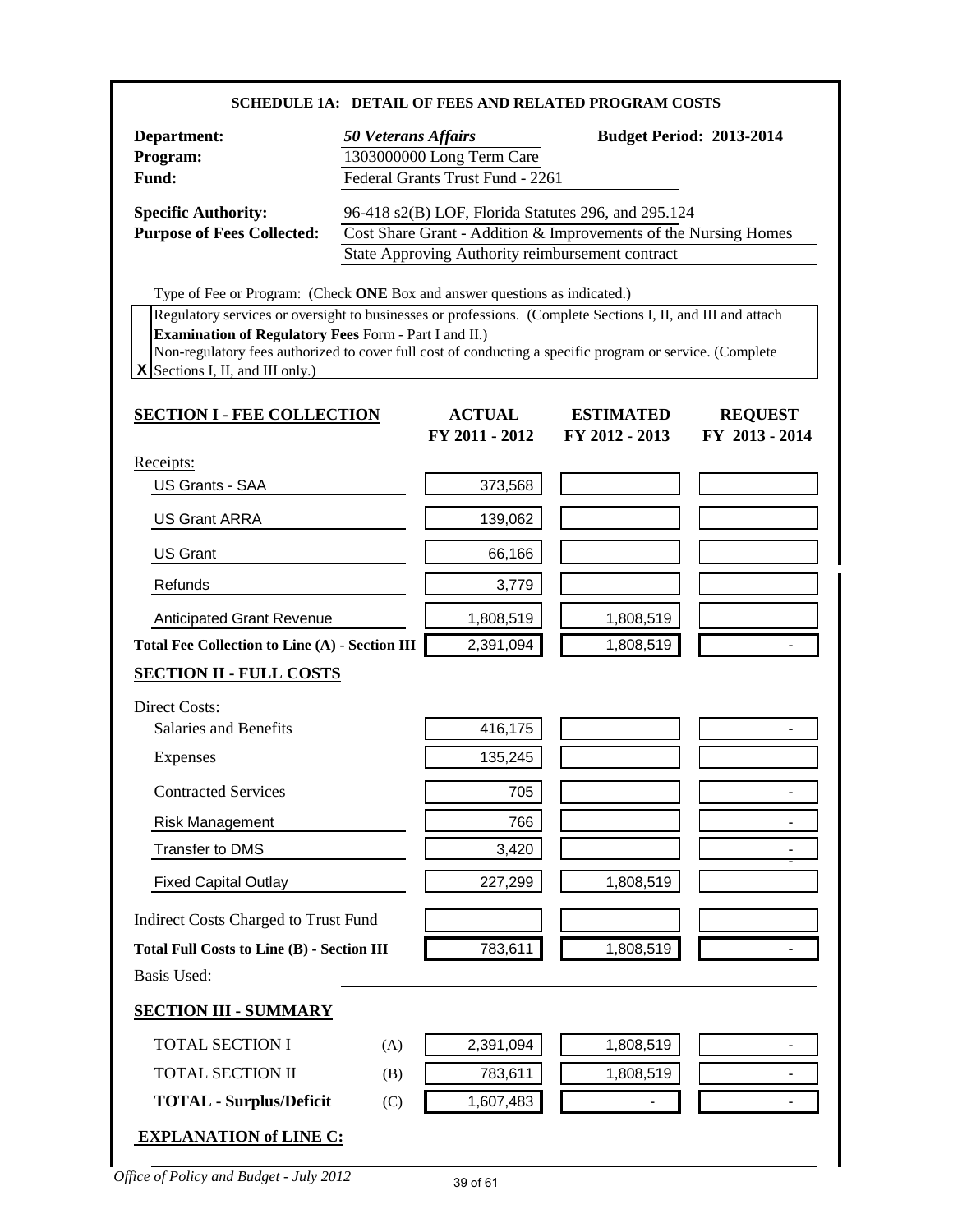|                                                                                                                                                                                                                                                                                                                                                                                                             |                            |                                                               | <b>SCHEDULE 1A: DETAIL OF FEES AND RELATED PROGRAM COSTS</b>                                                                                                               |                                  |
|-------------------------------------------------------------------------------------------------------------------------------------------------------------------------------------------------------------------------------------------------------------------------------------------------------------------------------------------------------------------------------------------------------------|----------------------------|---------------------------------------------------------------|----------------------------------------------------------------------------------------------------------------------------------------------------------------------------|----------------------------------|
| Department:<br>Program:<br>Fund:                                                                                                                                                                                                                                                                                                                                                                            | <b>50 Veterans Affairs</b> | 1303000000 Long Term Care<br>Federal Grants Trust Fund - 2261 |                                                                                                                                                                            | <b>Budget Period: 2013-2014</b>  |
| <b>Specific Authority:</b><br><b>Purpose of Fees Collected:</b>                                                                                                                                                                                                                                                                                                                                             |                            |                                                               | 96-418 s2(B) LOF, Florida Statutes 296, and 295.124<br>Cost Share Grant - Addition & Improvements of the Nursing Homes<br>State Approving Authority reimbursement contract |                                  |
| Type of Fee or Program: (Check ONE Box and answer questions as indicated.)<br>Regulatory services or oversight to businesses or professions. (Complete Sections I, II, and III and attach<br><b>Examination of Regulatory Fees Form - Part I and II.)</b><br>Non-regulatory fees authorized to cover full cost of conducting a specific program or service. (Complete<br>$X$ Sections I, II, and III only.) |                            |                                                               |                                                                                                                                                                            |                                  |
| <b>SECTION I - FEE COLLECTION</b>                                                                                                                                                                                                                                                                                                                                                                           |                            | <b>ACTUAL</b><br>FY 2011 - 2012                               | <b>ESTIMATED</b><br>FY 2012 - 2013                                                                                                                                         | <b>REQUEST</b><br>FY 2013 - 2014 |
| Receipts:<br>US Grants - SAA                                                                                                                                                                                                                                                                                                                                                                                |                            | 373,568                                                       |                                                                                                                                                                            |                                  |
| <b>US Grant ARRA</b>                                                                                                                                                                                                                                                                                                                                                                                        |                            | 139,062                                                       |                                                                                                                                                                            |                                  |
| <b>US Grant</b>                                                                                                                                                                                                                                                                                                                                                                                             |                            | 66,166                                                        |                                                                                                                                                                            |                                  |
| Refunds                                                                                                                                                                                                                                                                                                                                                                                                     |                            | 3,779                                                         |                                                                                                                                                                            |                                  |
| <b>Anticipated Grant Revenue</b>                                                                                                                                                                                                                                                                                                                                                                            |                            | 1,808,519                                                     | 1,808,519                                                                                                                                                                  |                                  |
| Total Fee Collection to Line (A) - Section III                                                                                                                                                                                                                                                                                                                                                              |                            | 2,391,094                                                     | 1,808,519                                                                                                                                                                  |                                  |
| <b>SECTION II - FULL COSTS</b>                                                                                                                                                                                                                                                                                                                                                                              |                            |                                                               |                                                                                                                                                                            |                                  |
| Direct Costs:                                                                                                                                                                                                                                                                                                                                                                                               |                            |                                                               |                                                                                                                                                                            |                                  |
| Salaries and Benefits                                                                                                                                                                                                                                                                                                                                                                                       |                            | 416,175                                                       |                                                                                                                                                                            |                                  |
| Expenses                                                                                                                                                                                                                                                                                                                                                                                                    |                            | 135,245                                                       |                                                                                                                                                                            |                                  |
| <b>Contracted Services</b>                                                                                                                                                                                                                                                                                                                                                                                  |                            | 705                                                           |                                                                                                                                                                            | $\overline{\phantom{0}}$         |
| <b>Risk Management</b>                                                                                                                                                                                                                                                                                                                                                                                      |                            | 766                                                           |                                                                                                                                                                            | $\blacksquare$                   |
| Transfer to DMS                                                                                                                                                                                                                                                                                                                                                                                             |                            | 3,420                                                         |                                                                                                                                                                            | -                                |
| <b>Fixed Capital Outlay</b>                                                                                                                                                                                                                                                                                                                                                                                 |                            | 227,299                                                       | 1,808,519                                                                                                                                                                  |                                  |
| Indirect Costs Charged to Trust Fund                                                                                                                                                                                                                                                                                                                                                                        |                            |                                                               |                                                                                                                                                                            |                                  |
| <b>Total Full Costs to Line (B) - Section III</b><br><b>Basis Used:</b>                                                                                                                                                                                                                                                                                                                                     |                            | 783,611                                                       | 1,808,519                                                                                                                                                                  |                                  |
| <b>SECTION III - SUMMARY</b>                                                                                                                                                                                                                                                                                                                                                                                |                            |                                                               |                                                                                                                                                                            |                                  |
| <b>TOTAL SECTION I</b>                                                                                                                                                                                                                                                                                                                                                                                      | (A)                        | 2,391,094                                                     | 1,808,519                                                                                                                                                                  | $\qquad \qquad \blacksquare$     |
| <b>TOTAL SECTION II</b>                                                                                                                                                                                                                                                                                                                                                                                     | (B)                        | 783,611                                                       | 1,808,519                                                                                                                                                                  | $\blacksquare$                   |
| <b>TOTAL - Surplus/Deficit</b>                                                                                                                                                                                                                                                                                                                                                                              | (C)                        | 1,607,483                                                     | $\blacksquare$                                                                                                                                                             | $\blacksquare$                   |
| <b>EXPLANATION of LINE C:</b>                                                                                                                                                                                                                                                                                                                                                                               |                            |                                                               |                                                                                                                                                                            |                                  |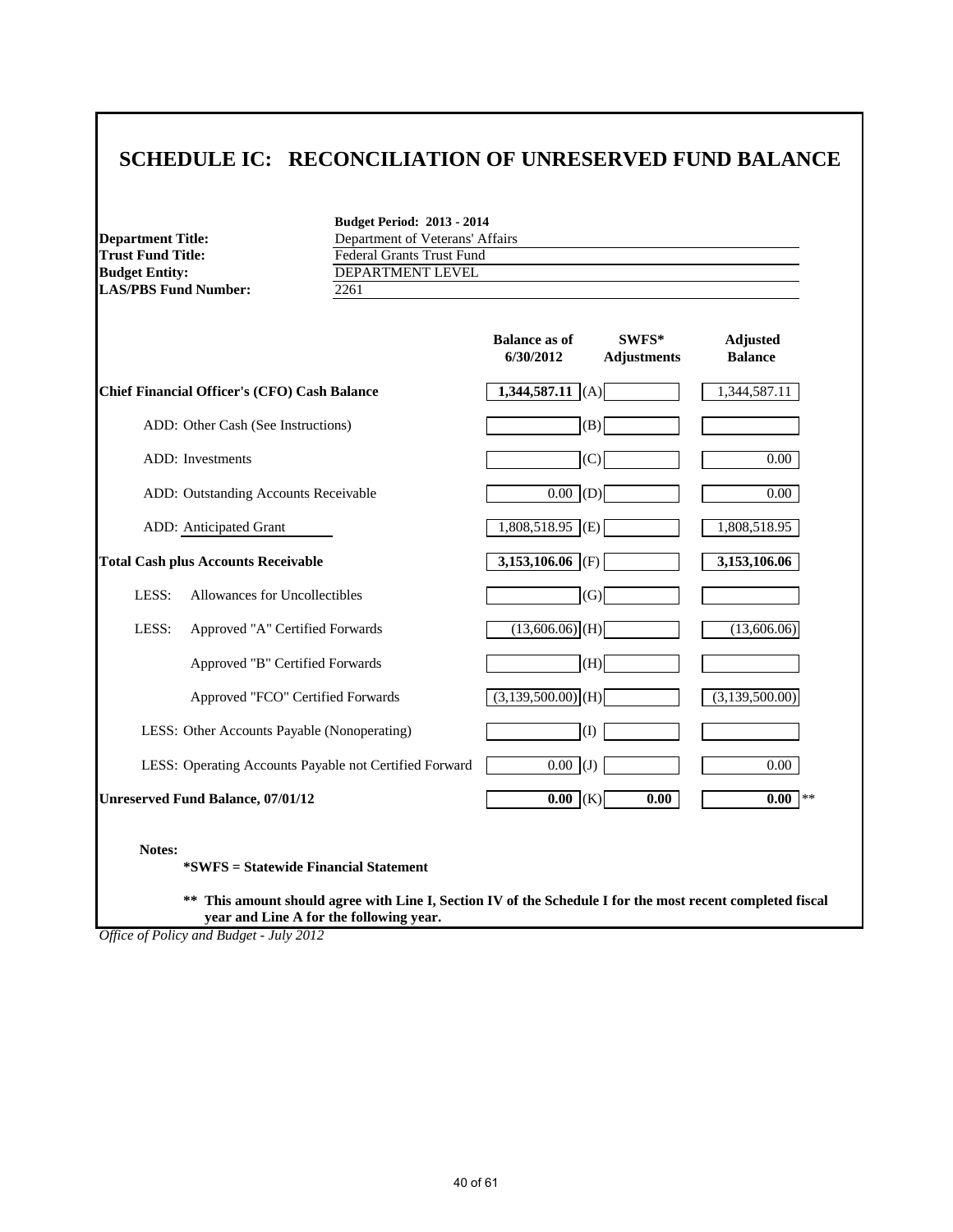### **SCHEDULE IC: RECONCILIATION OF UNRESERVED FUND BALANCE**

| <b>Department Title:</b>    | Depa       |
|-----------------------------|------------|
| Trust Fund Title:           | Fede       |
| <b>Budget Entity:</b>       | <b>DEP</b> |
| <b>LAS/PBS Fund Number:</b> | 2261       |

**Budget Period: 2013 - 2014** Department of Veterans' Affairs **Federal Grants Trust Fund BUDGET ENTITY**<br> $\frac{DEPARTMENT LEVEL}{2261}$ 

|                                                        | <b>Balance as of</b><br>6/30/2012 | $SWFS*$<br><b>Adjustments</b> | Adjusted<br><b>Balance</b> |
|--------------------------------------------------------|-----------------------------------|-------------------------------|----------------------------|
| <b>Chief Financial Officer's (CFO) Cash Balance</b>    | $1,344,587.11$ (A)                |                               | 1,344,587.11               |
| ADD: Other Cash (See Instructions)                     | (B)                               |                               |                            |
| <b>ADD</b> : Investments                               | (C)                               |                               | 0.00                       |
| ADD: Outstanding Accounts Receivable                   | $0.00$ (D)                        |                               | 0.00                       |
| ADD: Anticipated Grant                                 | $1,808,518.95$ (E)                |                               | 1,808,518.95               |
| <b>Total Cash plus Accounts Receivable</b>             | $3,153,106.06$ (F)                |                               | 3,153,106.06               |
| LESS:<br>Allowances for Uncollectibles                 | (G)                               |                               |                            |
| LESS:<br>Approved "A" Certified Forwards               | $(13,606.06)$ <sub>(H)</sub>      |                               | (13,606.06)                |
| Approved "B" Certified Forwards                        | (H)                               |                               |                            |
| Approved "FCO" Certified Forwards                      | $(3,139,500.00)$ <sub>(H)</sub>   |                               | (3,139,500.00)             |
| LESS: Other Accounts Payable (Nonoperating)            | (I)                               |                               |                            |
| LESS: Operating Accounts Payable not Certified Forward | $\overline{0.00}$ (J)             |                               | 0.00                       |
| <b>Unreserved Fund Balance, 07/01/12</b>               | $0.00$ (K)                        | 0.00                          | 0.00<br>**                 |
|                                                        |                                   |                               |                            |

**Notes:**

**\*SWFS = Statewide Financial Statement** 

**\*\* This amount should agree with Line I, Section IV of the Schedule I for the most recent completed fiscal year and Line A for the following year.**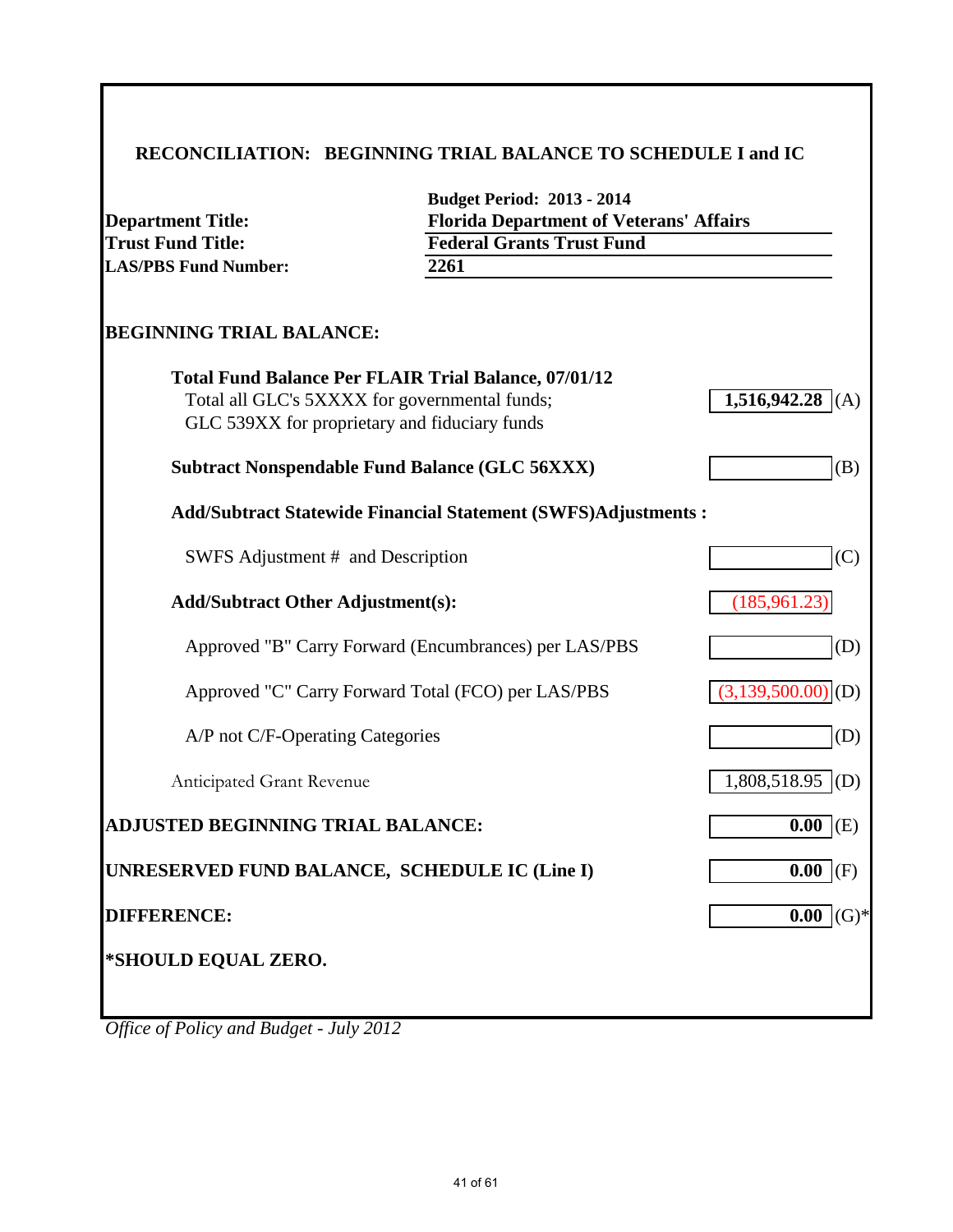## **RECONCILIATION: BEGINNING TRIAL BALANCE TO SCHEDULE I and IC**

| <b>Department Title:</b><br><b>Trust Fund Title:</b><br><b>LAS/PBS Fund Number:</b>            | <b>Budget Period: 2013 - 2014</b><br><b>Florida Department of Veterans' Affairs</b><br><b>Federal Grants Trust Fund</b><br>2261 |                                 |
|------------------------------------------------------------------------------------------------|---------------------------------------------------------------------------------------------------------------------------------|---------------------------------|
| <b>BEGINNING TRIAL BALANCE:</b>                                                                |                                                                                                                                 |                                 |
| Total all GLC's 5XXXX for governmental funds;<br>GLC 539XX for proprietary and fiduciary funds | <b>Total Fund Balance Per FLAIR Trial Balance, 07/01/12</b>                                                                     | $1,516,942.28$ (A)              |
|                                                                                                | <b>Subtract Nonspendable Fund Balance (GLC 56XXX)</b>                                                                           | (B)                             |
|                                                                                                | <b>Add/Subtract Statewide Financial Statement (SWFS)Adjustments:</b>                                                            |                                 |
| SWFS Adjustment # and Description                                                              |                                                                                                                                 | (C)                             |
| <b>Add/Subtract Other Adjustment(s):</b>                                                       |                                                                                                                                 | (185,961.23)                    |
|                                                                                                | Approved "B" Carry Forward (Encumbrances) per LAS/PBS                                                                           | (D)                             |
|                                                                                                | Approved "C" Carry Forward Total (FCO) per LAS/PBS                                                                              | $(3,139,500.00)$ <sub>(D)</sub> |
| A/P not C/F-Operating Categories                                                               |                                                                                                                                 | (D)                             |
| Anticipated Grant Revenue                                                                      |                                                                                                                                 | 1,808,518.95<br>(D)             |
| <b>ADJUSTED BEGINNING TRIAL BALANCE:</b>                                                       |                                                                                                                                 | $0.00$ (E)                      |
| UNRESERVED FUND BALANCE, SCHEDULE IC (Line I)                                                  |                                                                                                                                 | $0.00$ (F)                      |
| <b>DIFFERENCE:</b>                                                                             |                                                                                                                                 | $(G)$ *<br>0.00                 |
| *SHOULD EQUAL ZERO.                                                                            |                                                                                                                                 |                                 |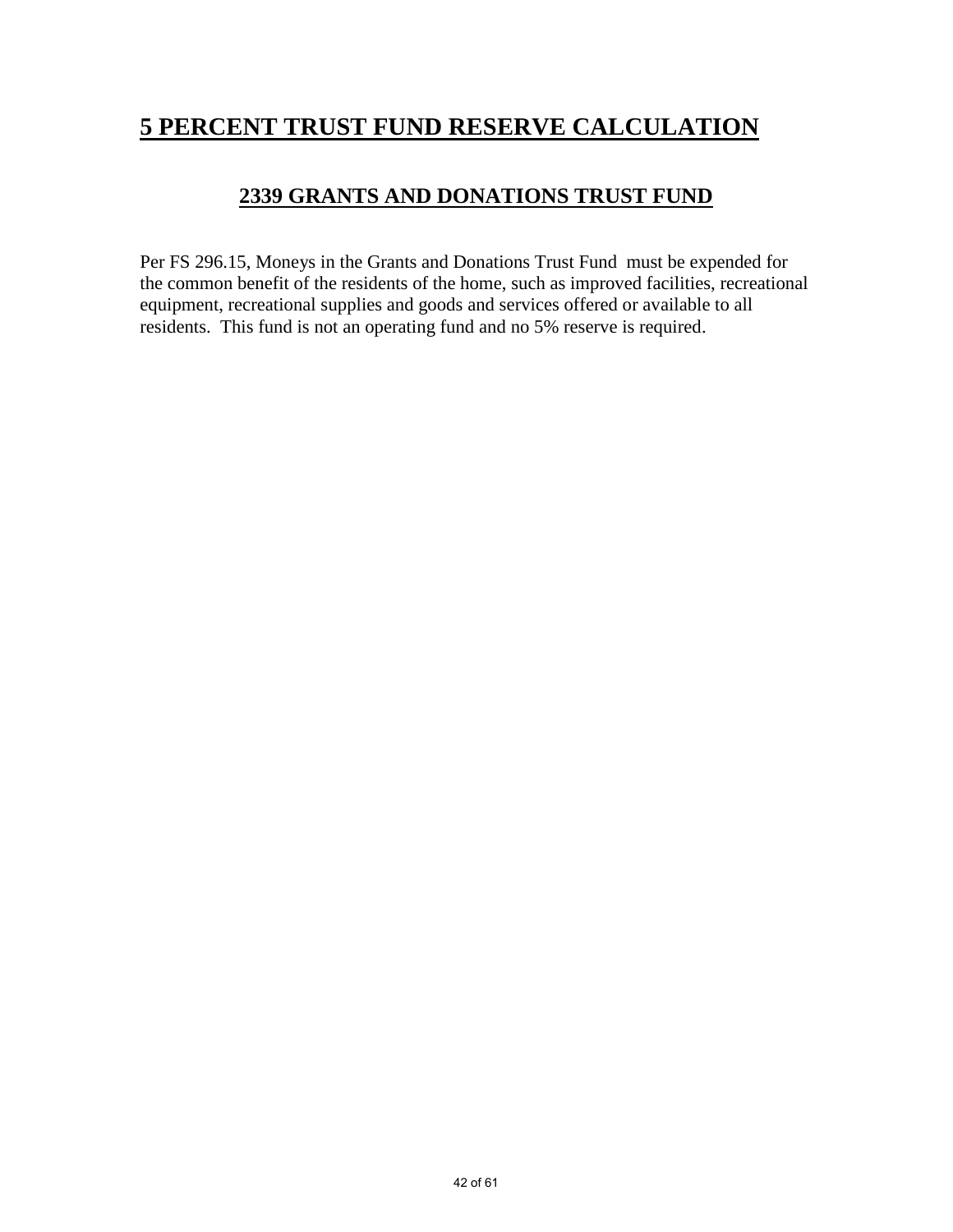# **5 PERCENT TRUST FUND RESERVE CALCULATION**

### **2339 GRANTS AND DONATIONS TRUST FUND**

Per FS 296.15, Moneys in the Grants and Donations Trust Fund must be expended for the common benefit of the residents of the home, such as improved facilities, recreational equipment, recreational supplies and goods and services offered or available to all residents. This fund is not an operating fund and no 5% reserve is required.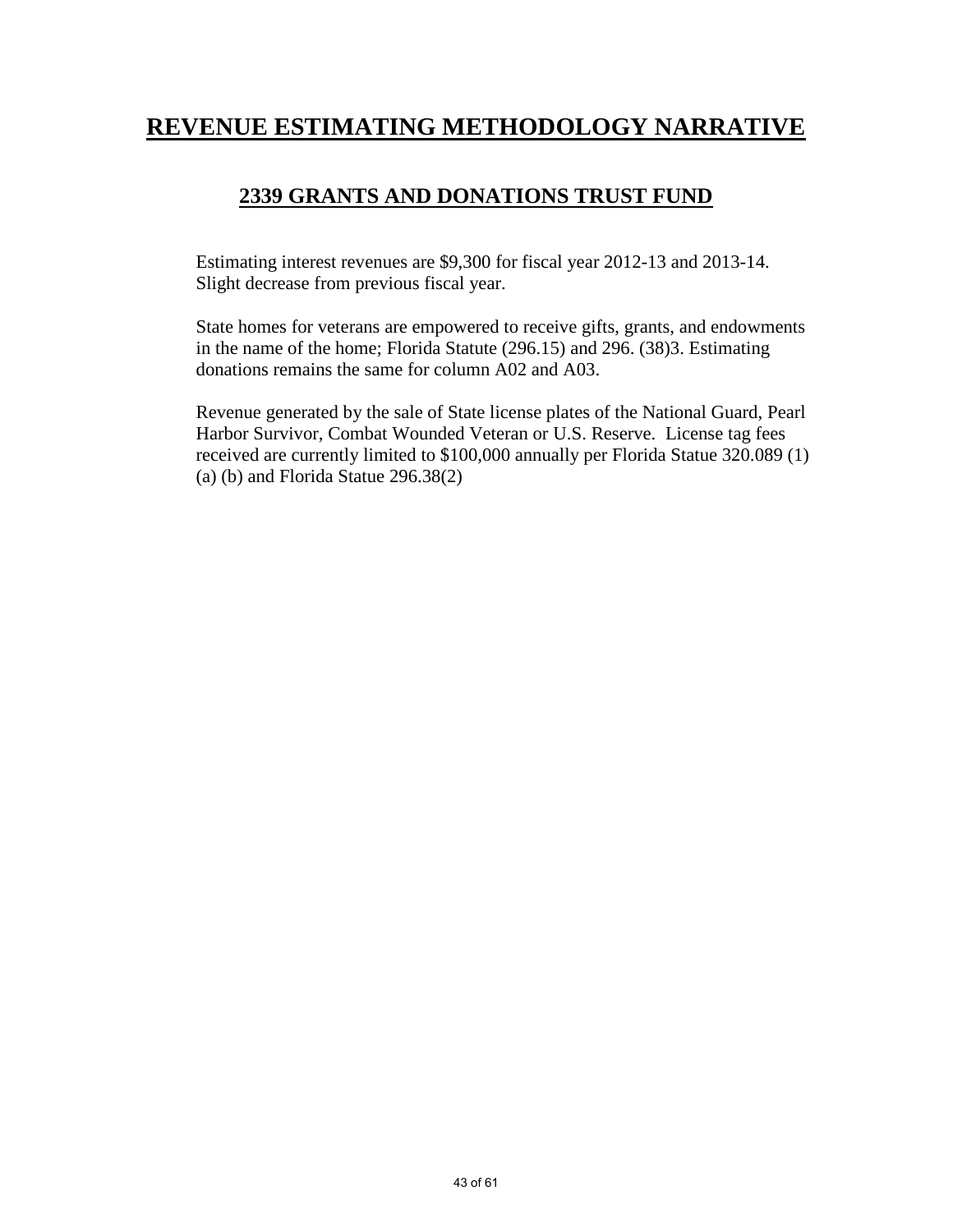## **REVENUE ESTIMATING METHODOLOGY NARRATIVE**

### **2339 GRANTS AND DONATIONS TRUST FUND**

Estimating interest revenues are \$9,300 for fiscal year 2012-13 and 2013-14. Slight decrease from previous fiscal year.

State homes for veterans are empowered to receive gifts, grants, and endowments in the name of the home; Florida Statute (296.15) and 296. (38)3. Estimating donations remains the same for column A02 and A03.

Revenue generated by the sale of State license plates of the National Guard, Pearl Harbor Survivor, Combat Wounded Veteran or U.S. Reserve. License tag fees received are currently limited to \$100,000 annually per Florida Statue 320.089 (1) (a) (b) and Florida Statue 296.38(2)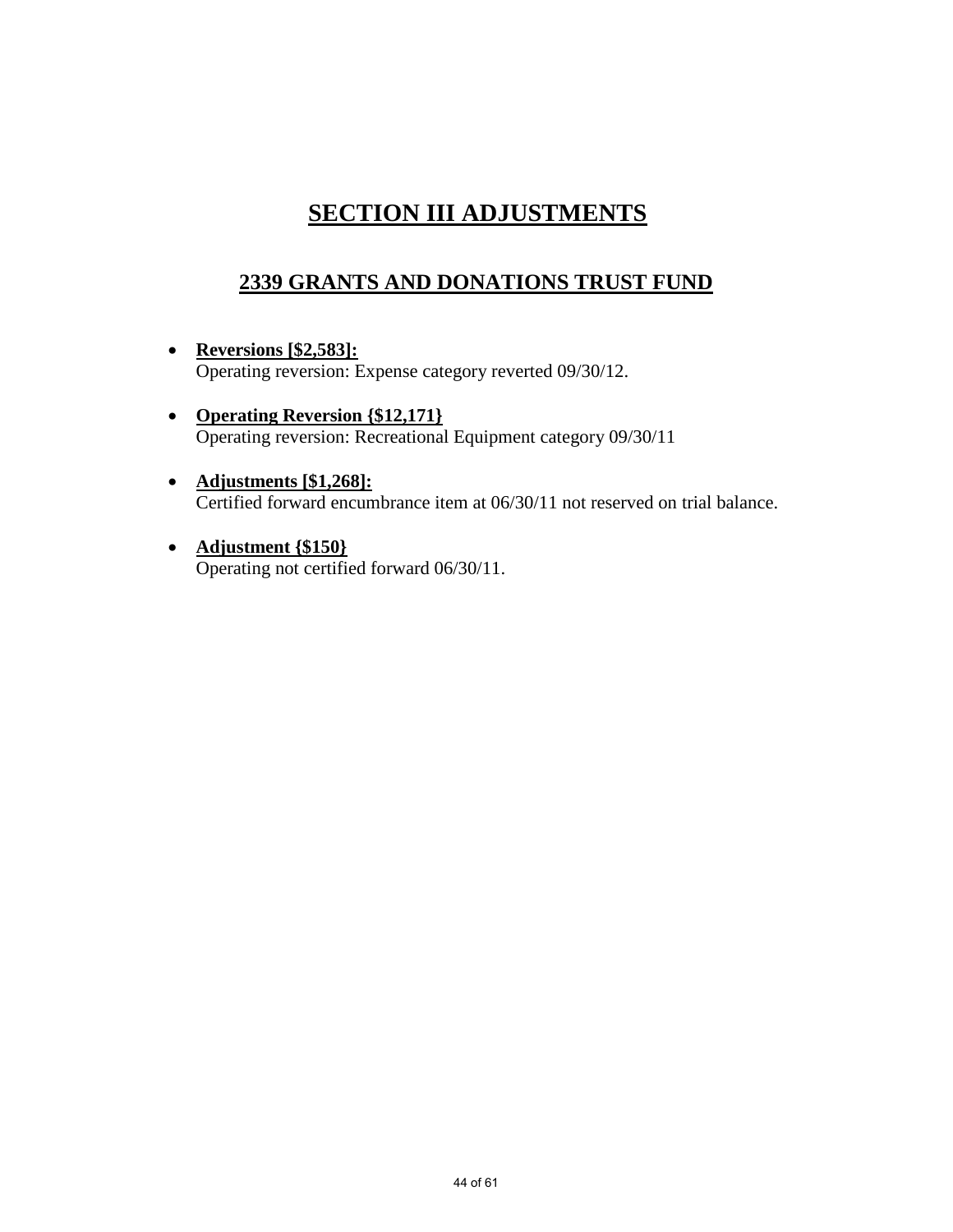# **SECTION III ADJUSTMENTS**

## **2339 GRANTS AND DONATIONS TRUST FUND**

- **Reversions [\$2,583]:** Operating reversion: Expense category reverted 09/30/12.
- **Operating Reversion {\$12,171}** Operating reversion: Recreational Equipment category 09/30/11
- **Adjustments [\$1,268]:** Certified forward encumbrance item at 06/30/11 not reserved on trial balance.
- **Adjustment {\$150}** Operating not certified forward 06/30/11.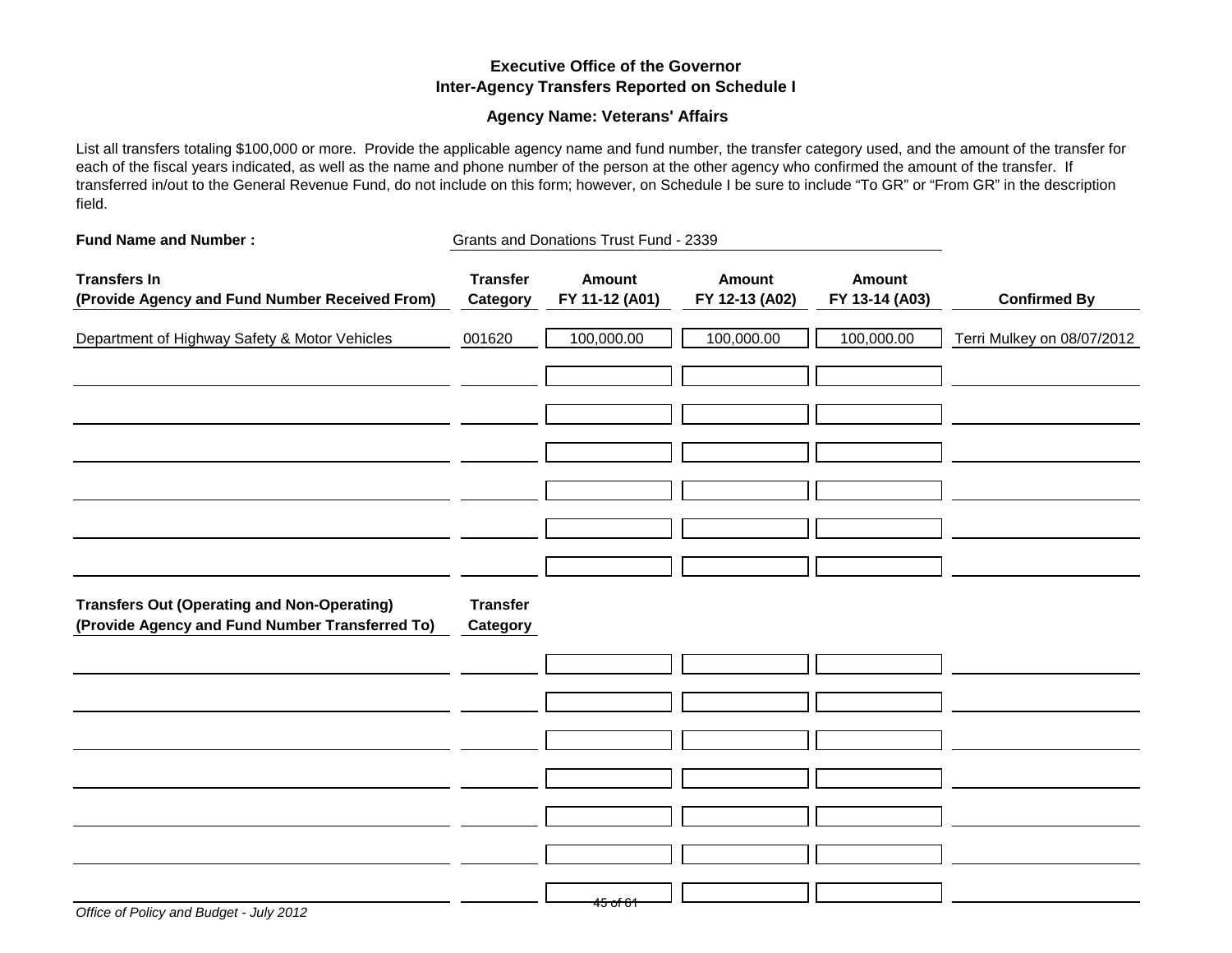### **Executive Office of the Governor Inter-Agency Transfers Reported on Schedule I**

### **Agency Name: Veterans' Affairs**

List all transfers totaling \$100,000 or more. Provide the applicable agency name and fund number, the transfer category used, and the amount of the transfer for each of the fiscal years indicated, as well as the name and phone number of the person at the other agency who confirmed the amount of the transfer. If transferred in/out to the General Revenue Fund, do not include on this form; however, on Schedule I be sure to include "To GR" or "From GR" in the description field.

| <b>Fund Name and Number:</b>                                                                          |                             | Grants and Donations Trust Fund - 2339 |                                 |                                 |                            |
|-------------------------------------------------------------------------------------------------------|-----------------------------|----------------------------------------|---------------------------------|---------------------------------|----------------------------|
| <b>Transfers In</b><br>(Provide Agency and Fund Number Received From)                                 | <b>Transfer</b><br>Category | <b>Amount</b><br>FY 11-12 (A01)        | <b>Amount</b><br>FY 12-13 (A02) | <b>Amount</b><br>FY 13-14 (A03) | <b>Confirmed By</b>        |
| Department of Highway Safety & Motor Vehicles                                                         | 001620                      | 100,000.00                             | 100,000.00                      | 100,000.00                      | Terri Mulkey on 08/07/2012 |
|                                                                                                       |                             |                                        |                                 |                                 |                            |
|                                                                                                       |                             |                                        |                                 |                                 |                            |
|                                                                                                       |                             |                                        |                                 |                                 |                            |
|                                                                                                       |                             |                                        |                                 |                                 |                            |
|                                                                                                       |                             |                                        |                                 |                                 |                            |
| <b>Transfers Out (Operating and Non-Operating)</b><br>(Provide Agency and Fund Number Transferred To) | <b>Transfer</b><br>Category |                                        |                                 |                                 |                            |
|                                                                                                       |                             |                                        |                                 |                                 |                            |
|                                                                                                       |                             |                                        |                                 |                                 |                            |
|                                                                                                       |                             |                                        |                                 |                                 |                            |
|                                                                                                       |                             |                                        |                                 |                                 |                            |
|                                                                                                       |                             |                                        |                                 |                                 |                            |
|                                                                                                       |                             | <del>45 of 61</del>                    |                                 |                                 |                            |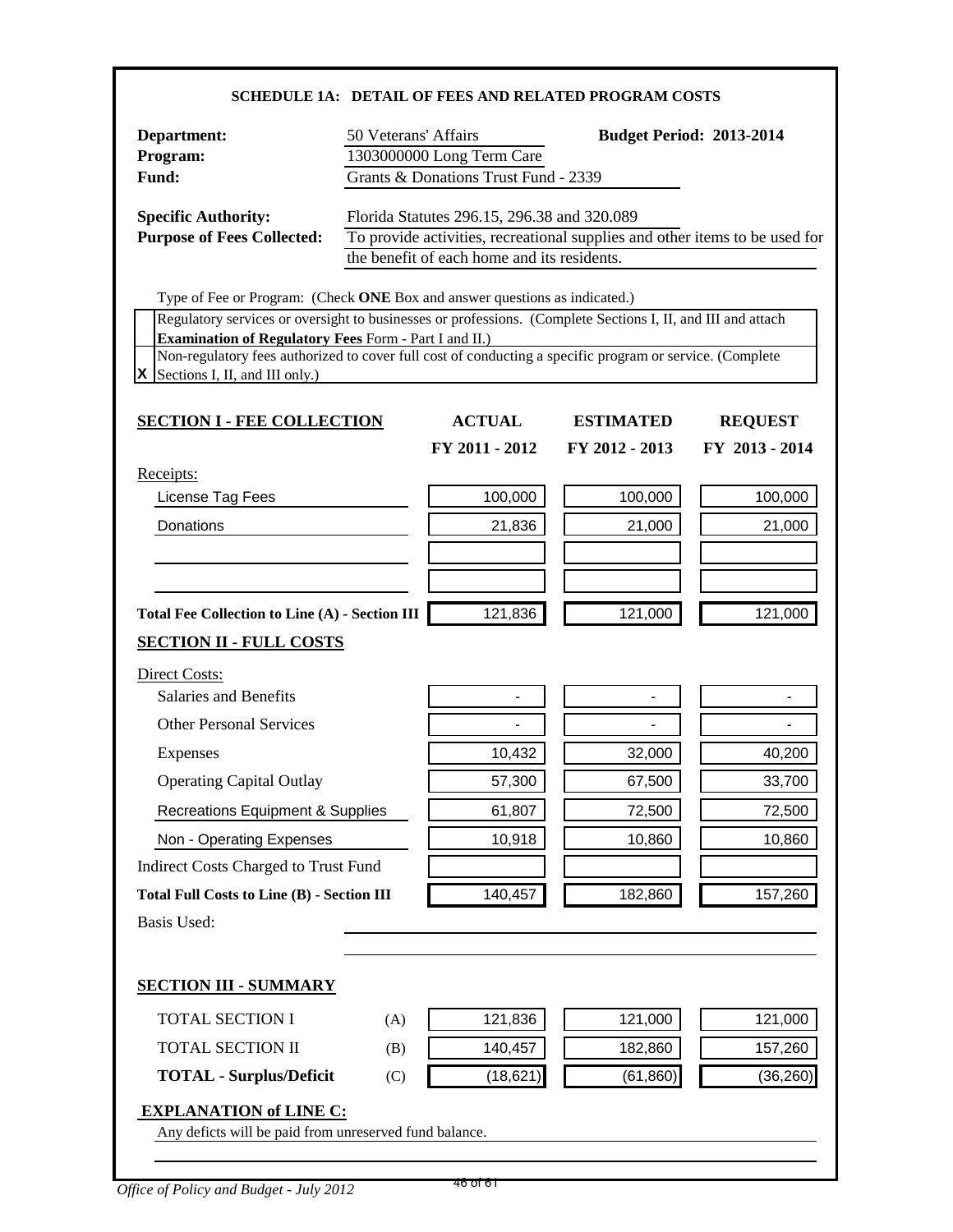### **SCHEDULE 1A: DETAIL OF FEES AND RELATED PROGRAM COSTS**

| Department:<br>Program:<br>Fund:                                                                                                                                                                                                                                                                                                                                                                            | 50 Veterans' Affairs | 1303000000 Long Term Care<br>Grants & Donations Trust Fund - 2339                          | <b>Budget Period: 2013-2014</b>                                             |                |
|-------------------------------------------------------------------------------------------------------------------------------------------------------------------------------------------------------------------------------------------------------------------------------------------------------------------------------------------------------------------------------------------------------------|----------------------|--------------------------------------------------------------------------------------------|-----------------------------------------------------------------------------|----------------|
| <b>Specific Authority:</b><br><b>Purpose of Fees Collected:</b>                                                                                                                                                                                                                                                                                                                                             |                      | Florida Statutes 296.15, 296.38 and 320.089<br>the benefit of each home and its residents. | To provide activities, recreational supplies and other items to be used for |                |
| Type of Fee or Program: (Check ONE Box and answer questions as indicated.)<br>Regulatory services or oversight to businesses or professions. (Complete Sections I, II, and III and attach<br><b>Examination of Regulatory Fees Form - Part I and II.)</b><br>Non-regulatory fees authorized to cover full cost of conducting a specific program or service. (Complete<br>$X$ Sections I, II, and III only.) |                      |                                                                                            |                                                                             |                |
| <b>SECTION I - FEE COLLECTION</b>                                                                                                                                                                                                                                                                                                                                                                           |                      | <b>ACTUAL</b>                                                                              | <b>ESTIMATED</b>                                                            | <b>REQUEST</b> |
|                                                                                                                                                                                                                                                                                                                                                                                                             |                      | FY 2011 - 2012                                                                             | FY 2012 - 2013                                                              | FY 2013 - 2014 |
| Receipts:<br>License Tag Fees                                                                                                                                                                                                                                                                                                                                                                               |                      | 100,000                                                                                    | 100,000                                                                     | 100,000        |
| Donations                                                                                                                                                                                                                                                                                                                                                                                                   |                      | 21,836                                                                                     | 21,000                                                                      | 21,000         |
|                                                                                                                                                                                                                                                                                                                                                                                                             |                      |                                                                                            |                                                                             |                |
|                                                                                                                                                                                                                                                                                                                                                                                                             |                      |                                                                                            |                                                                             |                |
| <b>Total Fee Collection to Line (A) - Section III</b>                                                                                                                                                                                                                                                                                                                                                       |                      | 121,836                                                                                    | 121,000                                                                     | 121,000        |
| <b>SECTION II - FULL COSTS</b>                                                                                                                                                                                                                                                                                                                                                                              |                      |                                                                                            |                                                                             |                |
| Direct Costs:                                                                                                                                                                                                                                                                                                                                                                                               |                      |                                                                                            |                                                                             |                |
| Salaries and Benefits                                                                                                                                                                                                                                                                                                                                                                                       |                      |                                                                                            |                                                                             |                |
| <b>Other Personal Services</b>                                                                                                                                                                                                                                                                                                                                                                              |                      |                                                                                            | $\overline{\phantom{0}}$                                                    |                |
| <b>Expenses</b>                                                                                                                                                                                                                                                                                                                                                                                             |                      | 10,432                                                                                     | 32,000                                                                      | 40,200         |
| <b>Operating Capital Outlay</b>                                                                                                                                                                                                                                                                                                                                                                             |                      | 57,300                                                                                     | 67,500                                                                      | 33,700         |
| <b>Recreations Equipment &amp; Supplies</b>                                                                                                                                                                                                                                                                                                                                                                 |                      | 61,807                                                                                     | 72,500                                                                      | 72,500         |
| Non - Operating Expenses                                                                                                                                                                                                                                                                                                                                                                                    |                      | 10,918                                                                                     | 10,860                                                                      | 10,860         |
| <b>Indirect Costs Charged to Trust Fund</b>                                                                                                                                                                                                                                                                                                                                                                 |                      |                                                                                            |                                                                             |                |
| <b>Total Full Costs to Line (B) - Section III</b>                                                                                                                                                                                                                                                                                                                                                           |                      | 140,457                                                                                    | 182,860                                                                     | 157,260        |
| <b>Basis Used:</b>                                                                                                                                                                                                                                                                                                                                                                                          |                      |                                                                                            |                                                                             |                |
| <b>SECTION III - SUMMARY</b>                                                                                                                                                                                                                                                                                                                                                                                |                      |                                                                                            |                                                                             |                |
| <b>TOTAL SECTION I</b>                                                                                                                                                                                                                                                                                                                                                                                      | (A)                  | 121,836                                                                                    | 121,000                                                                     | 121,000        |
| TOTAL SECTION II                                                                                                                                                                                                                                                                                                                                                                                            | (B)                  | 140,457                                                                                    | 182,860                                                                     | 157,260        |
| <b>TOTAL - Surplus/Deficit</b>                                                                                                                                                                                                                                                                                                                                                                              | (C)                  | (18, 621)                                                                                  | (61, 860)                                                                   | (36, 260)      |
| <b>EXPLANATION of LINE C:</b><br>Any deficts will be paid from unreserved fund balance.                                                                                                                                                                                                                                                                                                                     |                      |                                                                                            |                                                                             |                |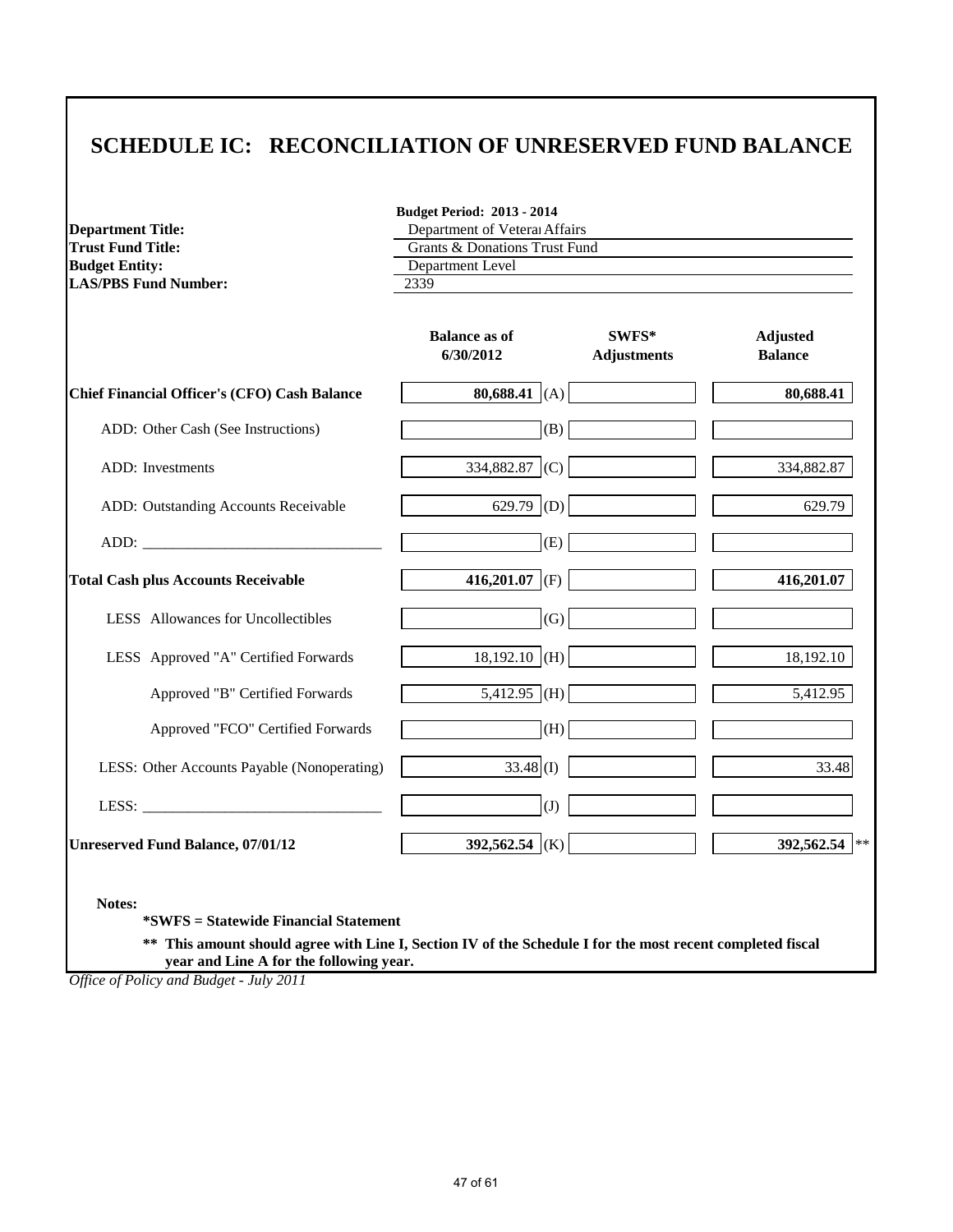## **SCHEDULE IC: RECONCILIATION OF UNRESERVED FUND BALANCE**

**Budget Period: 2013 - 2014**

| <b>Department Title:</b>                             | Department of Veteral Affairs            |                             |                                   |
|------------------------------------------------------|------------------------------------------|-----------------------------|-----------------------------------|
| <b>Trust Fund Title:</b>                             | <b>Grants &amp; Donations Trust Fund</b> |                             |                                   |
| <b>Budget Entity:</b><br><b>LAS/PBS Fund Number:</b> | Department Level<br>2339                 |                             |                                   |
|                                                      | <b>Balance as of</b><br>6/30/2012        | SWFS*<br><b>Adjustments</b> | <b>Adjusted</b><br><b>Balance</b> |
| <b>Chief Financial Officer's (CFO) Cash Balance</b>  | 80,688.41 (A)                            |                             | 80,688.41                         |
| ADD: Other Cash (See Instructions)                   |                                          | (B)                         |                                   |
| ADD: Investments                                     | 334,882.87 (C)                           |                             | 334,882.87                        |
| ADD: Outstanding Accounts Receivable                 | 629.79 (D)                               |                             | 629.79                            |
|                                                      |                                          | (E)                         |                                   |
| <b>Total Cash plus Accounts Receivable</b>           | 416,201.07 (F)                           |                             | 416,201.07                        |
| LESS Allowances for Uncollectibles                   |                                          | (G)                         |                                   |
| LESS Approved "A" Certified Forwards                 | $18,192.10$ (H)                          |                             | 18,192.10                         |
| Approved "B" Certified Forwards                      | $5,4\overline{12.95}$ (H)                |                             | 5,412.95                          |
| Approved "FCO" Certified Forwards                    |                                          | (H)                         |                                   |
| LESS: Other Accounts Payable (Nonoperating)          | $33.48$ (I)                              |                             | 33.48                             |
|                                                      |                                          | (J)                         |                                   |
| <b>Unreserved Fund Balance, 07/01/12</b>             | 392,562.54 (K)                           |                             | 392,562.54                        |

**Notes:**

**\*SWFS = Statewide Financial Statement** 

**\*\* This amount should agree with Line I, Section IV of the Schedule I for the most recent completed fiscal year and Line A for the following year.**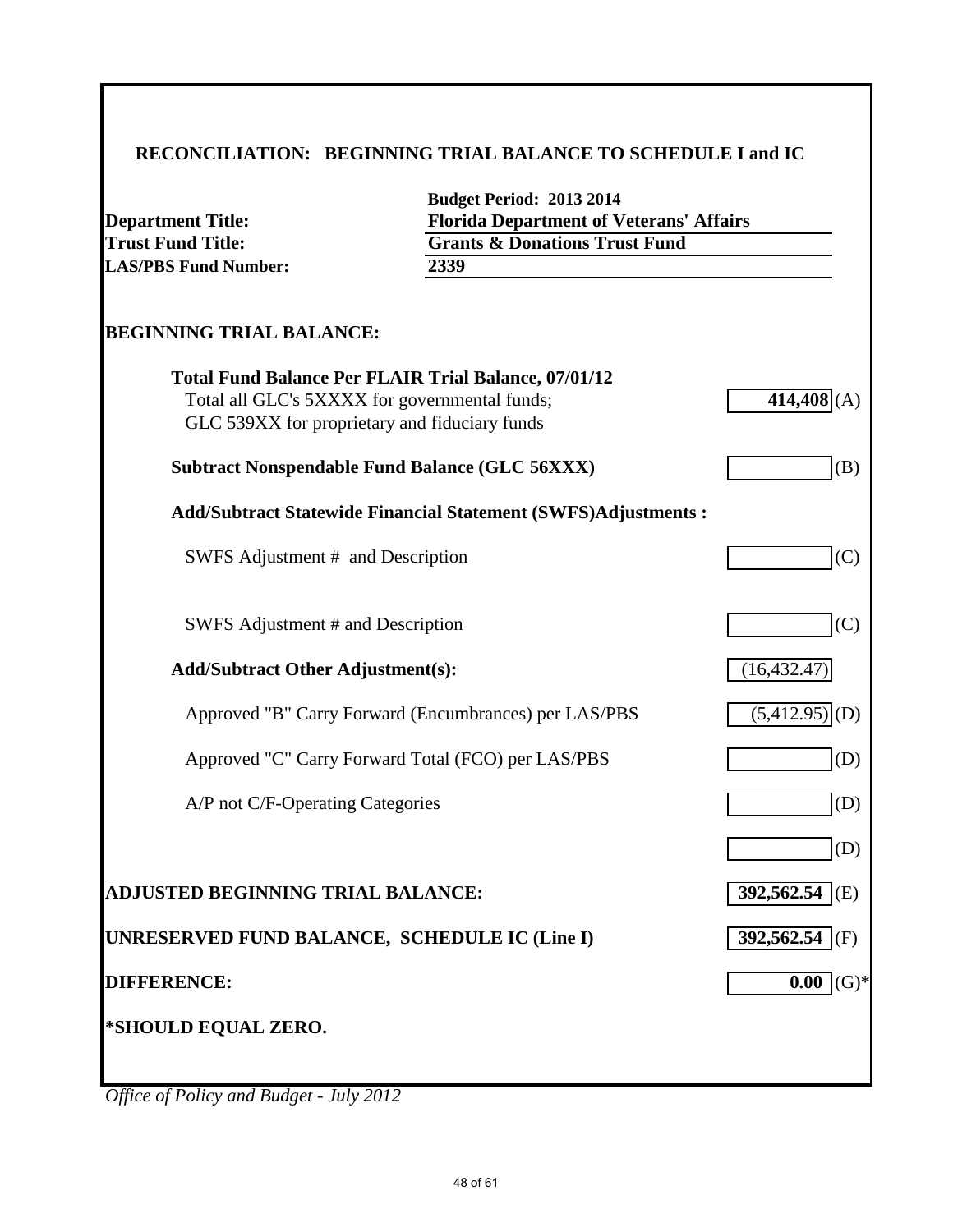# **RECONCILIATION: BEGINNING TRIAL BALANCE TO SCHEDULE I and IC**

| <b>Department Title:</b><br><b>Trust Fund Title:</b>                                           | <b>Budget Period: 2013 2014</b><br><b>Florida Department of Veterans' Affairs</b><br><b>Grants &amp; Donations Trust Fund</b> |                             |
|------------------------------------------------------------------------------------------------|-------------------------------------------------------------------------------------------------------------------------------|-----------------------------|
| <b>LAS/PBS Fund Number:</b>                                                                    | 2339                                                                                                                          |                             |
| <b>BEGINNING TRIAL BALANCE:</b>                                                                |                                                                                                                               |                             |
| Total all GLC's 5XXXX for governmental funds;<br>GLC 539XX for proprietary and fiduciary funds | <b>Total Fund Balance Per FLAIR Trial Balance, 07/01/12</b>                                                                   | 414,408(A)                  |
| <b>Subtract Nonspendable Fund Balance (GLC 56XXX)</b>                                          |                                                                                                                               | (B)                         |
|                                                                                                | <b>Add/Subtract Statewide Financial Statement (SWFS)Adjustments:</b>                                                          |                             |
| SWFS Adjustment # and Description                                                              |                                                                                                                               | (C)                         |
| SWFS Adjustment # and Description                                                              |                                                                                                                               | (C)                         |
| <b>Add/Subtract Other Adjustment(s):</b>                                                       |                                                                                                                               | (16, 432.47)                |
|                                                                                                | Approved "B" Carry Forward (Encumbrances) per LAS/PBS                                                                         | (5,412.95)<br>(D)           |
|                                                                                                | Approved "C" Carry Forward Total (FCO) per LAS/PBS                                                                            | (D)                         |
| A/P not C/F-Operating Categories                                                               |                                                                                                                               | (D)                         |
|                                                                                                |                                                                                                                               | (D)                         |
| ADJUSTED BEGINNING TRIAL BALANCE:                                                              |                                                                                                                               | $392,562.54$ <sup>(E)</sup> |
| UNRESERVED FUND BALANCE, SCHEDULE IC (Line I)                                                  |                                                                                                                               | 392,562.54 (F)              |
| <b>DIFFERENCE:</b>                                                                             |                                                                                                                               | $0.00$ (G)*                 |
| *SHOULD EQUAL ZERO.                                                                            |                                                                                                                               |                             |
|                                                                                                |                                                                                                                               |                             |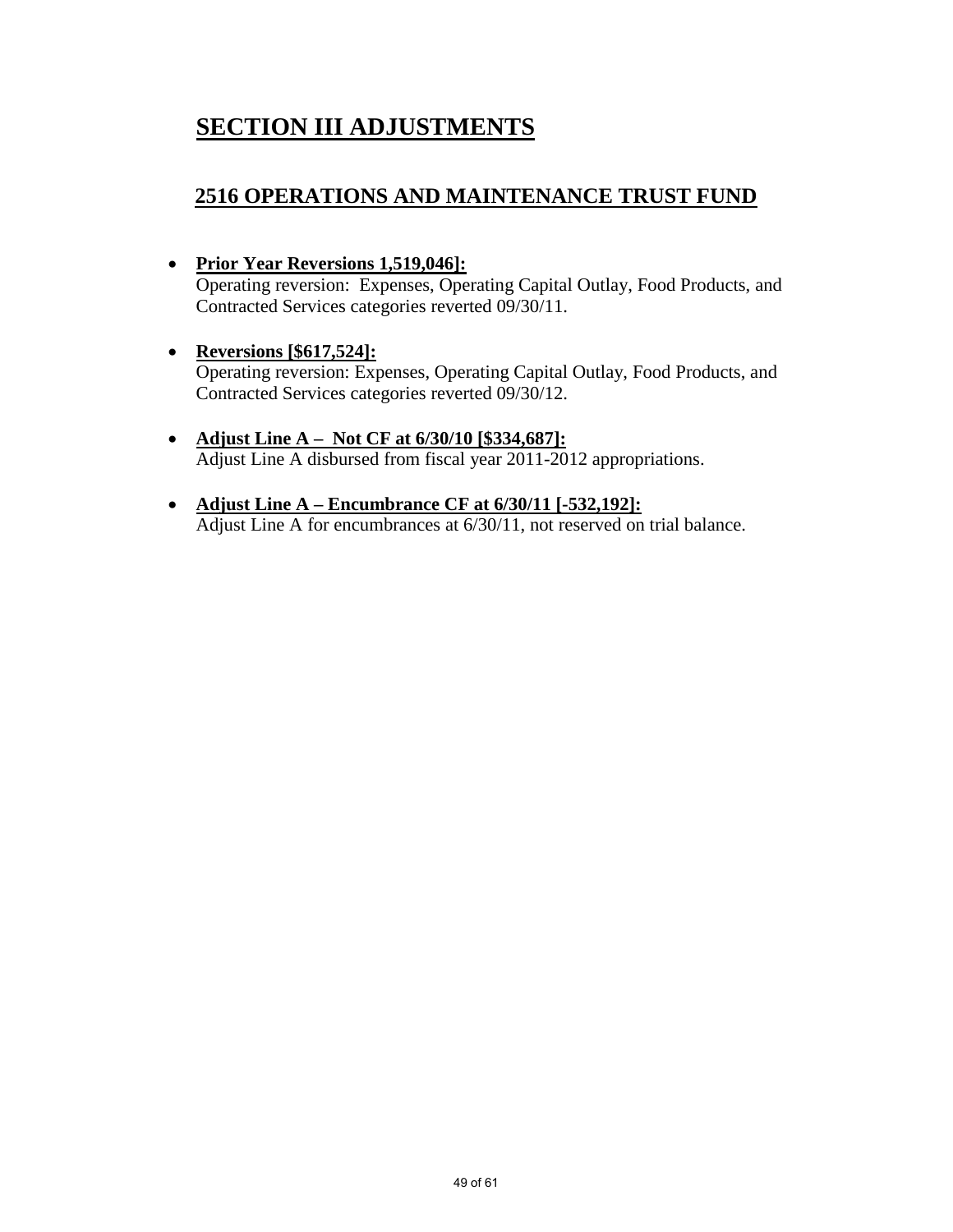# **SECTION III ADJUSTMENTS**

### **2516 OPERATIONS AND MAINTENANCE TRUST FUND**

• **Prior Year Reversions 1,519,046]:**

Operating reversion: Expenses, Operating Capital Outlay, Food Products, and Contracted Services categories reverted 09/30/11.

- **Reversions [\$617,524]:** Operating reversion: Expenses, Operating Capital Outlay, Food Products, and Contracted Services categories reverted 09/30/12.
- **Adjust Line A Not CF at 6/30/10 [\$334,687]:** Adjust Line A disbursed from fiscal year 2011-2012 appropriations.
- **Adjust Line A Encumbrance CF at 6/30/11 [-532,192]:** Adjust Line A for encumbrances at 6/30/11, not reserved on trial balance.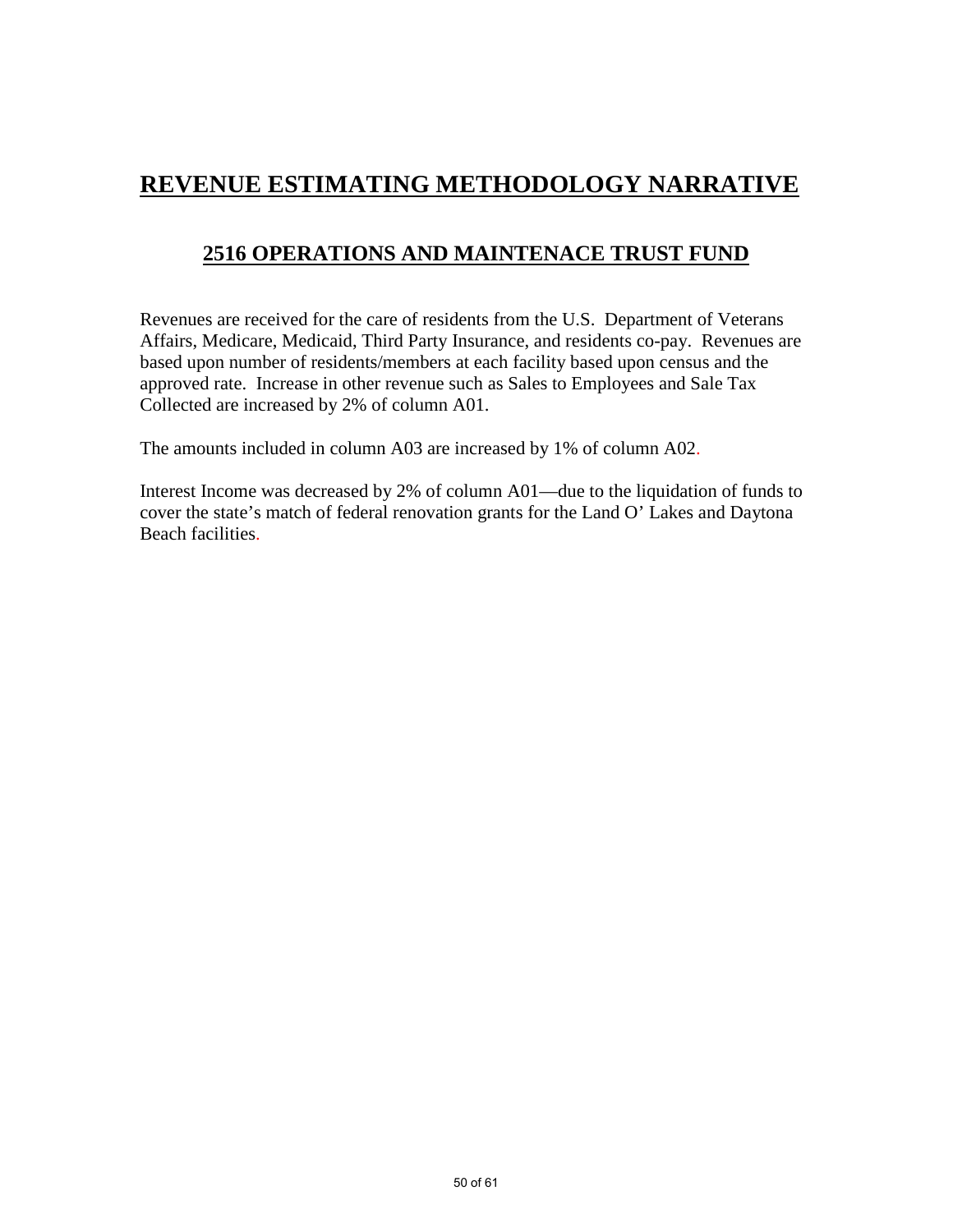# **REVENUE ESTIMATING METHODOLOGY NARRATIVE**

## **2516 OPERATIONS AND MAINTENACE TRUST FUND**

Revenues are received for the care of residents from the U.S. Department of Veterans Affairs, Medicare, Medicaid, Third Party Insurance, and residents co-pay. Revenues are based upon number of residents/members at each facility based upon census and the approved rate. Increase in other revenue such as Sales to Employees and Sale Tax Collected are increased by 2% of column A01.

The amounts included in column A03 are increased by 1% of column A02.

Interest Income was decreased by 2% of column A01—due to the liquidation of funds to cover the state's match of federal renovation grants for the Land O' Lakes and Daytona Beach facilities.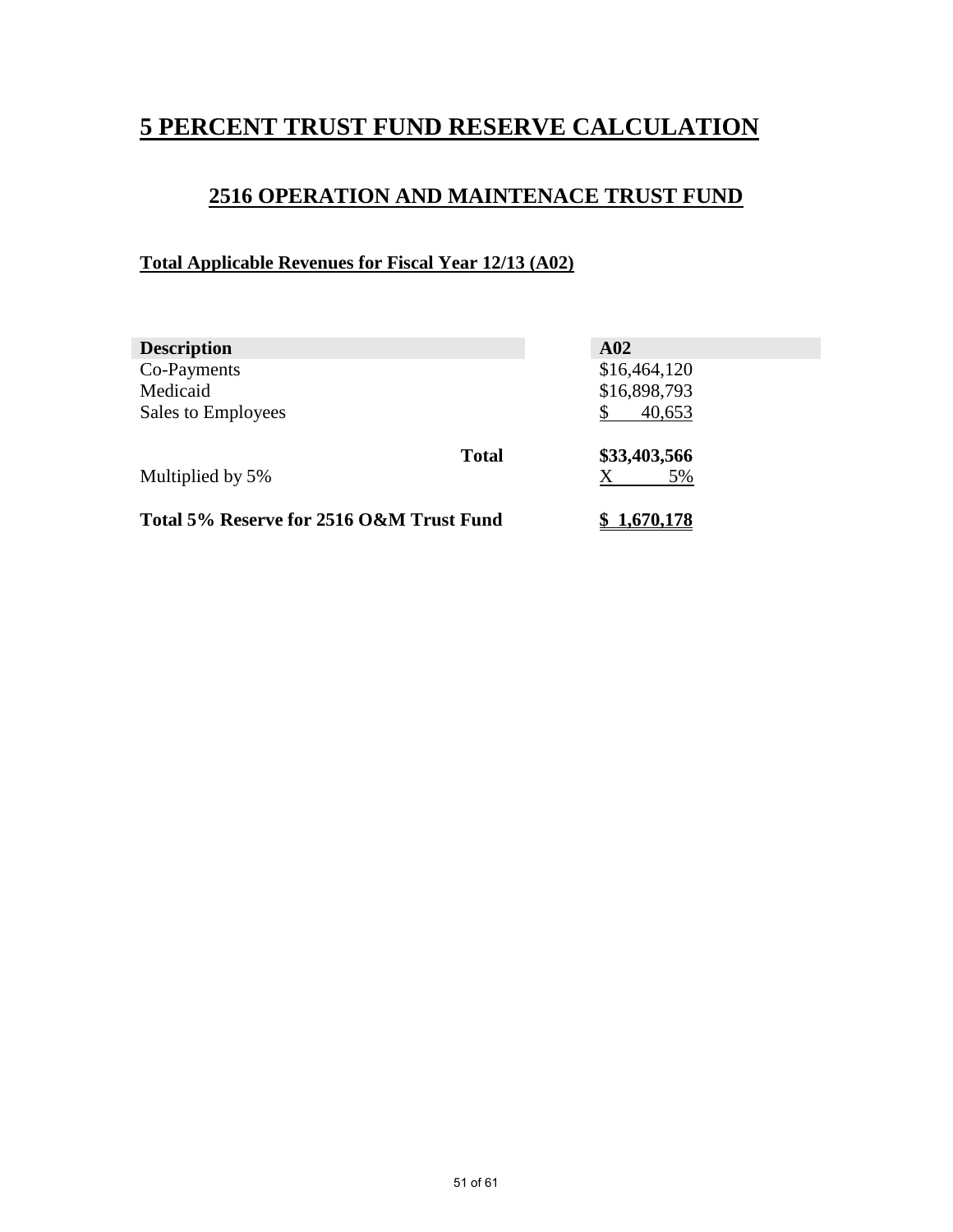# **5 PERCENT TRUST FUND RESERVE CALCULATION**

### **2516 OPERATION AND MAINTENACE TRUST FUND**

### **Total Applicable Revenues for Fiscal Year 12/13 (A02)**

| <b>Description</b>                       |              | A <sub>02</sub>    |  |
|------------------------------------------|--------------|--------------------|--|
| Co-Payments                              |              | \$16,464,120       |  |
| Medicaid                                 |              | \$16,898,793       |  |
| Sales to Employees                       |              | 40,653             |  |
| Multiplied by 5%                         | <b>Total</b> | \$33,403,566<br>5% |  |
| Total 5% Reserve for 2516 O&M Trust Fund |              | 1.670.178          |  |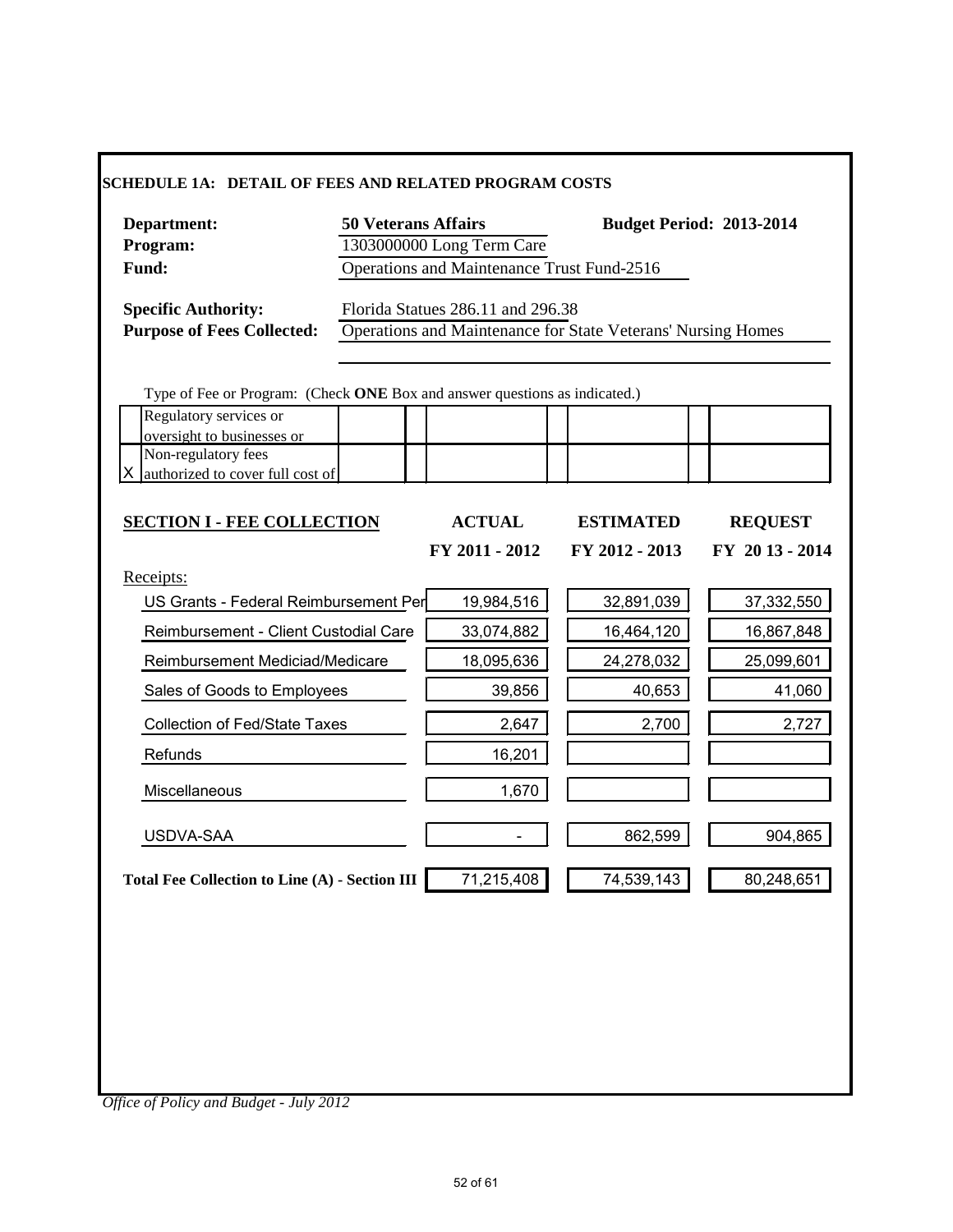|                                       | 1303000000 Long Term Care<br>Operations and Maintenance Trust Fund-2516<br>Florida Statues 286.11 and 296.38<br>Operations and Maintenance for State Veterans' Nursing Homes |                                                                                         |                |
|---------------------------------------|------------------------------------------------------------------------------------------------------------------------------------------------------------------------------|-----------------------------------------------------------------------------------------|----------------|
|                                       |                                                                                                                                                                              |                                                                                         |                |
|                                       |                                                                                                                                                                              |                                                                                         |                |
|                                       |                                                                                                                                                                              |                                                                                         |                |
|                                       |                                                                                                                                                                              |                                                                                         |                |
|                                       |                                                                                                                                                                              |                                                                                         |                |
|                                       | Type of Fee or Program: (Check ONE Box and answer questions as indicated.)                                                                                                   |                                                                                         |                |
|                                       |                                                                                                                                                                              |                                                                                         |                |
|                                       |                                                                                                                                                                              |                                                                                         |                |
|                                       |                                                                                                                                                                              |                                                                                         |                |
| <b>SECTION I - FEE COLLECTION</b>     | <b>ACTUAL</b>                                                                                                                                                                | <b>ESTIMATED</b>                                                                        | <b>REQUEST</b> |
|                                       | FY 2011 - 2012                                                                                                                                                               | FY 2012 - 2013                                                                          | FY 2013 - 2014 |
|                                       |                                                                                                                                                                              |                                                                                         |                |
|                                       | 19,984,516                                                                                                                                                                   | 32,891,039                                                                              | 37,332,550     |
| Reimbursement - Client Custodial Care | 33,074,882                                                                                                                                                                   | 16,464,120                                                                              | 16,867,848     |
| Reimbursement Mediciad/Medicare       | 18,095,636                                                                                                                                                                   | 24,278,032                                                                              | 25,099,601     |
| Sales of Goods to Employees           | 39,856                                                                                                                                                                       | 40,653                                                                                  | 41,060         |
|                                       | 2,647                                                                                                                                                                        | 2,700                                                                                   | 2,727          |
|                                       | 16,201                                                                                                                                                                       |                                                                                         |                |
|                                       | 1,670                                                                                                                                                                        |                                                                                         |                |
|                                       |                                                                                                                                                                              | 862,599                                                                                 | 904,865        |
|                                       | 71,215,408                                                                                                                                                                   | 74,539,143                                                                              | 80,248,651     |
|                                       |                                                                                                                                                                              | US Grants - Federal Reimbursement Per<br>Total Fee Collection to Line (A) - Section III |                |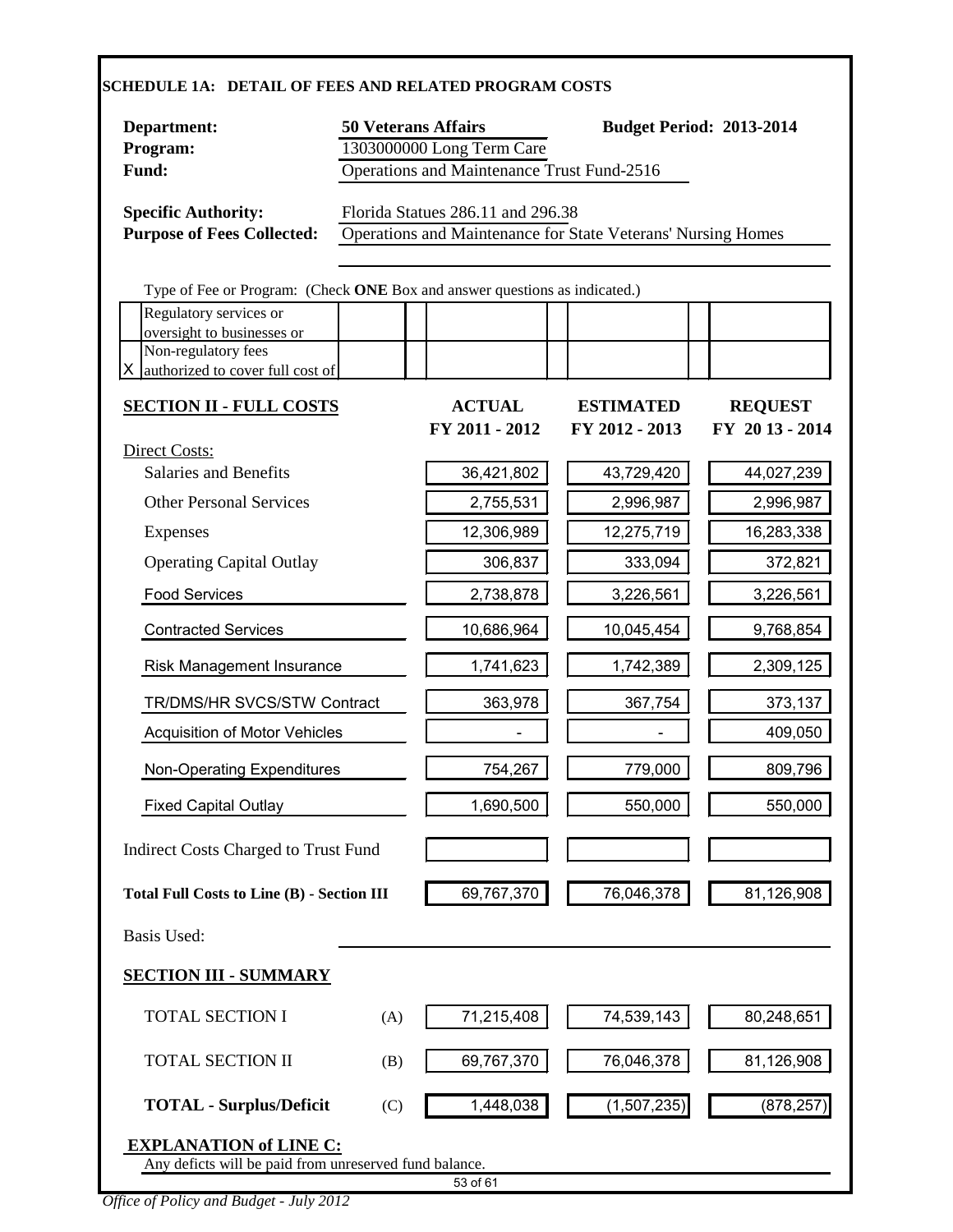| Department:                                                                |     | <b>50 Veterans Affairs</b>        |                                                              | <b>Budget Period: 2013-2014</b>  |
|----------------------------------------------------------------------------|-----|-----------------------------------|--------------------------------------------------------------|----------------------------------|
| Program:                                                                   |     | 1303000000 Long Term Care         |                                                              |                                  |
| Operations and Maintenance Trust Fund-2516<br>Fund:                        |     |                                   |                                                              |                                  |
| <b>Specific Authority:</b><br><b>Purpose of Fees Collected:</b>            |     | Florida Statues 286.11 and 296.38 | Operations and Maintenance for State Veterans' Nursing Homes |                                  |
| Type of Fee or Program: (Check ONE Box and answer questions as indicated.) |     |                                   |                                                              |                                  |
| Regulatory services or                                                     |     |                                   |                                                              |                                  |
| oversight to businesses or<br>Non-regulatory fees                          |     |                                   |                                                              |                                  |
| authorized to cover full cost of                                           |     |                                   |                                                              |                                  |
| <b>SECTION II - FULL COSTS</b>                                             |     | <b>ACTUAL</b><br>FY 2011 - 2012   | <b>ESTIMATED</b><br>FY 2012 - 2013                           | <b>REQUEST</b><br>FY 2013 - 2014 |
| Direct Costs:<br><b>Salaries and Benefits</b>                              |     | 36,421,802                        | 43,729,420                                                   | 44,027,239                       |
| <b>Other Personal Services</b>                                             |     | 2,755,531                         | 2,996,987                                                    | 2,996,987                        |
| <b>Expenses</b>                                                            |     | 12,306,989                        | 12,275,719                                                   | 16,283,338                       |
| <b>Operating Capital Outlay</b>                                            |     | 306,837                           | 333,094                                                      | 372,821                          |
| <b>Food Services</b>                                                       |     | 2,738,878                         | 3,226,561                                                    | 3,226,561                        |
| <b>Contracted Services</b>                                                 |     | 10,686,964                        | 10,045,454                                                   | 9,768,854                        |
| Risk Management Insurance                                                  |     | 1,741,623                         | 1,742,389                                                    | 2,309,125                        |
| TR/DMS/HR SVCS/STW Contract                                                |     | 363,978                           | 367,754                                                      | 373,137                          |
| Acquisition of Motor Vehicles                                              |     |                                   |                                                              | 409,050                          |
| Non-Operating Expenditures                                                 |     | 754,267                           | 779,000                                                      | 809,796                          |
| <b>Fixed Capital Outlay</b>                                                |     | 1,690,500                         | 550,000                                                      | 550,000                          |
| Indirect Costs Charged to Trust Fund                                       |     |                                   |                                                              |                                  |
| <b>Total Full Costs to Line (B) - Section III</b>                          |     | 69,767,370                        | 76,046,378                                                   | 81,126,908                       |
| <b>Basis Used:</b>                                                         |     |                                   |                                                              |                                  |
| <b>SECTION III - SUMMARY</b>                                               |     |                                   |                                                              |                                  |
| <b>TOTAL SECTION I</b>                                                     | (A) | 71,215,408                        | 74,539,143                                                   | 80,248,651                       |
| <b>TOTAL SECTION II</b>                                                    | (B) | 69,767,370                        | 76,046,378                                                   | 81,126,908                       |
| <b>TOTAL - Surplus/Deficit</b>                                             | (C) | 1,448,038                         | (1,507,235)                                                  | (878, 257)                       |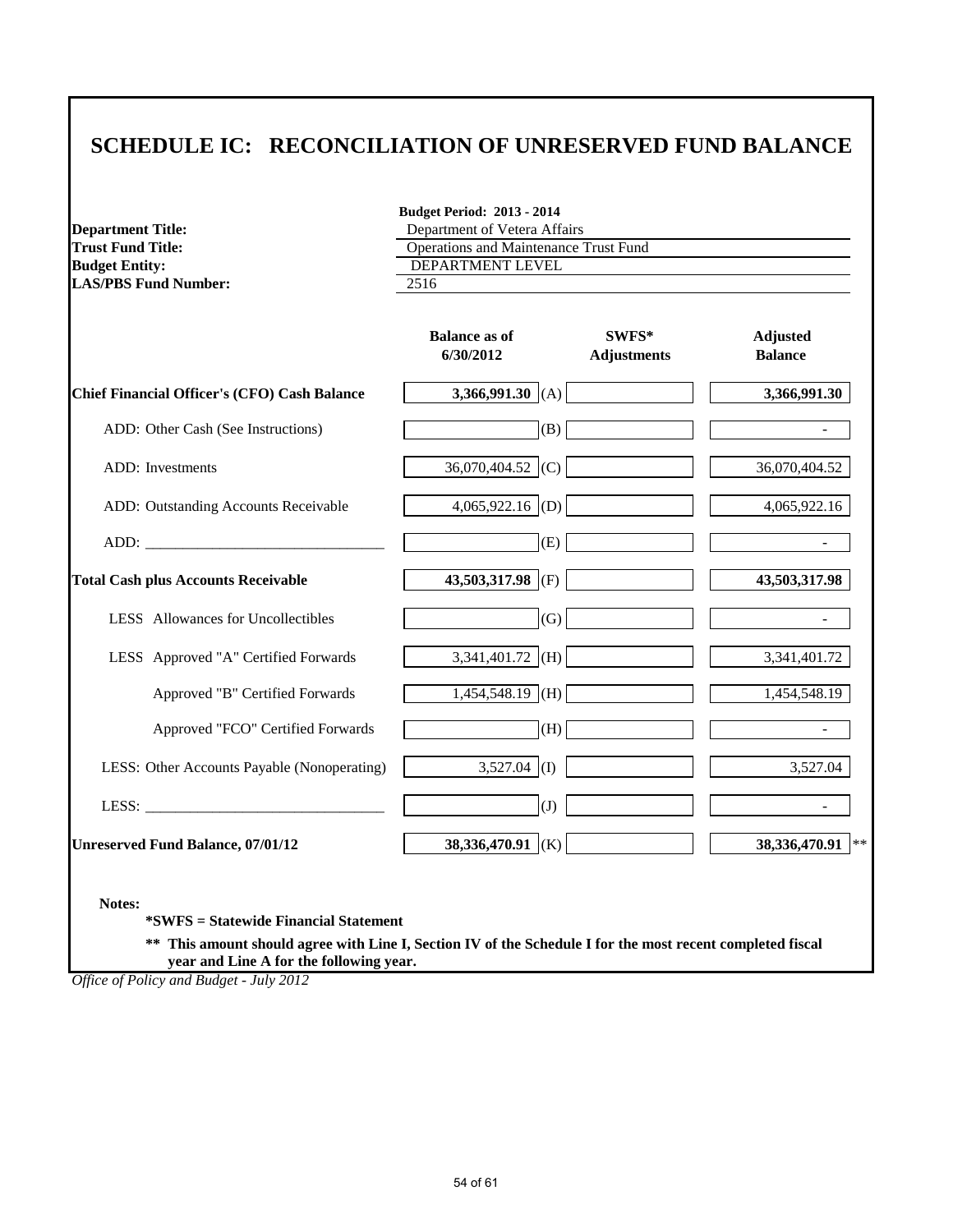## **SCHEDULE IC: RECONCILIATION OF UNRESERVED FUND BALANCE**

**Budget Period: 2013 - 2014**

| <b>Department Title:</b>                                                                                                                                                                                                       | Department of Vetera Affairs          |                             |                                   |  |
|--------------------------------------------------------------------------------------------------------------------------------------------------------------------------------------------------------------------------------|---------------------------------------|-----------------------------|-----------------------------------|--|
| <b>Trust Fund Title:</b>                                                                                                                                                                                                       | Operations and Maintenance Trust Fund |                             |                                   |  |
| <b>Budget Entity:</b>                                                                                                                                                                                                          | DEPARTMENT LEVEL                      |                             |                                   |  |
| <b>LAS/PBS Fund Number:</b>                                                                                                                                                                                                    | 2516                                  |                             |                                   |  |
|                                                                                                                                                                                                                                | <b>Balance as of</b><br>6/30/2012     | SWFS*<br><b>Adjustments</b> | <b>Adjusted</b><br><b>Balance</b> |  |
| <b>Chief Financial Officer's (CFO) Cash Balance</b>                                                                                                                                                                            | 3,366,991.30 (A)                      |                             | 3,366,991.30                      |  |
| ADD: Other Cash (See Instructions)                                                                                                                                                                                             | (B)                                   |                             |                                   |  |
| ADD: Investments                                                                                                                                                                                                               | 36,070,404.52 (C)                     |                             | 36,070,404.52                     |  |
| ADD: Outstanding Accounts Receivable                                                                                                                                                                                           | $4,065,922.16$ (D)                    |                             | 4,065,922.16                      |  |
| ADD: The contract of the contract of the contract of the contract of the contract of the contract of the contract of the contract of the contract of the contract of the contract of the contract of the contract of the contr | (E)                                   |                             |                                   |  |
| <b>Total Cash plus Accounts Receivable</b>                                                                                                                                                                                     | 43,503,317.98 (F)                     |                             | 43,503,317.98                     |  |
| LESS Allowances for Uncollectibles                                                                                                                                                                                             | (G)                                   |                             |                                   |  |
| LESS Approved "A" Certified Forwards                                                                                                                                                                                           | 3,341,401.72 (H)                      |                             | 3,341,401.72                      |  |
| Approved "B" Certified Forwards                                                                                                                                                                                                | $1,454,548.19$ (H)                    |                             | 1,454,548.19                      |  |
| Approved "FCO" Certified Forwards                                                                                                                                                                                              | (H)                                   |                             |                                   |  |
| LESS: Other Accounts Payable (Nonoperating)                                                                                                                                                                                    | $3,527.04$ (I)                        |                             | 3,527.04                          |  |
| LESS:                                                                                                                                                                                                                          | (J)                                   |                             | $\blacksquare$                    |  |
| <b>Unreserved Fund Balance, 07/01/12</b>                                                                                                                                                                                       | 38,336,470.91 (K)                     |                             | 38,336,470.91 **                  |  |

**\*SWFS = Statewide Financial Statement** 

**\*\* This amount should agree with Line I, Section IV of the Schedule I for the most recent completed fiscal year and Line A for the following year.**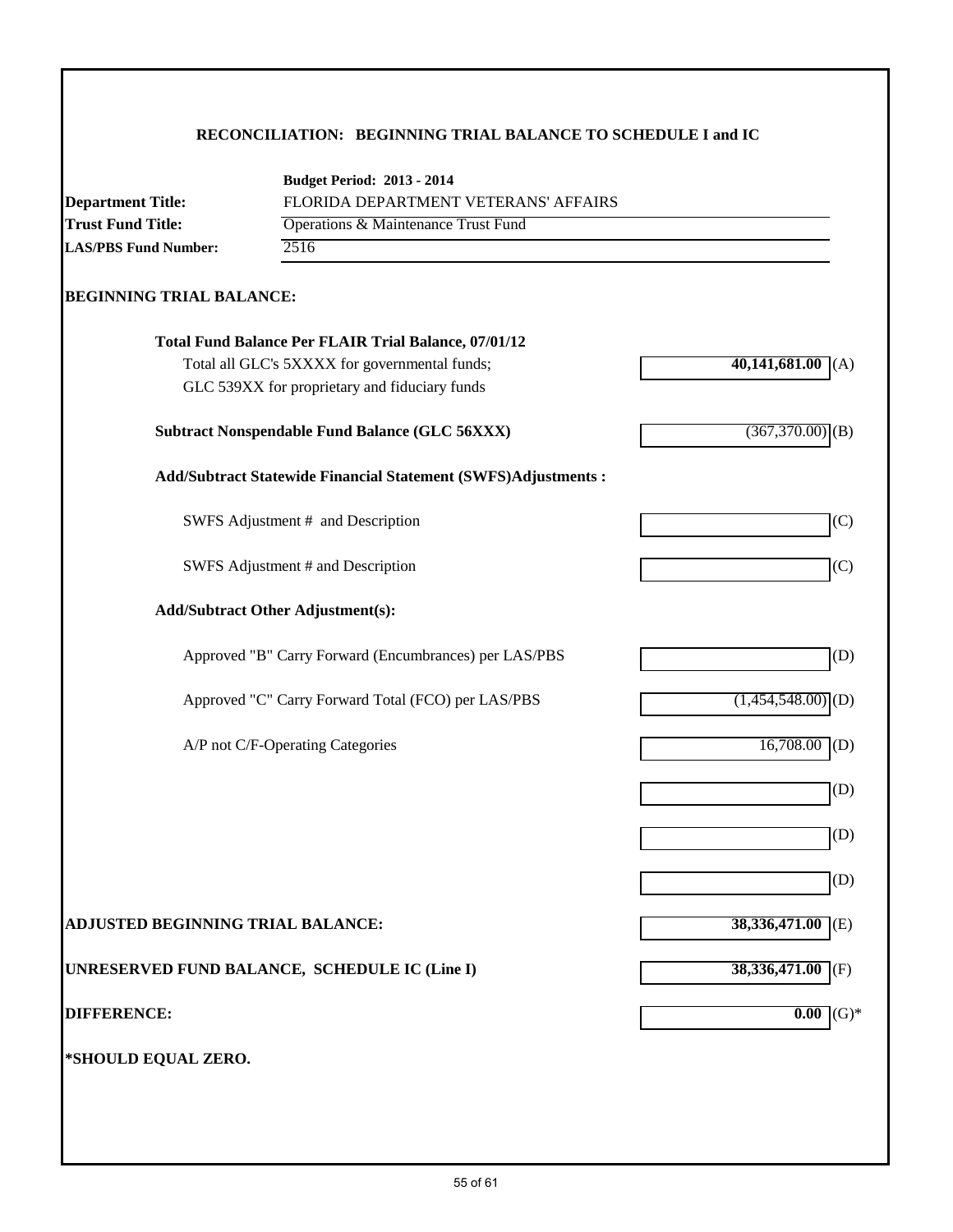### **RECONCILIATION: BEGINNING TRIAL BALANCE TO SCHEDULE I and IC**

|                                                         | <b>Budget Period: 2013 - 2014</b>                              |                          |
|---------------------------------------------------------|----------------------------------------------------------------|--------------------------|
| <b>Department Title:</b>                                | FLORIDA DEPARTMENT VETERANS' AFFAIRS                           |                          |
| <b>Trust Fund Title:</b><br><b>LAS/PBS Fund Number:</b> | Operations & Maintenance Trust Fund<br>2516                    |                          |
|                                                         |                                                                |                          |
| <b>BEGINNING TRIAL BALANCE:</b>                         |                                                                |                          |
|                                                         | Total Fund Balance Per FLAIR Trial Balance, 07/01/12           |                          |
|                                                         | Total all GLC's 5XXXX for governmental funds;                  | 40,141,681.00(A)         |
|                                                         | GLC 539XX for proprietary and fiduciary funds                  |                          |
|                                                         | <b>Subtract Nonspendable Fund Balance (GLC 56XXX)</b>          | $(367,370.00)$ (B)       |
|                                                         | Add/Subtract Statewide Financial Statement (SWFS)Adjustments : |                          |
|                                                         | SWFS Adjustment # and Description                              | (C)                      |
|                                                         | SWFS Adjustment # and Description                              | (C)                      |
|                                                         | <b>Add/Subtract Other Adjustment(s):</b>                       |                          |
|                                                         | Approved "B" Carry Forward (Encumbrances) per LAS/PBS          | (D)                      |
|                                                         | Approved "C" Carry Forward Total (FCO) per LAS/PBS             | $(1,454,548.00)$ (D)     |
|                                                         | A/P not C/F-Operating Categories                               | 16,708.00<br>(D)         |
|                                                         |                                                                | (D)                      |
|                                                         |                                                                | (D)                      |
|                                                         |                                                                | (D)                      |
| <b>ADJUSTED BEGINNING TRIAL BALANCE:</b>                |                                                                | 38, 336, 471.00<br>(E)   |
|                                                         | UNRESERVED FUND BALANCE, SCHEDULE IC (Line I)                  | 38,336,471.00<br>(F)     |
| <b>DIFFERENCE:</b>                                      |                                                                | 0.00<br>$\mathrm{(G)}^*$ |
| *SHOULD EQUAL ZERO.                                     |                                                                |                          |
|                                                         |                                                                |                          |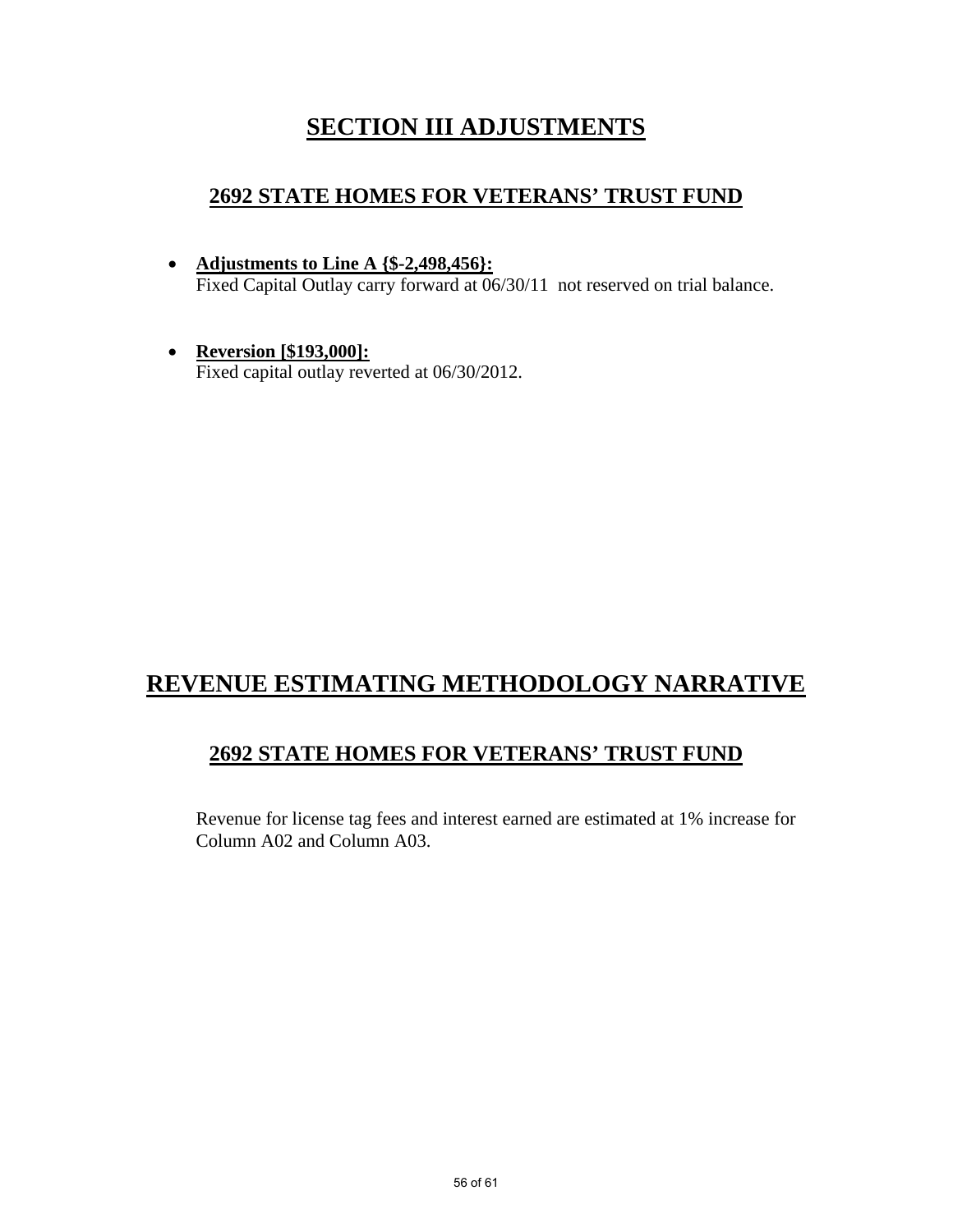# **SECTION III ADJUSTMENTS**

### **2692 STATE HOMES FOR VETERANS' TRUST FUND**

- **Adjustments to Line A {\$-2,498,456}:** Fixed Capital Outlay carry forward at  $06/30/11$  not reserved on trial balance.
- **Reversion [\$193,000]:** Fixed capital outlay reverted at 06/30/2012.

# **REVENUE ESTIMATING METHODOLOGY NARRATIVE**

### **2692 STATE HOMES FOR VETERANS' TRUST FUND**

Revenue for license tag fees and interest earned are estimated at 1% increase for Column A02 and Column A03.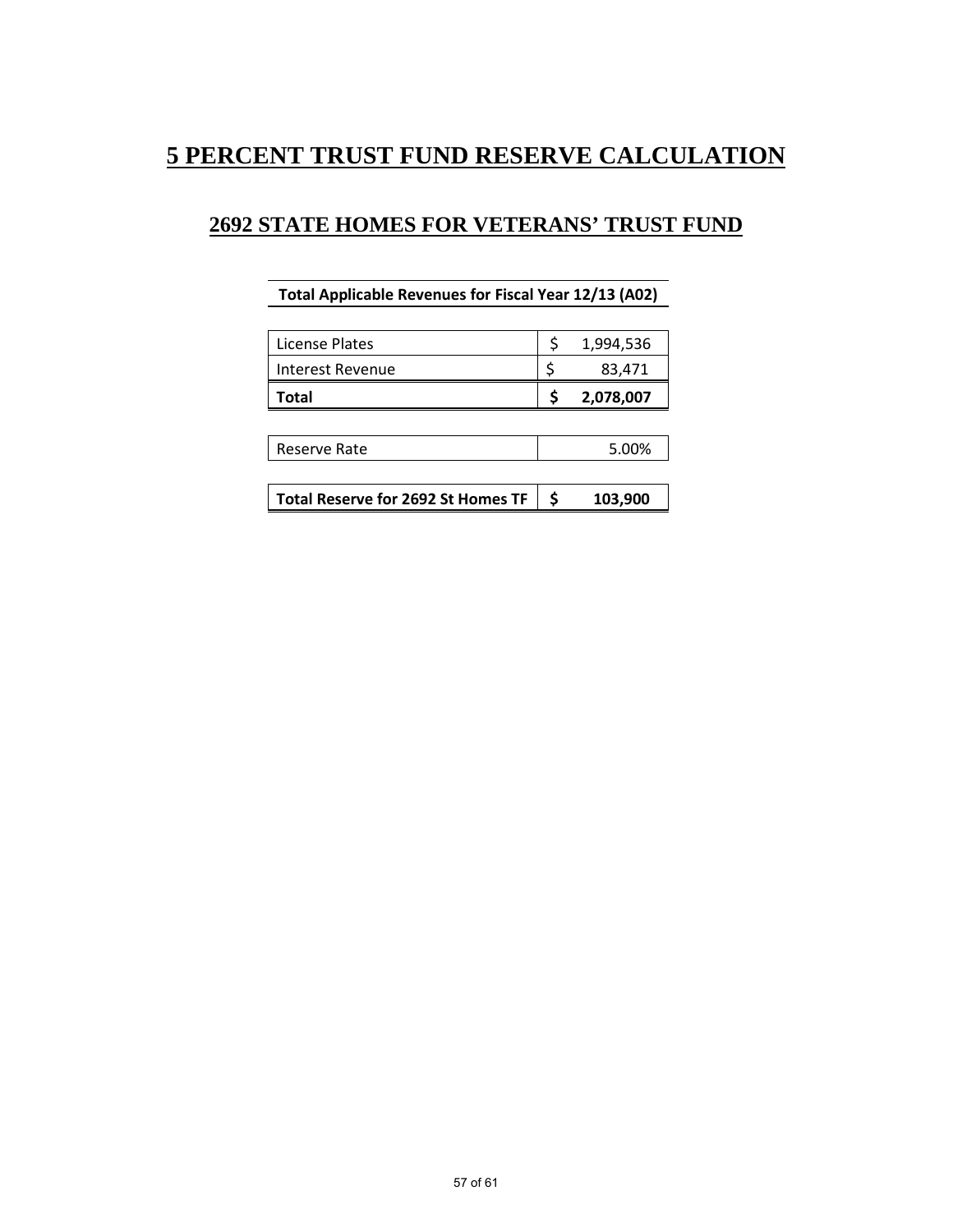## **5 PERCENT TRUST FUND RESERVE CALCULATION**

## **2692 STATE HOMES FOR VETERANS' TRUST FUND**

### **Total Applicable Revenues for Fiscal Year 12/13 (A02)**

| License Plates   | 1,994,536 |
|------------------|-----------|
| Interest Revenue | 83,471    |
|                  |           |
| Total            | 2,078,007 |

| l Reserve Rate | $F$ $00/$ |
|----------------|-----------|
|                |           |

|  | Total Reserve for 2692 St Homes TF $\vert$ \$ |  | 103,900 |
|--|-----------------------------------------------|--|---------|
|--|-----------------------------------------------|--|---------|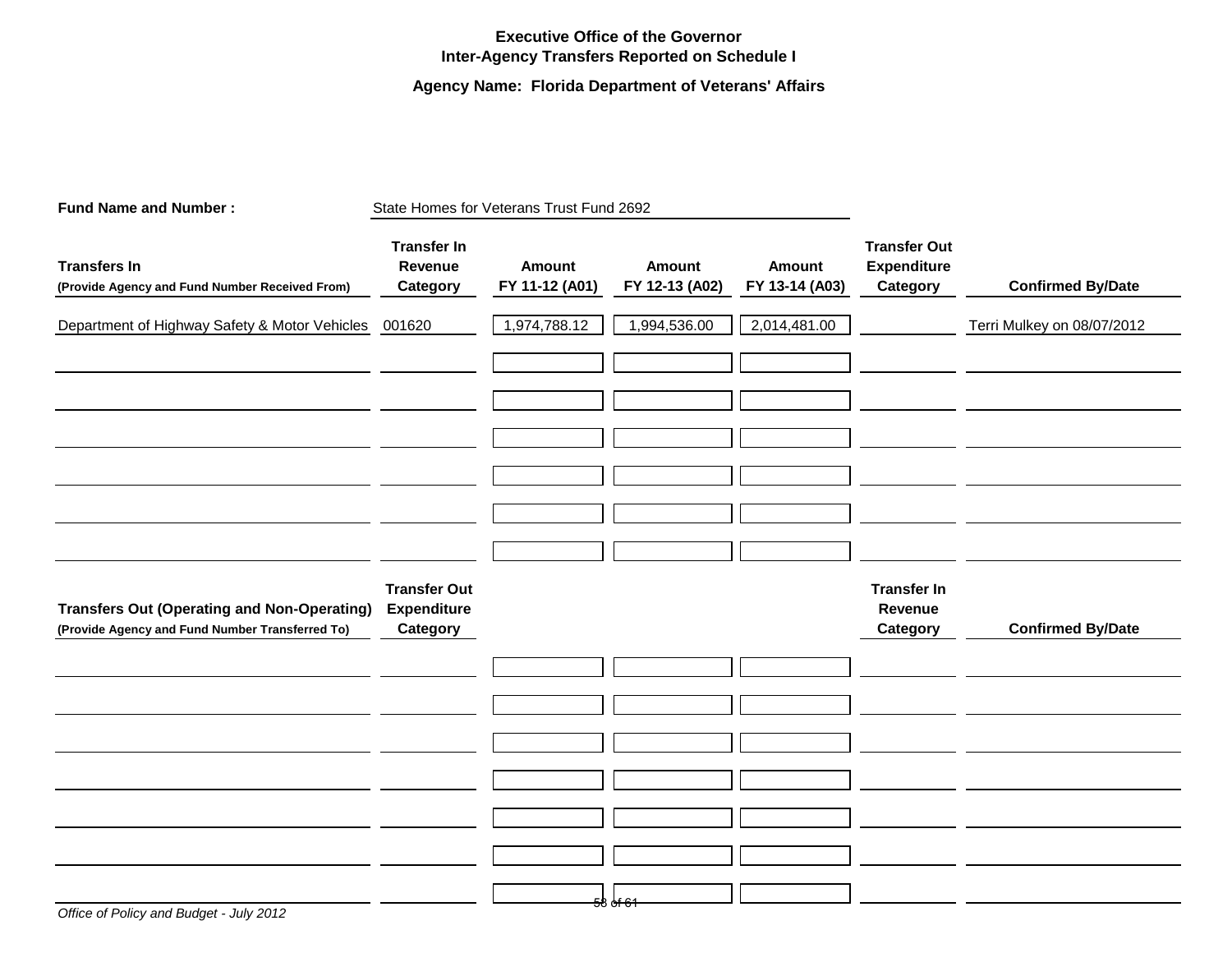### **Executive Office of the Governor Inter-Agency Transfers Reported on Schedule I**

### **Agency Name: Florida Department of Veterans' Affairs**

| <b>Fund Name and Number:</b>                                                                          |                                                       | State Homes for Veterans Trust Fund 2692 |                                 |                                 |                                                       |                            |
|-------------------------------------------------------------------------------------------------------|-------------------------------------------------------|------------------------------------------|---------------------------------|---------------------------------|-------------------------------------------------------|----------------------------|
| <b>Transfers In</b><br>(Provide Agency and Fund Number Received From)                                 | <b>Transfer In</b><br>Revenue<br>Category             | <b>Amount</b><br>FY 11-12 (A01)          | <b>Amount</b><br>FY 12-13 (A02) | <b>Amount</b><br>FY 13-14 (A03) | <b>Transfer Out</b><br><b>Expenditure</b><br>Category | <b>Confirmed By/Date</b>   |
| Department of Highway Safety & Motor Vehicles 001620                                                  |                                                       | 1,974,788.12                             | 1,994,536.00                    | 2,014,481.00                    |                                                       | Terri Mulkey on 08/07/2012 |
|                                                                                                       |                                                       |                                          |                                 |                                 |                                                       |                            |
|                                                                                                       |                                                       |                                          |                                 |                                 |                                                       |                            |
|                                                                                                       |                                                       |                                          |                                 |                                 |                                                       |                            |
|                                                                                                       |                                                       |                                          |                                 |                                 |                                                       |                            |
|                                                                                                       |                                                       |                                          |                                 |                                 |                                                       |                            |
|                                                                                                       |                                                       |                                          |                                 |                                 |                                                       |                            |
| <b>Transfers Out (Operating and Non-Operating)</b><br>(Provide Agency and Fund Number Transferred To) | <b>Transfer Out</b><br><b>Expenditure</b><br>Category |                                          |                                 |                                 | <b>Transfer In</b><br>Revenue<br>Category             | <b>Confirmed By/Date</b>   |
|                                                                                                       |                                                       |                                          |                                 |                                 |                                                       |                            |
|                                                                                                       |                                                       |                                          |                                 |                                 |                                                       |                            |
|                                                                                                       |                                                       |                                          |                                 |                                 |                                                       |                            |
|                                                                                                       |                                                       |                                          |                                 |                                 |                                                       |                            |
|                                                                                                       |                                                       |                                          |                                 |                                 |                                                       |                            |
|                                                                                                       |                                                       |                                          |                                 |                                 |                                                       |                            |
|                                                                                                       |                                                       |                                          | 58 of 61                        |                                 |                                                       |                            |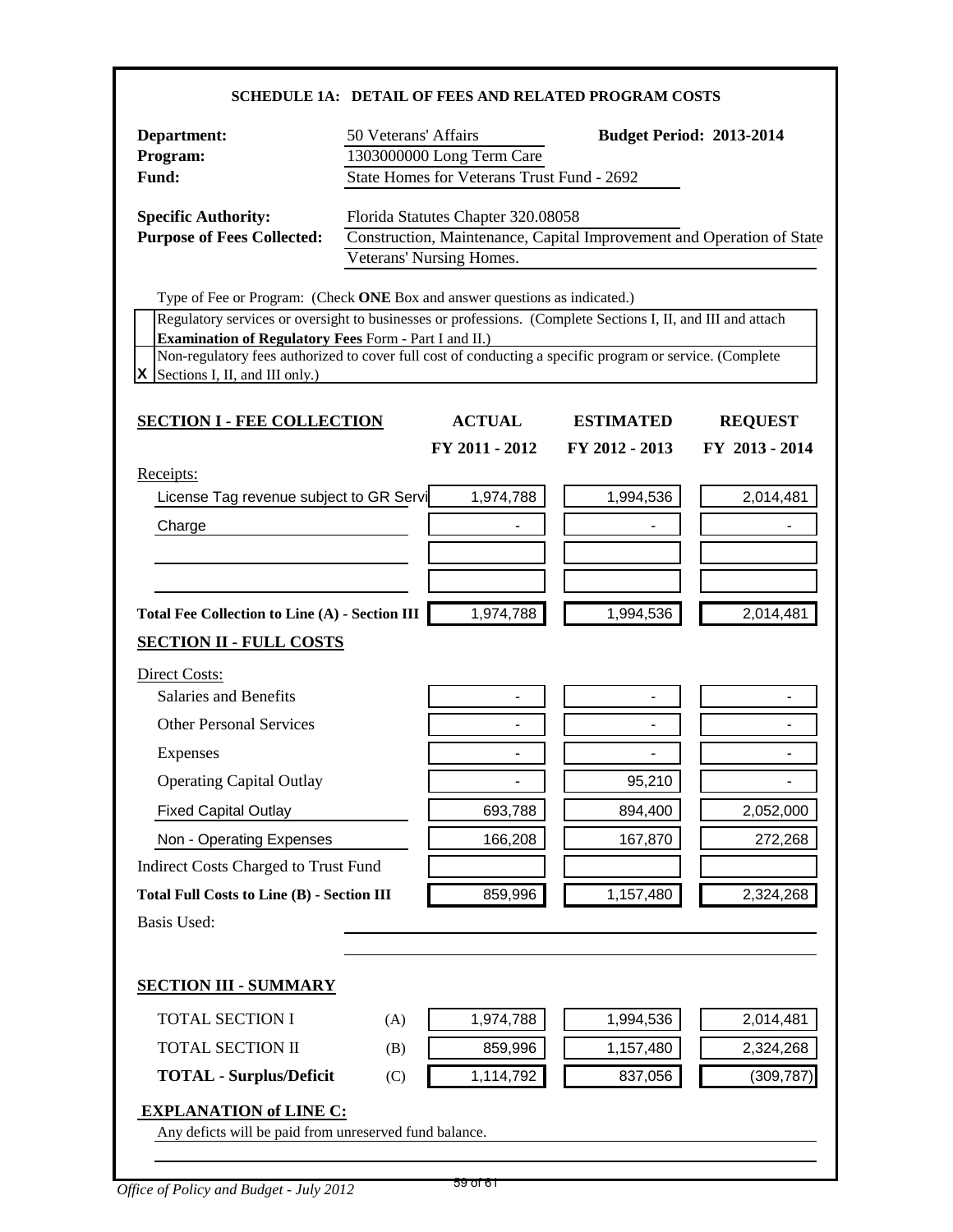| Department:                                                                                                                                                              | 50 Veterans' Affairs |                                            |                                                                       | <b>Budget Period: 2013-2014</b>                                                        |
|--------------------------------------------------------------------------------------------------------------------------------------------------------------------------|----------------------|--------------------------------------------|-----------------------------------------------------------------------|----------------------------------------------------------------------------------------|
| Program:                                                                                                                                                                 |                      | 1303000000 Long Term Care                  |                                                                       |                                                                                        |
| Fund:                                                                                                                                                                    |                      | State Homes for Veterans Trust Fund - 2692 |                                                                       |                                                                                        |
| <b>Specific Authority:</b>                                                                                                                                               |                      | Florida Statutes Chapter 320.08058         |                                                                       |                                                                                        |
| <b>Purpose of Fees Collected:</b>                                                                                                                                        |                      |                                            | Construction, Maintenance, Capital Improvement and Operation of State |                                                                                        |
|                                                                                                                                                                          |                      | Veterans' Nursing Homes.                   |                                                                       |                                                                                        |
| Type of Fee or Program: (Check ONE Box and answer questions as indicated.)                                                                                               |                      |                                            |                                                                       |                                                                                        |
| Regulatory services or oversight to businesses or professions. (Complete Sections I, II, and III and attach                                                              |                      |                                            |                                                                       |                                                                                        |
| <b>Examination of Regulatory Fees Form - Part I and II.)</b><br>Non-regulatory fees authorized to cover full cost of conducting a specific program or service. (Complete |                      |                                            |                                                                       |                                                                                        |
| Sections I, II, and III only.)                                                                                                                                           |                      |                                            |                                                                       |                                                                                        |
| <b>SECTION I - FEE COLLECTION</b>                                                                                                                                        |                      | <b>ACTUAL</b>                              | <b>ESTIMATED</b>                                                      | <b>REQUEST</b>                                                                         |
|                                                                                                                                                                          |                      | FY 2011 - 2012                             | FY 2012 - 2013                                                        | FY 2013 - 2014                                                                         |
| Receipts:                                                                                                                                                                |                      |                                            |                                                                       |                                                                                        |
| License Tag revenue subject to GR Servi                                                                                                                                  |                      | 1,974,788                                  | 1,994,536                                                             | 2,014,481                                                                              |
| Charge                                                                                                                                                                   |                      |                                            |                                                                       |                                                                                        |
|                                                                                                                                                                          |                      |                                            |                                                                       |                                                                                        |
|                                                                                                                                                                          |                      |                                            |                                                                       |                                                                                        |
|                                                                                                                                                                          |                      |                                            |                                                                       |                                                                                        |
|                                                                                                                                                                          |                      |                                            |                                                                       |                                                                                        |
|                                                                                                                                                                          |                      | 1,974,788                                  | 1,994,536                                                             |                                                                                        |
|                                                                                                                                                                          |                      |                                            |                                                                       |                                                                                        |
| <b>Salaries and Benefits</b>                                                                                                                                             |                      |                                            |                                                                       |                                                                                        |
| <b>Other Personal Services</b>                                                                                                                                           |                      | $\blacksquare$                             |                                                                       |                                                                                        |
| Total Fee Collection to Line (A) - Section III<br><b>SECTION II - FULL COSTS</b><br>Direct Costs:                                                                        |                      | $\blacksquare$                             |                                                                       |                                                                                        |
| Expenses                                                                                                                                                                 |                      |                                            |                                                                       |                                                                                        |
| <b>Operating Capital Outlay</b>                                                                                                                                          |                      |                                            | 95,210                                                                |                                                                                        |
| <b>Fixed Capital Outlay</b>                                                                                                                                              |                      | 693,788                                    | 894,400                                                               |                                                                                        |
| Non - Operating Expenses                                                                                                                                                 |                      | 166,208                                    | 167,870                                                               |                                                                                        |
|                                                                                                                                                                          |                      |                                            |                                                                       |                                                                                        |
|                                                                                                                                                                          |                      | 859,996                                    | 1,157,480                                                             |                                                                                        |
|                                                                                                                                                                          |                      |                                            |                                                                       |                                                                                        |
|                                                                                                                                                                          |                      |                                            |                                                                       |                                                                                        |
| TOTAL SECTION I                                                                                                                                                          | (A)                  | 1,974,788                                  | 1,994,536                                                             |                                                                                        |
| Indirect Costs Charged to Trust Fund<br><b>Total Full Costs to Line (B) - Section III</b><br><b>Basis Used:</b><br><b>SECTION III - SUMMARY</b><br>TOTAL SECTION II      | (B)                  | 859,996                                    | 1,157,480                                                             |                                                                                        |
| <b>TOTAL - Surplus/Deficit</b>                                                                                                                                           | (C)                  | 1,114,792                                  | 837,056                                                               | 2,014,481<br>2,052,000<br>272,268<br>2,324,268<br>2,014,481<br>2,324,268<br>(309, 787) |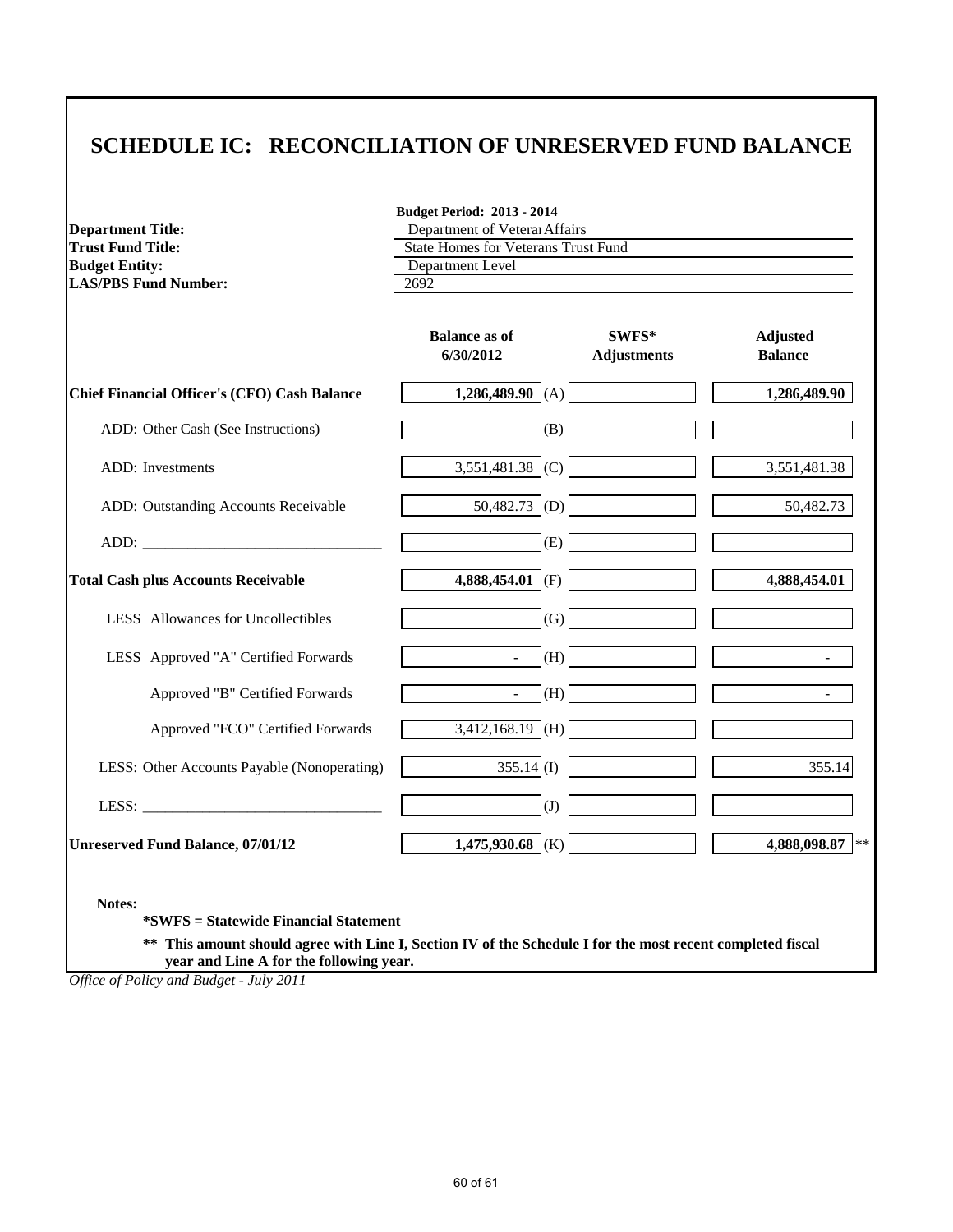## **SCHEDULE IC: RECONCILIATION OF UNRESERVED FUND BALANCE**

**Budget Period: 2013 - 2014**

| <b>Department Title:</b>                            | Department of Veteral Affairs              |                             |                                   |  |  |
|-----------------------------------------------------|--------------------------------------------|-----------------------------|-----------------------------------|--|--|
| <b>Trust Fund Title:</b>                            | <b>State Homes for Veterans Trust Fund</b> |                             |                                   |  |  |
| <b>Budget Entity:</b>                               | Department Level                           |                             |                                   |  |  |
| <b>LAS/PBS Fund Number:</b>                         | 2692                                       |                             |                                   |  |  |
|                                                     | <b>Balance as of</b><br>6/30/2012          | SWFS*<br><b>Adjustments</b> | <b>Adjusted</b><br><b>Balance</b> |  |  |
| <b>Chief Financial Officer's (CFO) Cash Balance</b> | 1,286,489.90 (A)                           |                             | 1,286,489.90                      |  |  |
| ADD: Other Cash (See Instructions)                  | (B)                                        |                             |                                   |  |  |
| <b>ADD</b> : Investments                            | 3,551,481.38 (C)                           |                             | 3,551,481.38                      |  |  |
| ADD: Outstanding Accounts Receivable                | $50,482.73$ (D)                            |                             | 50,482.73                         |  |  |
|                                                     | (E)                                        |                             |                                   |  |  |
| <b>Total Cash plus Accounts Receivable</b>          | 4,888,454.01 (F)                           |                             | 4,888,454.01                      |  |  |
| LESS Allowances for Uncollectibles                  | (G)                                        |                             |                                   |  |  |
| LESS Approved "A" Certified Forwards                | (H)                                        |                             |                                   |  |  |
| Approved "B" Certified Forwards                     | (H)<br>$\blacksquare$                      |                             |                                   |  |  |
| Approved "FCO" Certified Forwards                   | $3,412,168.19$ (H)                         |                             |                                   |  |  |
| LESS: Other Accounts Payable (Nonoperating)         | $355.14$ (I)                               |                             | 355.14                            |  |  |
|                                                     | $\left( J\right)$                          |                             |                                   |  |  |
| <b>Unreserved Fund Balance, 07/01/12</b>            | 1,475,930.68 (K)                           |                             | 4,888,098.87                      |  |  |

**\*SWFS = Statewide Financial Statement** 

**\*\* This amount should agree with Line I, Section IV of the Schedule I for the most recent completed fiscal year and Line A for the following year.**